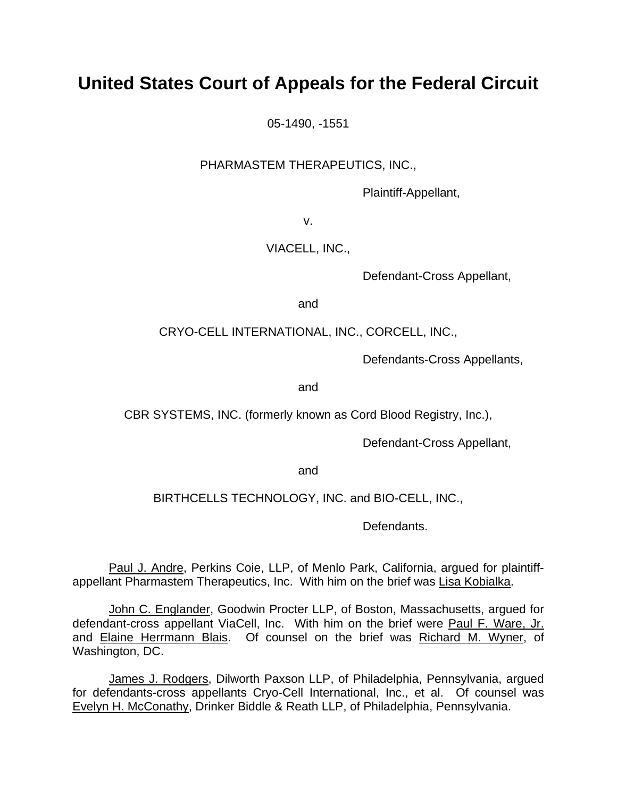# **United States Court of Appeals for the Federal Circuit**

05-1490, -1551

## PHARMASTEM THERAPEUTICS, INC.,

Plaintiff-Appellant,

v.

# VIACELL, INC.,

Defendant-Cross Appellant,

and

## CRYO-CELL INTERNATIONAL, INC., CORCELL, INC.,

Defendants-Cross Appellants,

and

CBR SYSTEMS, INC. (formerly known as Cord Blood Registry, Inc.),

Defendant-Cross Appellant,

and

# BIRTHCELLS TECHNOLOGY, INC. and BIO-CELL, INC.,

Defendants.

Paul J. Andre, Perkins Coie, LLP, of Menlo Park, California, argued for plaintiffappellant Pharmastem Therapeutics, Inc. With him on the brief was Lisa Kobialka.

John C. Englander, Goodwin Procter LLP, of Boston, Massachusetts, argued for defendant-cross appellant ViaCell, Inc. With him on the brief were Paul F. Ware, Jr. and Elaine Herrmann Blais. Of counsel on the brief was Richard M. Wyner, of Washington, DC.

James J. Rodgers, Dilworth Paxson LLP, of Philadelphia, Pennsylvania, argued for defendants-cross appellants Cryo-Cell International, Inc., et al. Of counsel was Evelyn H. McConathy, Drinker Biddle & Reath LLP, of Philadelphia, Pennsylvania.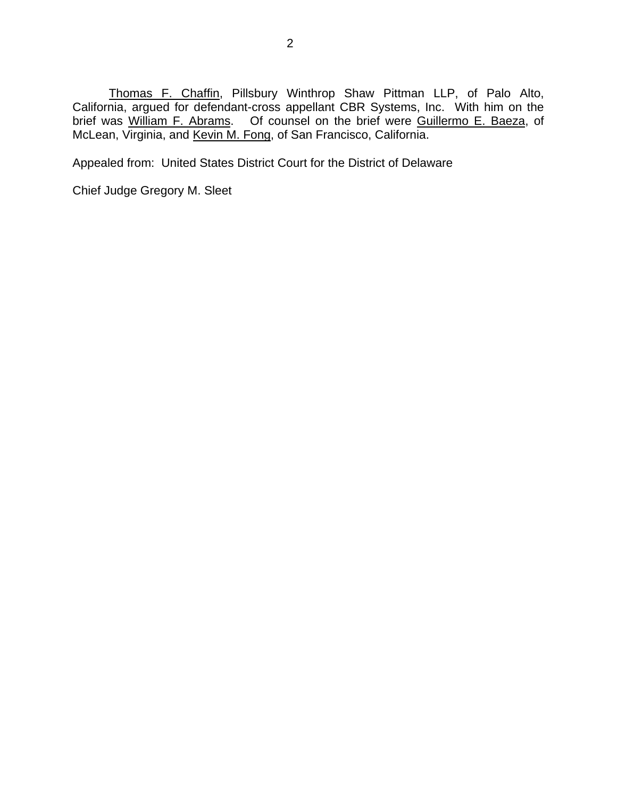Thomas F. Chaffin, Pillsbury Winthrop Shaw Pittman LLP, of Palo Alto, California, argued for defendant-cross appellant CBR Systems, Inc. With him on the brief was William F. Abrams. Of counsel on the brief were Guillermo E. Baeza, of McLean, Virginia, and Kevin M. Fong, of San Francisco, California.

Appealed from: United States District Court for the District of Delaware

Chief Judge Gregory M. Sleet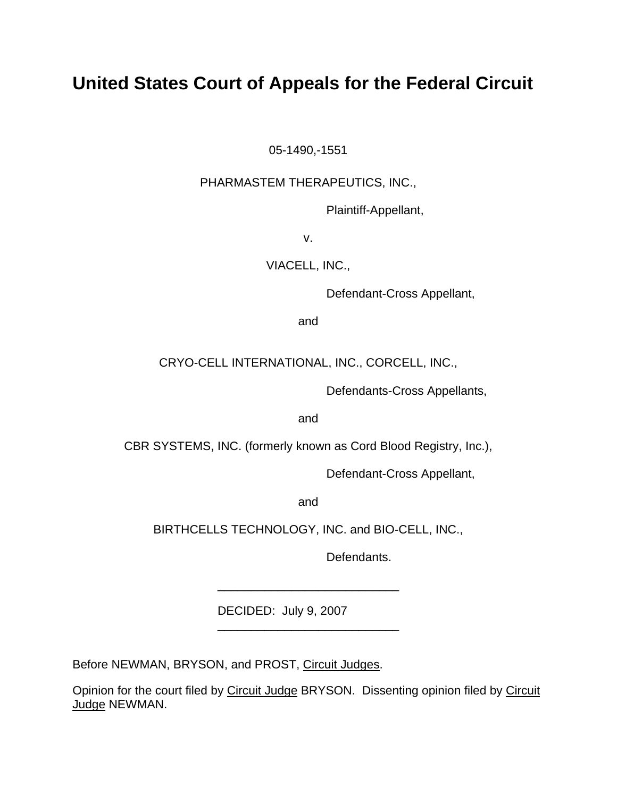# **United States Court of Appeals for the Federal Circuit**

05-1490,-1551

PHARMASTEM THERAPEUTICS, INC.,

Plaintiff-Appellant,

v.

VIACELL, INC.,

Defendant-Cross Appellant,

and

CRYO-CELL INTERNATIONAL, INC., CORCELL, INC.,

Defendants-Cross Appellants,

and

CBR SYSTEMS, INC. (formerly known as Cord Blood Registry, Inc.),

Defendant-Cross Appellant,

and

BIRTHCELLS TECHNOLOGY, INC. and BIO-CELL, INC.,

\_\_\_\_\_\_\_\_\_\_\_\_\_\_\_\_\_\_\_\_\_\_\_\_\_\_\_

\_\_\_\_\_\_\_\_\_\_\_\_\_\_\_\_\_\_\_\_\_\_\_\_\_\_\_

Defendants.

DECIDED: July 9, 2007

Before NEWMAN, BRYSON, and PROST, Circuit Judges.

Opinion for the court filed by Circuit Judge BRYSON. Dissenting opinion filed by Circuit Judge NEWMAN.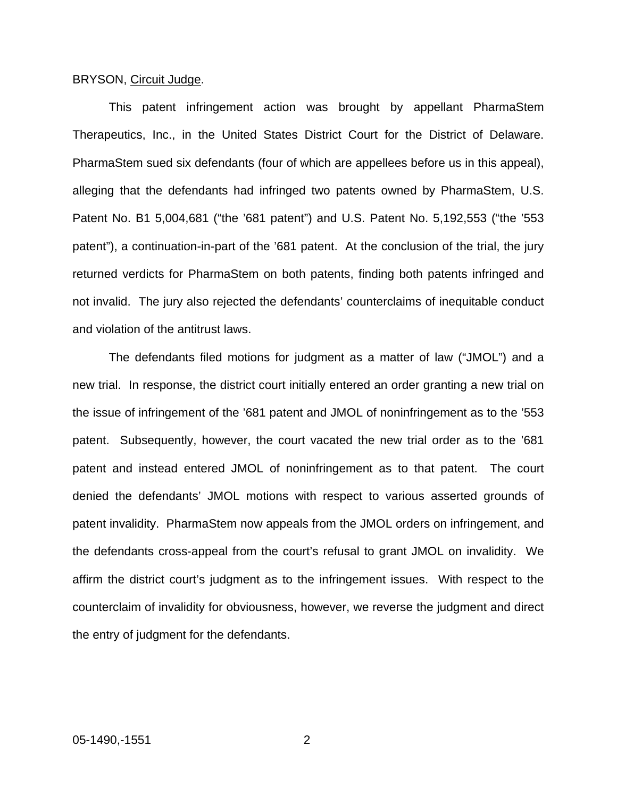## BRYSON, Circuit Judge.

 This patent infringement action was brought by appellant PharmaStem Therapeutics, Inc., in the United States District Court for the District of Delaware. PharmaStem sued six defendants (four of which are appellees before us in this appeal), alleging that the defendants had infringed two patents owned by PharmaStem, U.S. Patent No. B1 5,004,681 ("the '681 patent") and U.S. Patent No. 5,192,553 ("the '553 patent"), a continuation-in-part of the '681 patent. At the conclusion of the trial, the jury returned verdicts for PharmaStem on both patents, finding both patents infringed and not invalid. The jury also rejected the defendants' counterclaims of inequitable conduct and violation of the antitrust laws.

The defendants filed motions for judgment as a matter of law ("JMOL") and a new trial. In response, the district court initially entered an order granting a new trial on the issue of infringement of the '681 patent and JMOL of noninfringement as to the '553 patent. Subsequently, however, the court vacated the new trial order as to the '681 patent and instead entered JMOL of noninfringement as to that patent. The court denied the defendants' JMOL motions with respect to various asserted grounds of patent invalidity. PharmaStem now appeals from the JMOL orders on infringement, and the defendants cross-appeal from the court's refusal to grant JMOL on invalidity. We affirm the district court's judgment as to the infringement issues. With respect to the counterclaim of invalidity for obviousness, however, we reverse the judgment and direct the entry of judgment for the defendants.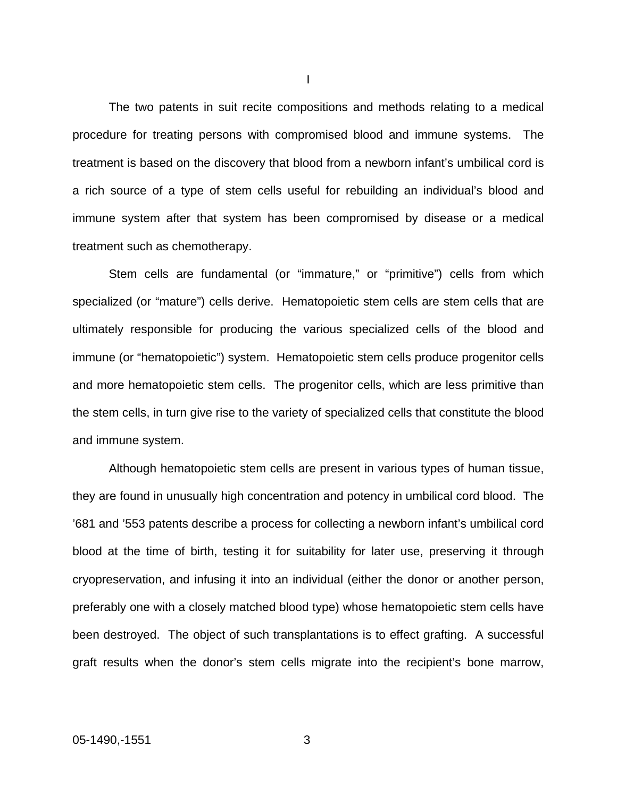The two patents in suit recite compositions and methods relating to a medical procedure for treating persons with compromised blood and immune systems. The treatment is based on the discovery that blood from a newborn infant's umbilical cord is a rich source of a type of stem cells useful for rebuilding an individual's blood and immune system after that system has been compromised by disease or a medical treatment such as chemotherapy.

Stem cells are fundamental (or "immature," or "primitive") cells from which specialized (or "mature") cells derive. Hematopoietic stem cells are stem cells that are ultimately responsible for producing the various specialized cells of the blood and immune (or "hematopoietic") system. Hematopoietic stem cells produce progenitor cells and more hematopoietic stem cells. The progenitor cells, which are less primitive than the stem cells, in turn give rise to the variety of specialized cells that constitute the blood and immune system.

Although hematopoietic stem cells are present in various types of human tissue, they are found in unusually high concentration and potency in umbilical cord blood. The '681 and '553 patents describe a process for collecting a newborn infant's umbilical cord blood at the time of birth, testing it for suitability for later use, preserving it through cryopreservation, and infusing it into an individual (either the donor or another person, preferably one with a closely matched blood type) whose hematopoietic stem cells have been destroyed. The object of such transplantations is to effect grafting. A successful graft results when the donor's stem cells migrate into the recipient's bone marrow,

I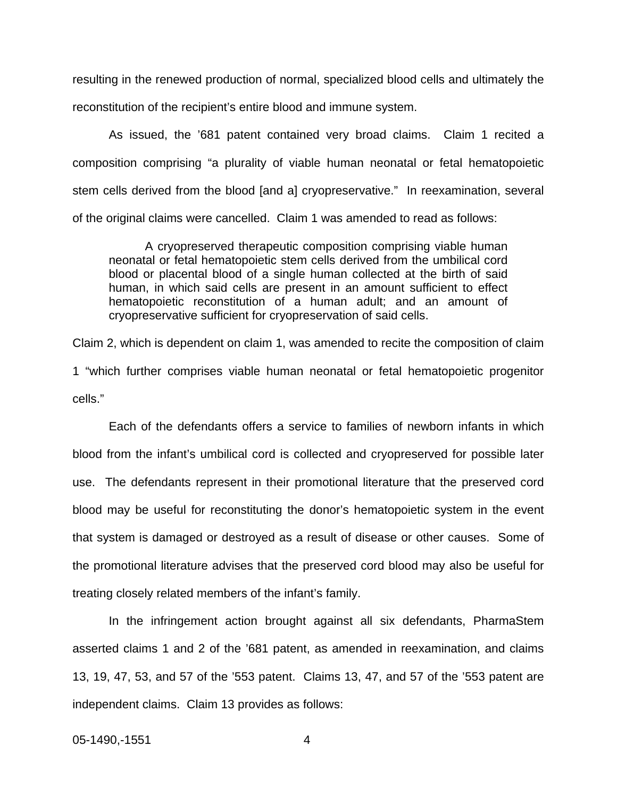resulting in the renewed production of normal, specialized blood cells and ultimately the reconstitution of the recipient's entire blood and immune system.

As issued, the '681 patent contained very broad claims. Claim 1 recited a composition comprising "a plurality of viable human neonatal or fetal hematopoietic stem cells derived from the blood [and a] cryopreservative." In reexamination, several of the original claims were cancelled. Claim 1 was amended to read as follows:

 A cryopreserved therapeutic composition comprising viable human neonatal or fetal hematopoietic stem cells derived from the umbilical cord blood or placental blood of a single human collected at the birth of said human, in which said cells are present in an amount sufficient to effect hematopoietic reconstitution of a human adult; and an amount of cryopreservative sufficient for cryopreservation of said cells.

Claim 2, which is dependent on claim 1, was amended to recite the composition of claim 1 "which further comprises viable human neonatal or fetal hematopoietic progenitor cells."

Each of the defendants offers a service to families of newborn infants in which blood from the infant's umbilical cord is collected and cryopreserved for possible later use. The defendants represent in their promotional literature that the preserved cord blood may be useful for reconstituting the donor's hematopoietic system in the event that system is damaged or destroyed as a result of disease or other causes. Some of the promotional literature advises that the preserved cord blood may also be useful for treating closely related members of the infant's family.

 In the infringement action brought against all six defendants, PharmaStem asserted claims 1 and 2 of the '681 patent, as amended in reexamination, and claims 13, 19, 47, 53, and 57 of the '553 patent. Claims 13, 47, and 57 of the '553 patent are independent claims. Claim 13 provides as follows:

05-1490,-1551 4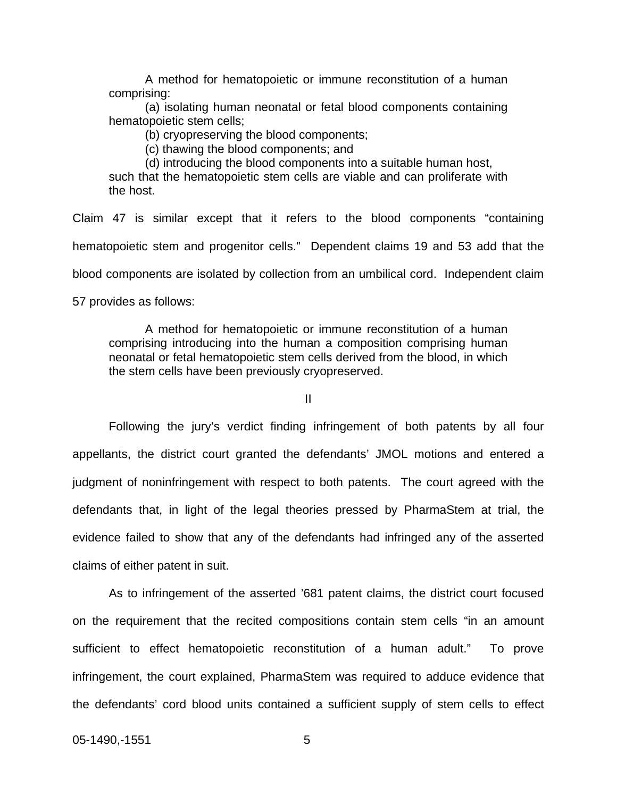A method for hematopoietic or immune reconstitution of a human comprising:

(a) isolating human neonatal or fetal blood components containing hematopoietic stem cells;

(b) cryopreserving the blood components;

(c) thawing the blood components; and

(d) introducing the blood components into a suitable human host,

such that the hematopoietic stem cells are viable and can proliferate with the host.

Claim 47 is similar except that it refers to the blood components "containing hematopoietic stem and progenitor cells." Dependent claims 19 and 53 add that the blood components are isolated by collection from an umbilical cord. Independent claim

57 provides as follows:

 A method for hematopoietic or immune reconstitution of a human comprising introducing into the human a composition comprising human neonatal or fetal hematopoietic stem cells derived from the blood, in which the stem cells have been previously cryopreserved.

II

 Following the jury's verdict finding infringement of both patents by all four appellants, the district court granted the defendants' JMOL motions and entered a judgment of noninfringement with respect to both patents. The court agreed with the defendants that, in light of the legal theories pressed by PharmaStem at trial, the evidence failed to show that any of the defendants had infringed any of the asserted claims of either patent in suit.

 As to infringement of the asserted '681 patent claims, the district court focused on the requirement that the recited compositions contain stem cells "in an amount sufficient to effect hematopoietic reconstitution of a human adult." To prove infringement, the court explained, PharmaStem was required to adduce evidence that the defendants' cord blood units contained a sufficient supply of stem cells to effect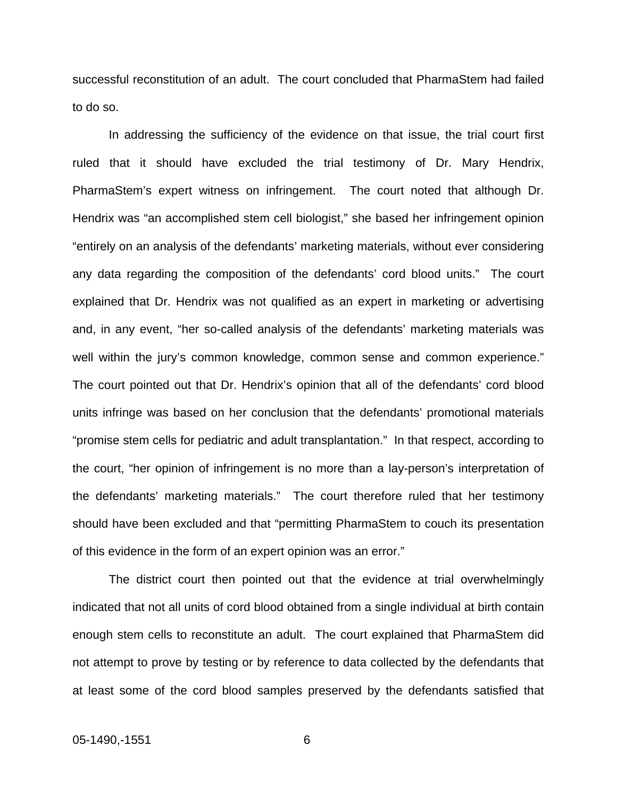successful reconstitution of an adult. The court concluded that PharmaStem had failed to do so.

 In addressing the sufficiency of the evidence on that issue, the trial court first ruled that it should have excluded the trial testimony of Dr. Mary Hendrix, PharmaStem's expert witness on infringement. The court noted that although Dr. Hendrix was "an accomplished stem cell biologist," she based her infringement opinion "entirely on an analysis of the defendants' marketing materials, without ever considering any data regarding the composition of the defendants' cord blood units." The court explained that Dr. Hendrix was not qualified as an expert in marketing or advertising and, in any event, "her so-called analysis of the defendants' marketing materials was well within the jury's common knowledge, common sense and common experience." The court pointed out that Dr. Hendrix's opinion that all of the defendants' cord blood units infringe was based on her conclusion that the defendants' promotional materials "promise stem cells for pediatric and adult transplantation." In that respect, according to the court, "her opinion of infringement is no more than a lay-person's interpretation of the defendants' marketing materials." The court therefore ruled that her testimony should have been excluded and that "permitting PharmaStem to couch its presentation of this evidence in the form of an expert opinion was an error."

 The district court then pointed out that the evidence at trial overwhelmingly indicated that not all units of cord blood obtained from a single individual at birth contain enough stem cells to reconstitute an adult. The court explained that PharmaStem did not attempt to prove by testing or by reference to data collected by the defendants that at least some of the cord blood samples preserved by the defendants satisfied that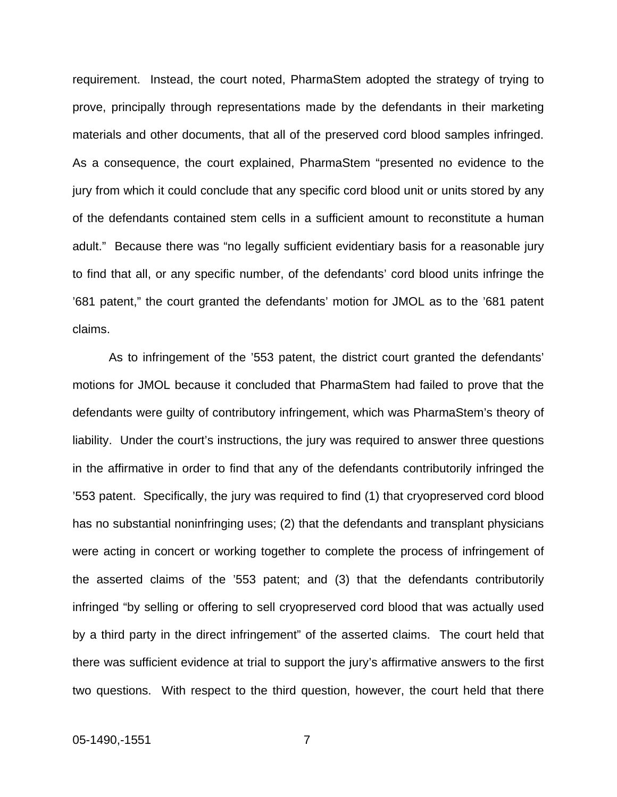requirement. Instead, the court noted, PharmaStem adopted the strategy of trying to prove, principally through representations made by the defendants in their marketing materials and other documents, that all of the preserved cord blood samples infringed. As a consequence, the court explained, PharmaStem "presented no evidence to the jury from which it could conclude that any specific cord blood unit or units stored by any of the defendants contained stem cells in a sufficient amount to reconstitute a human adult." Because there was "no legally sufficient evidentiary basis for a reasonable jury to find that all, or any specific number, of the defendants' cord blood units infringe the '681 patent," the court granted the defendants' motion for JMOL as to the '681 patent claims.

 As to infringement of the '553 patent, the district court granted the defendants' motions for JMOL because it concluded that PharmaStem had failed to prove that the defendants were guilty of contributory infringement, which was PharmaStem's theory of liability. Under the court's instructions, the jury was required to answer three questions in the affirmative in order to find that any of the defendants contributorily infringed the '553 patent. Specifically, the jury was required to find (1) that cryopreserved cord blood has no substantial noninfringing uses; (2) that the defendants and transplant physicians were acting in concert or working together to complete the process of infringement of the asserted claims of the '553 patent; and (3) that the defendants contributorily infringed "by selling or offering to sell cryopreserved cord blood that was actually used by a third party in the direct infringement" of the asserted claims. The court held that there was sufficient evidence at trial to support the jury's affirmative answers to the first two questions. With respect to the third question, however, the court held that there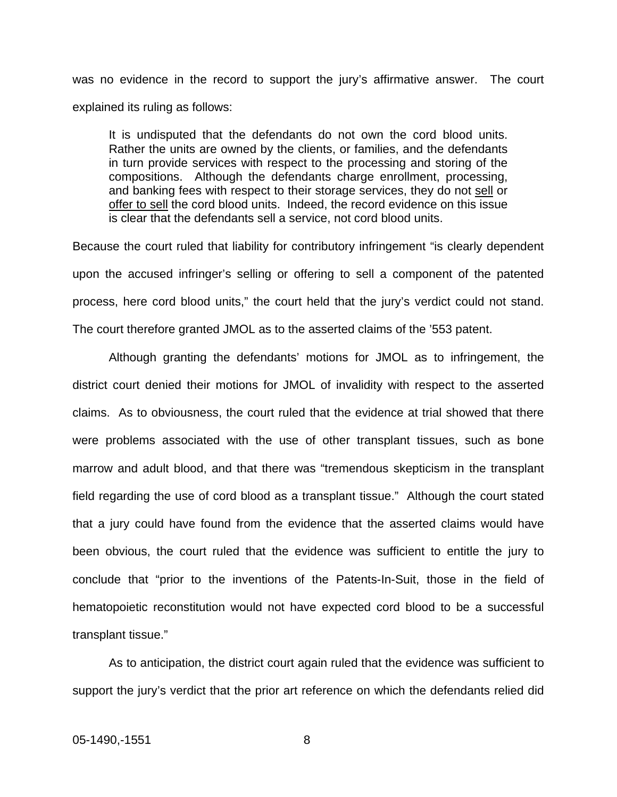was no evidence in the record to support the jury's affirmative answer. The court explained its ruling as follows:

It is undisputed that the defendants do not own the cord blood units. Rather the units are owned by the clients, or families, and the defendants in turn provide services with respect to the processing and storing of the compositions. Although the defendants charge enrollment, processing, and banking fees with respect to their storage services, they do not sell or offer to sell the cord blood units. Indeed, the record evidence on this issue is clear that the defendants sell a service, not cord blood units.

Because the court ruled that liability for contributory infringement "is clearly dependent upon the accused infringer's selling or offering to sell a component of the patented process, here cord blood units," the court held that the jury's verdict could not stand. The court therefore granted JMOL as to the asserted claims of the '553 patent.

 Although granting the defendants' motions for JMOL as to infringement, the district court denied their motions for JMOL of invalidity with respect to the asserted claims. As to obviousness, the court ruled that the evidence at trial showed that there were problems associated with the use of other transplant tissues, such as bone marrow and adult blood, and that there was "tremendous skepticism in the transplant field regarding the use of cord blood as a transplant tissue." Although the court stated that a jury could have found from the evidence that the asserted claims would have been obvious, the court ruled that the evidence was sufficient to entitle the jury to conclude that "prior to the inventions of the Patents-In-Suit, those in the field of hematopoietic reconstitution would not have expected cord blood to be a successful transplant tissue."

 As to anticipation, the district court again ruled that the evidence was sufficient to support the jury's verdict that the prior art reference on which the defendants relied did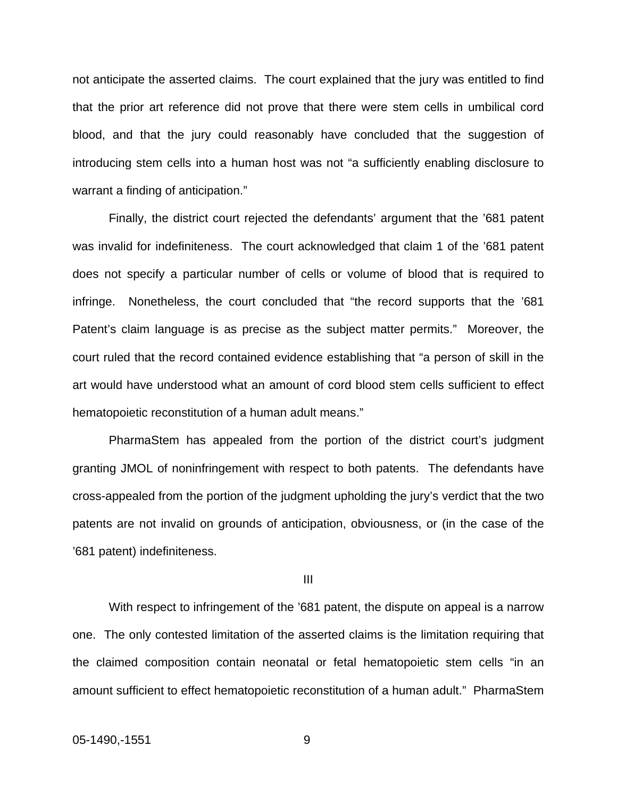not anticipate the asserted claims. The court explained that the jury was entitled to find that the prior art reference did not prove that there were stem cells in umbilical cord blood, and that the jury could reasonably have concluded that the suggestion of introducing stem cells into a human host was not "a sufficiently enabling disclosure to warrant a finding of anticipation."

Finally, the district court rejected the defendants' argument that the '681 patent was invalid for indefiniteness. The court acknowledged that claim 1 of the '681 patent does not specify a particular number of cells or volume of blood that is required to infringe. Nonetheless, the court concluded that "the record supports that the '681 Patent's claim language is as precise as the subject matter permits." Moreover, the court ruled that the record contained evidence establishing that "a person of skill in the art would have understood what an amount of cord blood stem cells sufficient to effect hematopoietic reconstitution of a human adult means."

 PharmaStem has appealed from the portion of the district court's judgment granting JMOL of noninfringement with respect to both patents. The defendants have cross-appealed from the portion of the judgment upholding the jury's verdict that the two patents are not invalid on grounds of anticipation, obviousness, or (in the case of the '681 patent) indefiniteness.

III

With respect to infringement of the '681 patent, the dispute on appeal is a narrow one. The only contested limitation of the asserted claims is the limitation requiring that the claimed composition contain neonatal or fetal hematopoietic stem cells "in an amount sufficient to effect hematopoietic reconstitution of a human adult." PharmaStem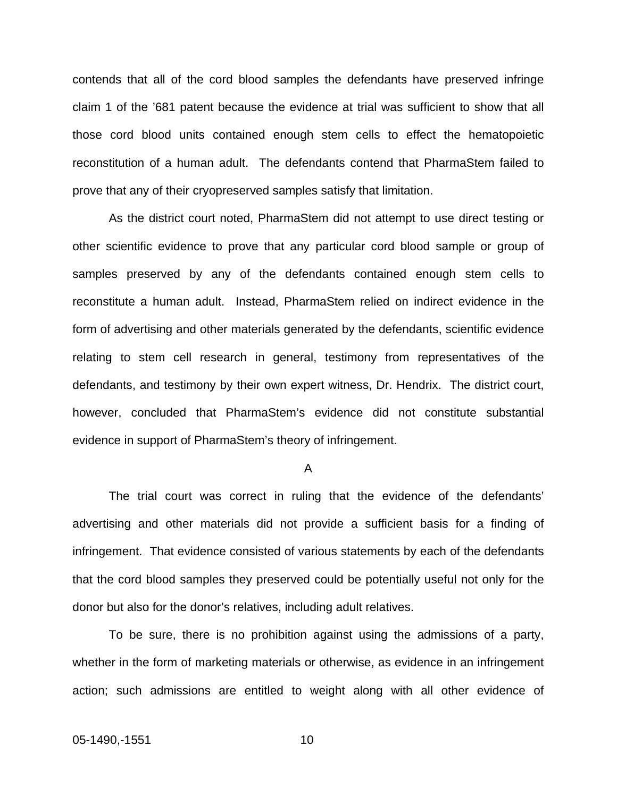contends that all of the cord blood samples the defendants have preserved infringe claim 1 of the '681 patent because the evidence at trial was sufficient to show that all those cord blood units contained enough stem cells to effect the hematopoietic reconstitution of a human adult. The defendants contend that PharmaStem failed to prove that any of their cryopreserved samples satisfy that limitation.

 As the district court noted, PharmaStem did not attempt to use direct testing or other scientific evidence to prove that any particular cord blood sample or group of samples preserved by any of the defendants contained enough stem cells to reconstitute a human adult. Instead, PharmaStem relied on indirect evidence in the form of advertising and other materials generated by the defendants, scientific evidence relating to stem cell research in general, testimony from representatives of the defendants, and testimony by their own expert witness, Dr. Hendrix. The district court, however, concluded that PharmaStem's evidence did not constitute substantial evidence in support of PharmaStem's theory of infringement.

#### A

The trial court was correct in ruling that the evidence of the defendants' advertising and other materials did not provide a sufficient basis for a finding of infringement. That evidence consisted of various statements by each of the defendants that the cord blood samples they preserved could be potentially useful not only for the donor but also for the donor's relatives, including adult relatives.

To be sure, there is no prohibition against using the admissions of a party, whether in the form of marketing materials or otherwise, as evidence in an infringement action; such admissions are entitled to weight along with all other evidence of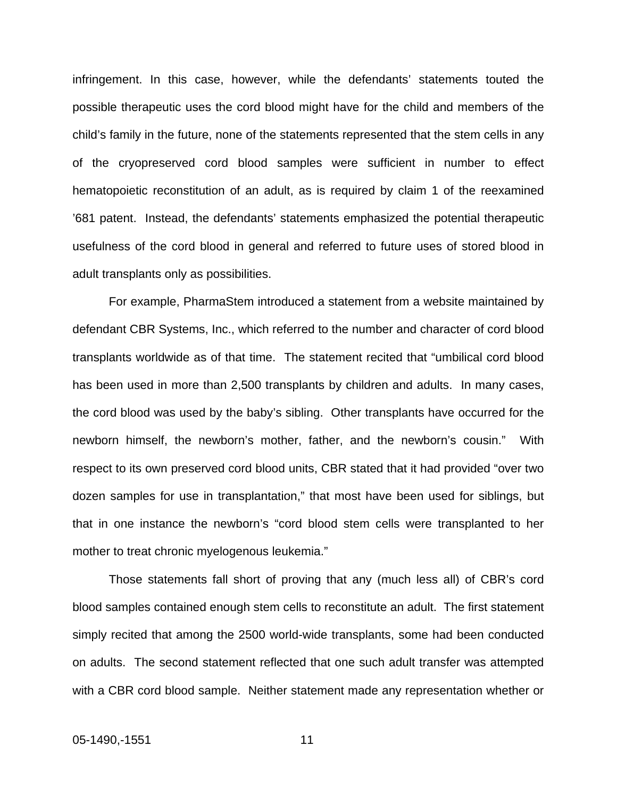infringement. In this case, however, while the defendants' statements touted the possible therapeutic uses the cord blood might have for the child and members of the child's family in the future, none of the statements represented that the stem cells in any of the cryopreserved cord blood samples were sufficient in number to effect hematopoietic reconstitution of an adult, as is required by claim 1 of the reexamined '681 patent. Instead, the defendants' statements emphasized the potential therapeutic usefulness of the cord blood in general and referred to future uses of stored blood in adult transplants only as possibilities.

For example, PharmaStem introduced a statement from a website maintained by defendant CBR Systems, Inc., which referred to the number and character of cord blood transplants worldwide as of that time. The statement recited that "umbilical cord blood has been used in more than 2,500 transplants by children and adults. In many cases, the cord blood was used by the baby's sibling. Other transplants have occurred for the newborn himself, the newborn's mother, father, and the newborn's cousin." With respect to its own preserved cord blood units, CBR stated that it had provided "over two dozen samples for use in transplantation," that most have been used for siblings, but that in one instance the newborn's "cord blood stem cells were transplanted to her mother to treat chronic myelogenous leukemia."

Those statements fall short of proving that any (much less all) of CBR's cord blood samples contained enough stem cells to reconstitute an adult. The first statement simply recited that among the 2500 world-wide transplants, some had been conducted on adults. The second statement reflected that one such adult transfer was attempted with a CBR cord blood sample. Neither statement made any representation whether or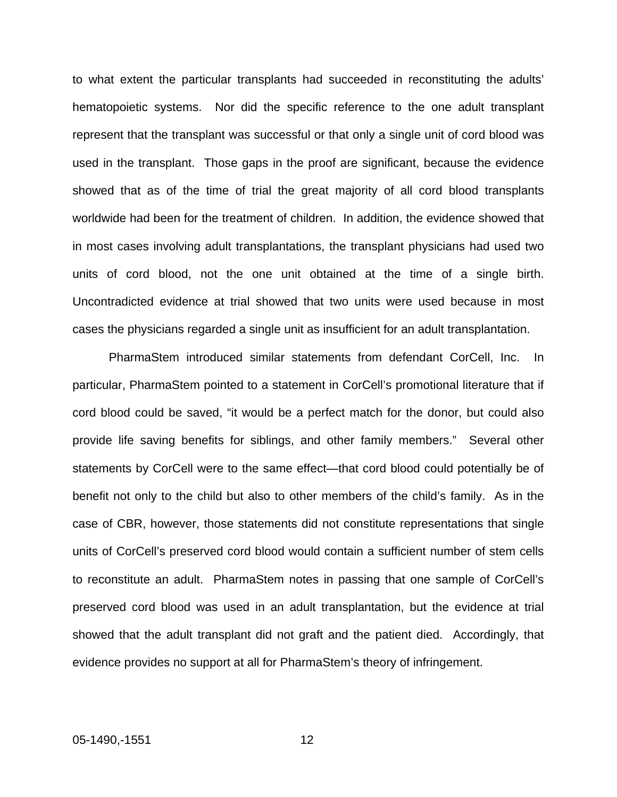to what extent the particular transplants had succeeded in reconstituting the adults' hematopoietic systems. Nor did the specific reference to the one adult transplant represent that the transplant was successful or that only a single unit of cord blood was used in the transplant. Those gaps in the proof are significant, because the evidence showed that as of the time of trial the great majority of all cord blood transplants worldwide had been for the treatment of children. In addition, the evidence showed that in most cases involving adult transplantations, the transplant physicians had used two units of cord blood, not the one unit obtained at the time of a single birth. Uncontradicted evidence at trial showed that two units were used because in most cases the physicians regarded a single unit as insufficient for an adult transplantation.

PharmaStem introduced similar statements from defendant CorCell, Inc. In particular, PharmaStem pointed to a statement in CorCell's promotional literature that if cord blood could be saved, "it would be a perfect match for the donor, but could also provide life saving benefits for siblings, and other family members." Several other statements by CorCell were to the same effect—that cord blood could potentially be of benefit not only to the child but also to other members of the child's family. As in the case of CBR, however, those statements did not constitute representations that single units of CorCell's preserved cord blood would contain a sufficient number of stem cells to reconstitute an adult. PharmaStem notes in passing that one sample of CorCell's preserved cord blood was used in an adult transplantation, but the evidence at trial showed that the adult transplant did not graft and the patient died. Accordingly, that evidence provides no support at all for PharmaStem's theory of infringement.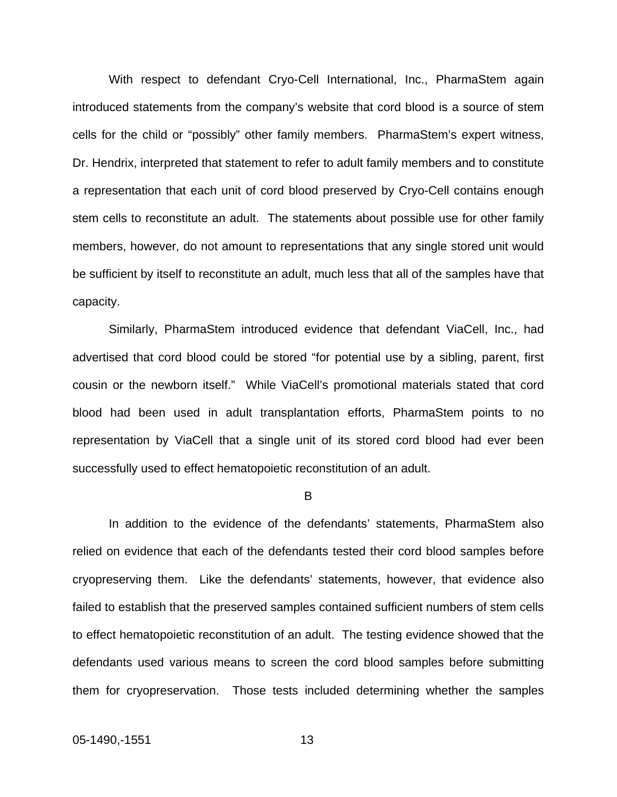With respect to defendant Cryo-Cell International, Inc., PharmaStem again introduced statements from the company's website that cord blood is a source of stem cells for the child or "possibly" other family members. PharmaStem's expert witness, Dr. Hendrix, interpreted that statement to refer to adult family members and to constitute a representation that each unit of cord blood preserved by Cryo-Cell contains enough stem cells to reconstitute an adult. The statements about possible use for other family members, however, do not amount to representations that any single stored unit would be sufficient by itself to reconstitute an adult, much less that all of the samples have that capacity.

Similarly, PharmaStem introduced evidence that defendant ViaCell, Inc., had advertised that cord blood could be stored "for potential use by a sibling, parent, first cousin or the newborn itself." While ViaCell's promotional materials stated that cord blood had been used in adult transplantation efforts, PharmaStem points to no representation by ViaCell that a single unit of its stored cord blood had ever been successfully used to effect hematopoietic reconstitution of an adult.

B

In addition to the evidence of the defendants' statements, PharmaStem also relied on evidence that each of the defendants tested their cord blood samples before cryopreserving them. Like the defendants' statements, however, that evidence also failed to establish that the preserved samples contained sufficient numbers of stem cells to effect hematopoietic reconstitution of an adult. The testing evidence showed that the defendants used various means to screen the cord blood samples before submitting them for cryopreservation. Those tests included determining whether the samples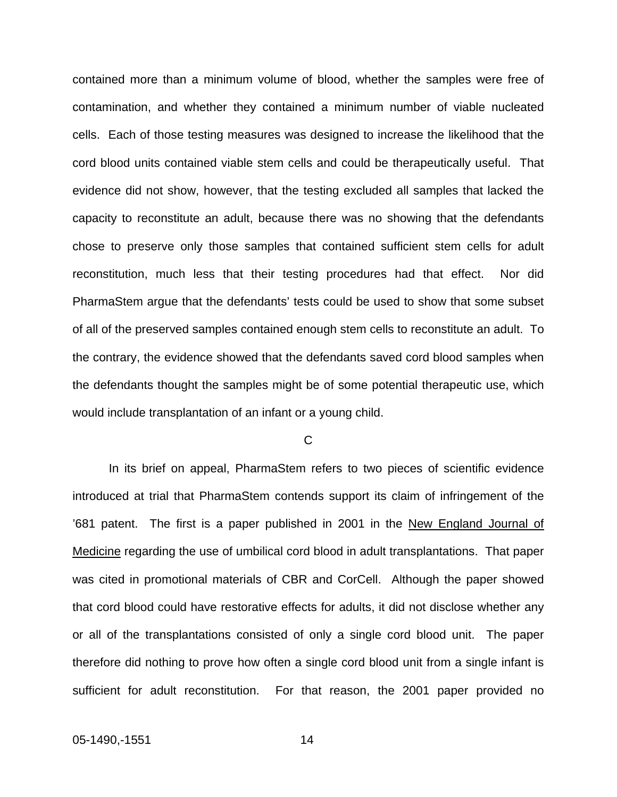contained more than a minimum volume of blood, whether the samples were free of contamination, and whether they contained a minimum number of viable nucleated cells. Each of those testing measures was designed to increase the likelihood that the cord blood units contained viable stem cells and could be therapeutically useful. That evidence did not show, however, that the testing excluded all samples that lacked the capacity to reconstitute an adult, because there was no showing that the defendants chose to preserve only those samples that contained sufficient stem cells for adult reconstitution, much less that their testing procedures had that effect. Nor did PharmaStem argue that the defendants' tests could be used to show that some subset of all of the preserved samples contained enough stem cells to reconstitute an adult. To the contrary, the evidence showed that the defendants saved cord blood samples when the defendants thought the samples might be of some potential therapeutic use, which would include transplantation of an infant or a young child.

## $\mathcal{C}$

In its brief on appeal, PharmaStem refers to two pieces of scientific evidence introduced at trial that PharmaStem contends support its claim of infringement of the '681 patent. The first is a paper published in 2001 in the New England Journal of Medicine regarding the use of umbilical cord blood in adult transplantations. That paper was cited in promotional materials of CBR and CorCell. Although the paper showed that cord blood could have restorative effects for adults, it did not disclose whether any or all of the transplantations consisted of only a single cord blood unit. The paper therefore did nothing to prove how often a single cord blood unit from a single infant is sufficient for adult reconstitution. For that reason, the 2001 paper provided no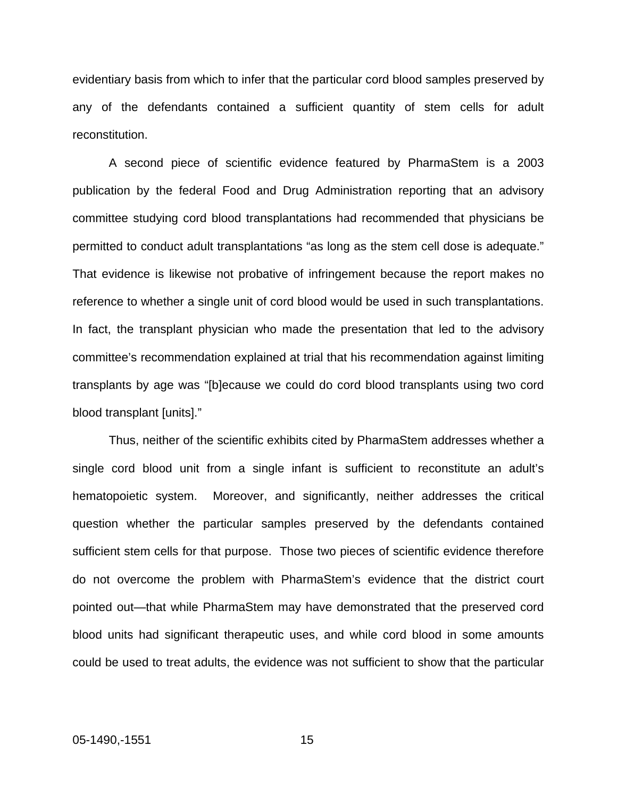evidentiary basis from which to infer that the particular cord blood samples preserved by any of the defendants contained a sufficient quantity of stem cells for adult reconstitution.

A second piece of scientific evidence featured by PharmaStem is a 2003 publication by the federal Food and Drug Administration reporting that an advisory committee studying cord blood transplantations had recommended that physicians be permitted to conduct adult transplantations "as long as the stem cell dose is adequate." That evidence is likewise not probative of infringement because the report makes no reference to whether a single unit of cord blood would be used in such transplantations. In fact, the transplant physician who made the presentation that led to the advisory committee's recommendation explained at trial that his recommendation against limiting transplants by age was "[b]ecause we could do cord blood transplants using two cord blood transplant [units]."

Thus, neither of the scientific exhibits cited by PharmaStem addresses whether a single cord blood unit from a single infant is sufficient to reconstitute an adult's hematopoietic system. Moreover, and significantly, neither addresses the critical question whether the particular samples preserved by the defendants contained sufficient stem cells for that purpose. Those two pieces of scientific evidence therefore do not overcome the problem with PharmaStem's evidence that the district court pointed out—that while PharmaStem may have demonstrated that the preserved cord blood units had significant therapeutic uses, and while cord blood in some amounts could be used to treat adults, the evidence was not sufficient to show that the particular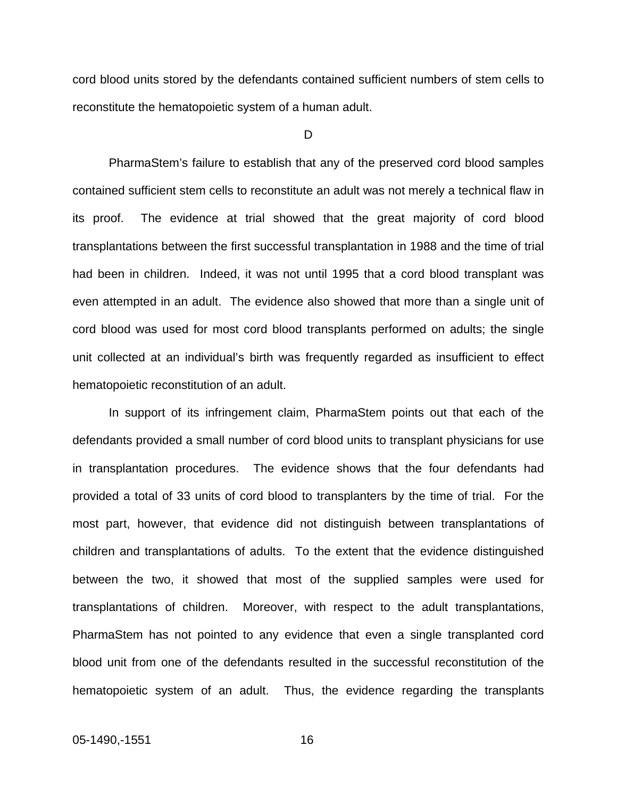cord blood units stored by the defendants contained sufficient numbers of stem cells to reconstitute the hematopoietic system of a human adult.

D

PharmaStem's failure to establish that any of the preserved cord blood samples contained sufficient stem cells to reconstitute an adult was not merely a technical flaw in its proof. The evidence at trial showed that the great majority of cord blood transplantations between the first successful transplantation in 1988 and the time of trial had been in children. Indeed, it was not until 1995 that a cord blood transplant was even attempted in an adult. The evidence also showed that more than a single unit of cord blood was used for most cord blood transplants performed on adults; the single unit collected at an individual's birth was frequently regarded as insufficient to effect hematopoietic reconstitution of an adult.

In support of its infringement claim, PharmaStem points out that each of the defendants provided a small number of cord blood units to transplant physicians for use in transplantation procedures. The evidence shows that the four defendants had provided a total of 33 units of cord blood to transplanters by the time of trial. For the most part, however, that evidence did not distinguish between transplantations of children and transplantations of adults. To the extent that the evidence distinguished between the two, it showed that most of the supplied samples were used for transplantations of children. Moreover, with respect to the adult transplantations, PharmaStem has not pointed to any evidence that even a single transplanted cord blood unit from one of the defendants resulted in the successful reconstitution of the hematopoietic system of an adult. Thus, the evidence regarding the transplants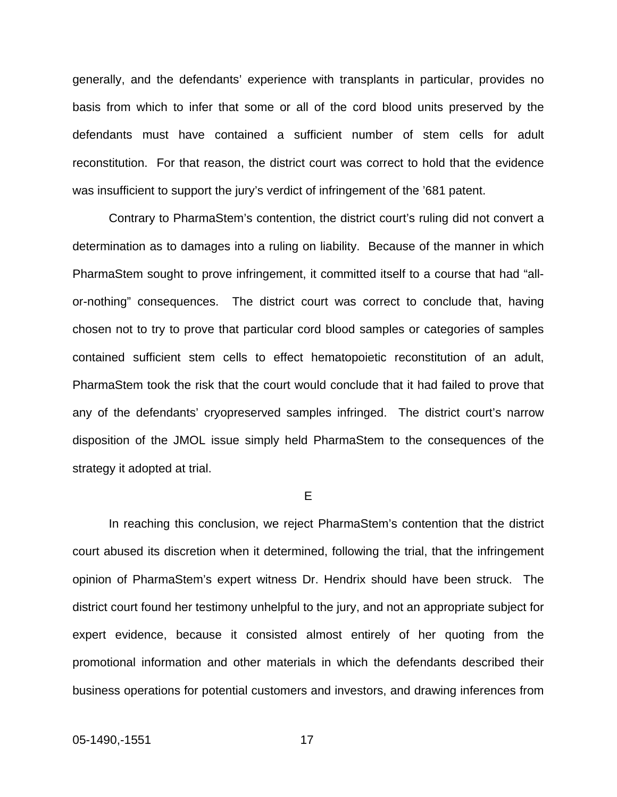generally, and the defendants' experience with transplants in particular, provides no basis from which to infer that some or all of the cord blood units preserved by the defendants must have contained a sufficient number of stem cells for adult reconstitution. For that reason, the district court was correct to hold that the evidence was insufficient to support the jury's verdict of infringement of the '681 patent.

Contrary to PharmaStem's contention, the district court's ruling did not convert a determination as to damages into a ruling on liability. Because of the manner in which PharmaStem sought to prove infringement, it committed itself to a course that had "allor-nothing" consequences. The district court was correct to conclude that, having chosen not to try to prove that particular cord blood samples or categories of samples contained sufficient stem cells to effect hematopoietic reconstitution of an adult, PharmaStem took the risk that the court would conclude that it had failed to prove that any of the defendants' cryopreserved samples infringed. The district court's narrow disposition of the JMOL issue simply held PharmaStem to the consequences of the strategy it adopted at trial.

E

In reaching this conclusion, we reject PharmaStem's contention that the district court abused its discretion when it determined, following the trial, that the infringement opinion of PharmaStem's expert witness Dr. Hendrix should have been struck. The district court found her testimony unhelpful to the jury, and not an appropriate subject for expert evidence, because it consisted almost entirely of her quoting from the promotional information and other materials in which the defendants described their business operations for potential customers and investors, and drawing inferences from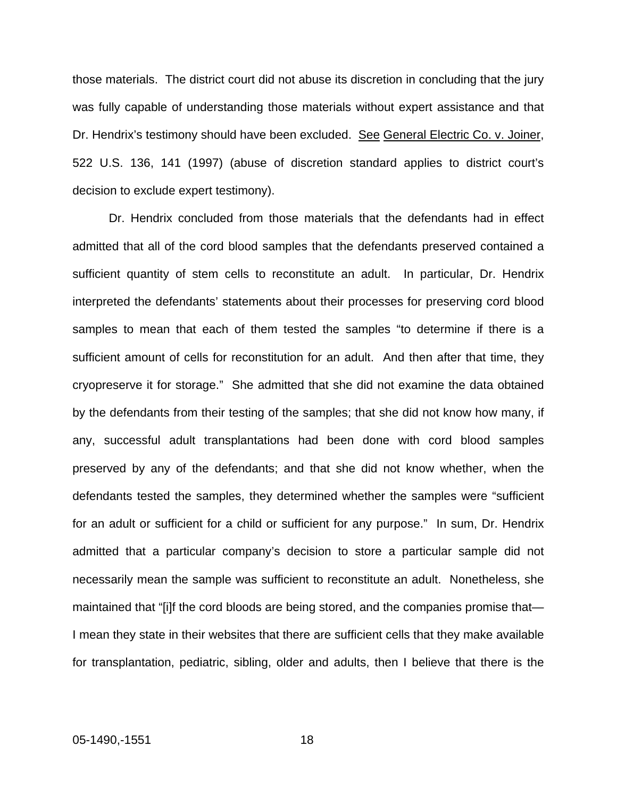those materials. The district court did not abuse its discretion in concluding that the jury was fully capable of understanding those materials without expert assistance and that Dr. Hendrix's testimony should have been excluded. See General Electric Co. v. Joiner, 522 U.S. 136, 141 (1997) (abuse of discretion standard applies to district court's decision to exclude expert testimony).

Dr. Hendrix concluded from those materials that the defendants had in effect admitted that all of the cord blood samples that the defendants preserved contained a sufficient quantity of stem cells to reconstitute an adult. In particular, Dr. Hendrix interpreted the defendants' statements about their processes for preserving cord blood samples to mean that each of them tested the samples "to determine if there is a sufficient amount of cells for reconstitution for an adult. And then after that time, they cryopreserve it for storage." She admitted that she did not examine the data obtained by the defendants from their testing of the samples; that she did not know how many, if any, successful adult transplantations had been done with cord blood samples preserved by any of the defendants; and that she did not know whether, when the defendants tested the samples, they determined whether the samples were "sufficient for an adult or sufficient for a child or sufficient for any purpose." In sum, Dr. Hendrix admitted that a particular company's decision to store a particular sample did not necessarily mean the sample was sufficient to reconstitute an adult.Nonetheless, she maintained that "[i]f the cord bloods are being stored, and the companies promise that— I mean they state in their websites that there are sufficient cells that they make available for transplantation, pediatric, sibling, older and adults, then I believe that there is the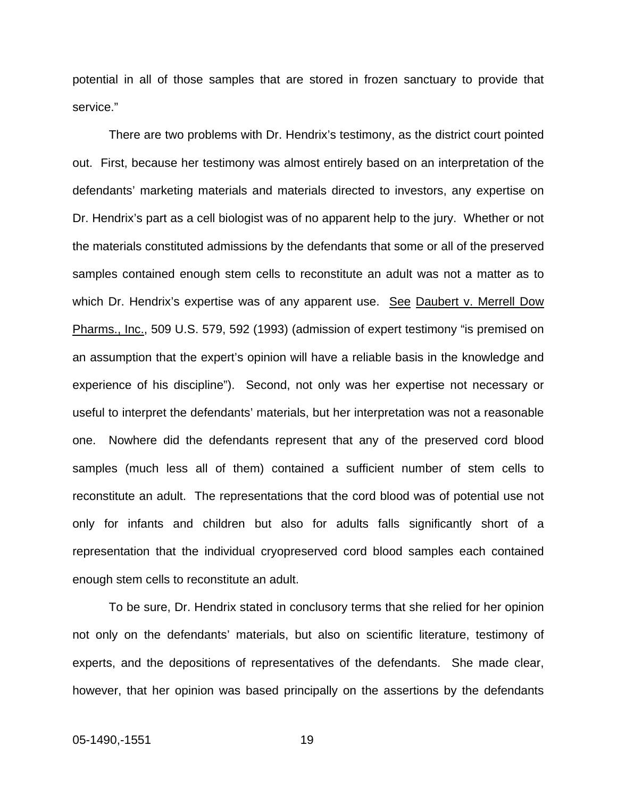potential in all of those samples that are stored in frozen sanctuary to provide that service."

There are two problems with Dr. Hendrix's testimony, as the district court pointed out. First, because her testimony was almost entirely based on an interpretation of the defendants' marketing materials and materials directed to investors, any expertise on Dr. Hendrix's part as a cell biologist was of no apparent help to the jury. Whether or not the materials constituted admissions by the defendants that some or all of the preserved samples contained enough stem cells to reconstitute an adult was not a matter as to which Dr. Hendrix's expertise was of any apparent use. See Daubert v. Merrell Dow Pharms., Inc., 509 U.S. 579, 592 (1993) (admission of expert testimony "is premised on an assumption that the expert's opinion will have a reliable basis in the knowledge and experience of his discipline"). Second, not only was her expertise not necessary or useful to interpret the defendants' materials, but her interpretation was not a reasonable one. Nowhere did the defendants represent that any of the preserved cord blood samples (much less all of them) contained a sufficient number of stem cells to reconstitute an adult. The representations that the cord blood was of potential use not only for infants and children but also for adults falls significantly short of a representation that the individual cryopreserved cord blood samples each contained enough stem cells to reconstitute an adult.

To be sure, Dr. Hendrix stated in conclusory terms that she relied for her opinion not only on the defendants' materials, but also on scientific literature, testimony of experts, and the depositions of representatives of the defendants. She made clear, however, that her opinion was based principally on the assertions by the defendants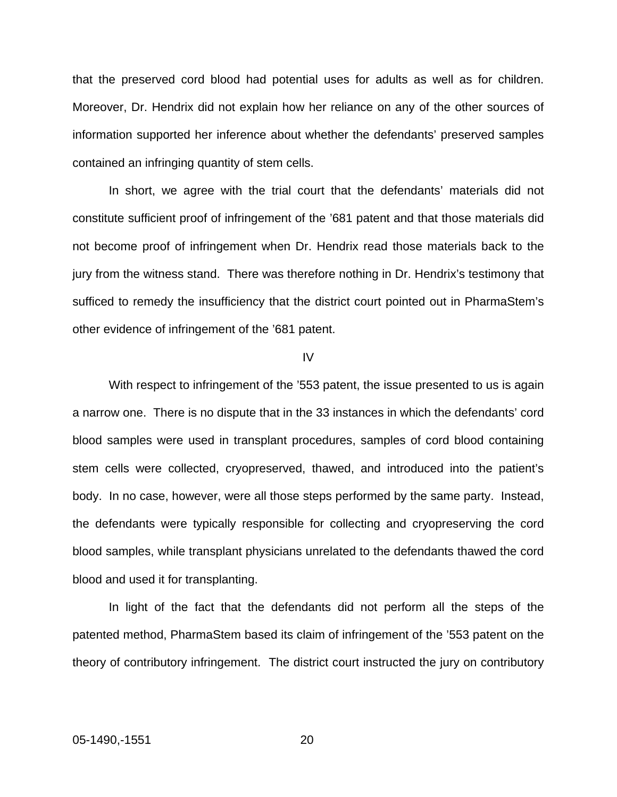that the preserved cord blood had potential uses for adults as well as for children. Moreover, Dr. Hendrix did not explain how her reliance on any of the other sources of information supported her inference about whether the defendants' preserved samples contained an infringing quantity of stem cells.

In short, we agree with the trial court that the defendants' materials did not constitute sufficient proof of infringement of the '681 patent and that those materials did not become proof of infringement when Dr. Hendrix read those materials back to the jury from the witness stand. There was therefore nothing in Dr. Hendrix's testimony that sufficed to remedy the insufficiency that the district court pointed out in PharmaStem's other evidence of infringement of the '681 patent.

#### IV

 With respect to infringement of the '553 patent, the issue presented to us is again a narrow one. There is no dispute that in the 33 instances in which the defendants' cord blood samples were used in transplant procedures, samples of cord blood containing stem cells were collected, cryopreserved, thawed, and introduced into the patient's body. In no case, however, were all those steps performed by the same party. Instead, the defendants were typically responsible for collecting and cryopreserving the cord blood samples, while transplant physicians unrelated to the defendants thawed the cord blood and used it for transplanting.

In light of the fact that the defendants did not perform all the steps of the patented method, PharmaStem based its claim of infringement of the '553 patent on the theory of contributory infringement. The district court instructed the jury on contributory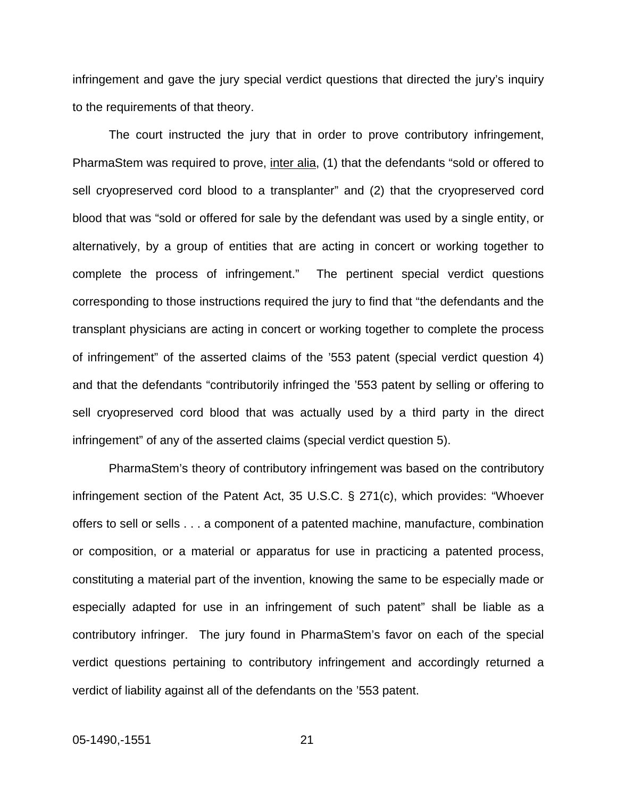infringement and gave the jury special verdict questions that directed the jury's inquiry to the requirements of that theory.

The court instructed the jury that in order to prove contributory infringement, PharmaStem was required to prove, inter alia, (1) that the defendants "sold or offered to sell cryopreserved cord blood to a transplanter" and (2) that the cryopreserved cord blood that was "sold or offered for sale by the defendant was used by a single entity, or alternatively, by a group of entities that are acting in concert or working together to complete the process of infringement." The pertinent special verdict questions corresponding to those instructions required the jury to find that "the defendants and the transplant physicians are acting in concert or working together to complete the process of infringement" of the asserted claims of the '553 patent (special verdict question 4) and that the defendants "contributorily infringed the '553 patent by selling or offering to sell cryopreserved cord blood that was actually used by a third party in the direct infringement" of any of the asserted claims (special verdict question 5).

PharmaStem's theory of contributory infringement was based on the contributory infringement section of the Patent Act, 35 U.S.C. § 271(c), which provides: "Whoever offers to sell or sells . . . a component of a patented machine, manufacture, combination or composition, or a material or apparatus for use in practicing a patented process, constituting a material part of the invention, knowing the same to be especially made or especially adapted for use in an infringement of such patent" shall be liable as a contributory infringer. The jury found in PharmaStem's favor on each of the special verdict questions pertaining to contributory infringement and accordingly returned a verdict of liability against all of the defendants on the '553 patent.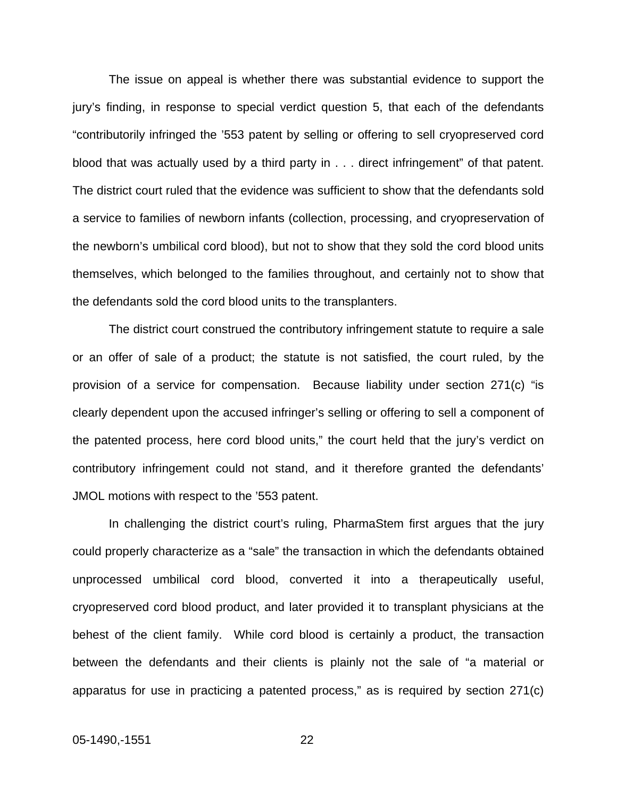The issue on appeal is whether there was substantial evidence to support the jury's finding, in response to special verdict question 5, that each of the defendants "contributorily infringed the '553 patent by selling or offering to sell cryopreserved cord blood that was actually used by a third party in . . . direct infringement" of that patent. The district court ruled that the evidence was sufficient to show that the defendants sold a service to families of newborn infants (collection, processing, and cryopreservation of the newborn's umbilical cord blood), but not to show that they sold the cord blood units themselves, which belonged to the families throughout, and certainly not to show that the defendants sold the cord blood units to the transplanters.

The district court construed the contributory infringement statute to require a sale or an offer of sale of a product; the statute is not satisfied, the court ruled, by the provision of a service for compensation. Because liability under section 271(c) "is clearly dependent upon the accused infringer's selling or offering to sell a component of the patented process, here cord blood units," the court held that the jury's verdict on contributory infringement could not stand, and it therefore granted the defendants' JMOL motions with respect to the '553 patent.

 In challenging the district court's ruling, PharmaStem first argues that the jury could properly characterize as a "sale" the transaction in which the defendants obtained unprocessed umbilical cord blood, converted it into a therapeutically useful, cryopreserved cord blood product, and later provided it to transplant physicians at the behest of the client family. While cord blood is certainly a product, the transaction between the defendants and their clients is plainly not the sale of "a material or apparatus for use in practicing a patented process," as is required by section 271(c)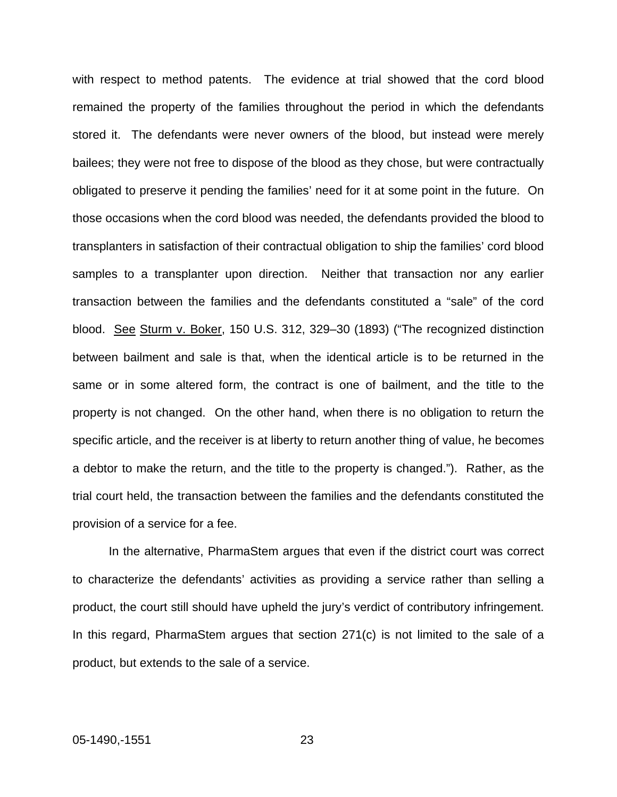with respect to method patents. The evidence at trial showed that the cord blood remained the property of the families throughout the period in which the defendants stored it. The defendants were never owners of the blood, but instead were merely bailees; they were not free to dispose of the blood as they chose, but were contractually obligated to preserve it pending the families' need for it at some point in the future. On those occasions when the cord blood was needed, the defendants provided the blood to transplanters in satisfaction of their contractual obligation to ship the families' cord blood samples to a transplanter upon direction. Neither that transaction nor any earlier transaction between the families and the defendants constituted a "sale" of the cord blood. See Sturm v. Boker, 150 U.S. 312, 329–30 (1893) ("The recognized distinction between bailment and sale is that, when the identical article is to be returned in the same or in some altered form, the contract is one of bailment, and the title to the property is not changed. On the other hand, when there is no obligation to return the specific article, and the receiver is at liberty to return another thing of value, he becomes a debtor to make the return, and the title to the property is changed."). Rather, as the trial court held, the transaction between the families and the defendants constituted the provision of a service for a fee.

In the alternative, PharmaStem argues that even if the district court was correct to characterize the defendants' activities as providing a service rather than selling a product, the court still should have upheld the jury's verdict of contributory infringement. In this regard, PharmaStem argues that section 271(c) is not limited to the sale of a product, but extends to the sale of a service.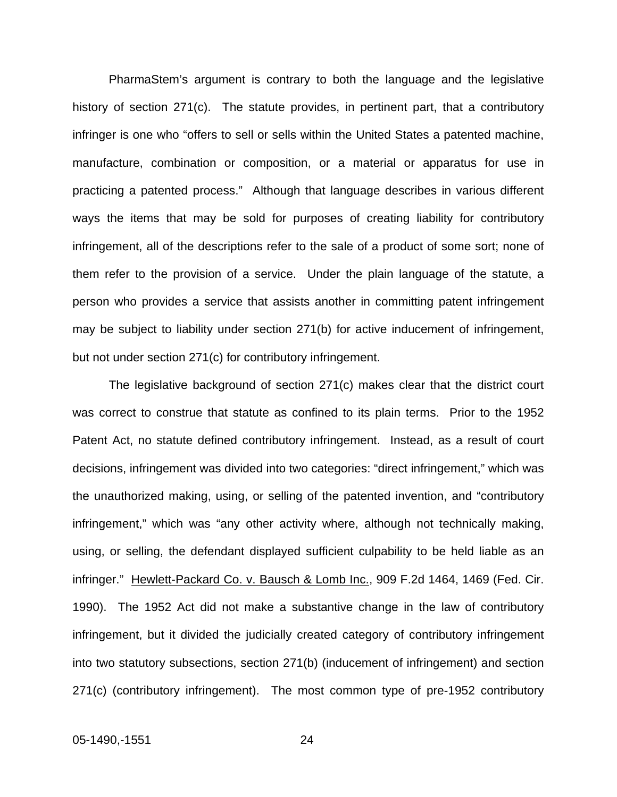PharmaStem's argument is contrary to both the language and the legislative history of section 271(c). The statute provides, in pertinent part, that a contributory infringer is one who "offers to sell or sells within the United States a patented machine, manufacture, combination or composition, or a material or apparatus for use in practicing a patented process." Although that language describes in various different ways the items that may be sold for purposes of creating liability for contributory infringement, all of the descriptions refer to the sale of a product of some sort; none of them refer to the provision of a service. Under the plain language of the statute, a person who provides a service that assists another in committing patent infringement may be subject to liability under section 271(b) for active inducement of infringement, but not under section 271(c) for contributory infringement.

The legislative background of section 271(c) makes clear that the district court was correct to construe that statute as confined to its plain terms. Prior to the 1952 Patent Act, no statute defined contributory infringement. Instead, as a result of court decisions, infringement was divided into two categories: "direct infringement," which was the unauthorized making, using, or selling of the patented invention, and "contributory infringement," which was "any other activity where, although not technically making, using, or selling, the defendant displayed sufficient culpability to be held liable as an infringer." Hewlett-Packard Co. v. Bausch & Lomb Inc., 909 F.2d 1464, 1469 (Fed. Cir. 1990). The 1952 Act did not make a substantive change in the law of contributory infringement, but it divided the judicially created category of contributory infringement into two statutory subsections, section 271(b) (inducement of infringement) and section 271(c) (contributory infringement). The most common type of pre-1952 contributory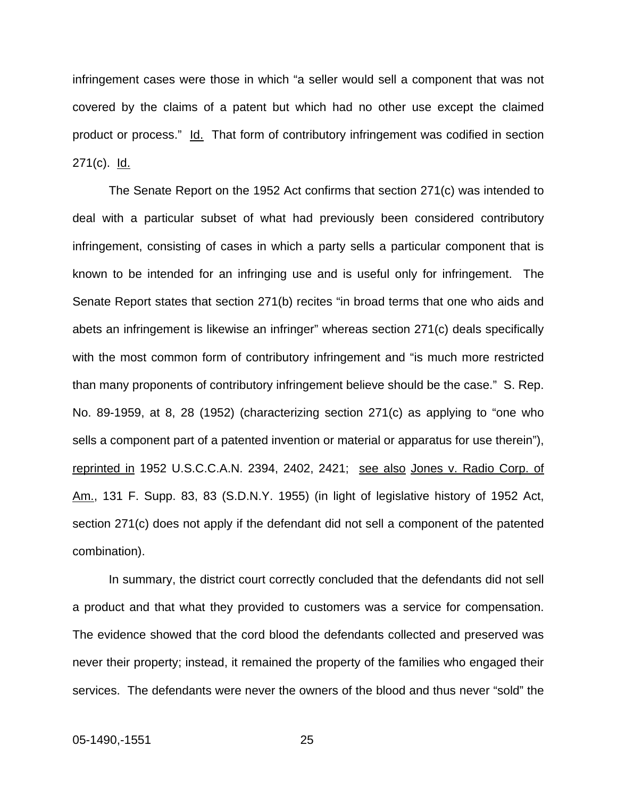infringement cases were those in which "a seller would sell a component that was not covered by the claims of a patent but which had no other use except the claimed product or process." Id. That form of contributory infringement was codified in section 271(c). Id.

The Senate Report on the 1952 Act confirms that section 271(c) was intended to deal with a particular subset of what had previously been considered contributory infringement, consisting of cases in which a party sells a particular component that is known to be intended for an infringing use and is useful only for infringement. The Senate Report states that section 271(b) recites "in broad terms that one who aids and abets an infringement is likewise an infringer" whereas section 271(c) deals specifically with the most common form of contributory infringement and "is much more restricted than many proponents of contributory infringement believe should be the case." S. Rep. No. 89-1959, at 8, 28 (1952) (characterizing section 271(c) as applying to "one who sells a component part of a patented invention or material or apparatus for use therein"), reprinted in 1952 U.S.C.C.A.N. 2394, 2402, 2421; see also Jones v. Radio Corp. of Am., 131 F. Supp. 83, 83 (S.D.N.Y. 1955) (in light of legislative history of 1952 Act, section 271(c) does not apply if the defendant did not sell a component of the patented combination).

In summary, the district court correctly concluded that the defendants did not sell a product and that what they provided to customers was a service for compensation. The evidence showed that the cord blood the defendants collected and preserved was never their property; instead, it remained the property of the families who engaged their services. The defendants were never the owners of the blood and thus never "sold" the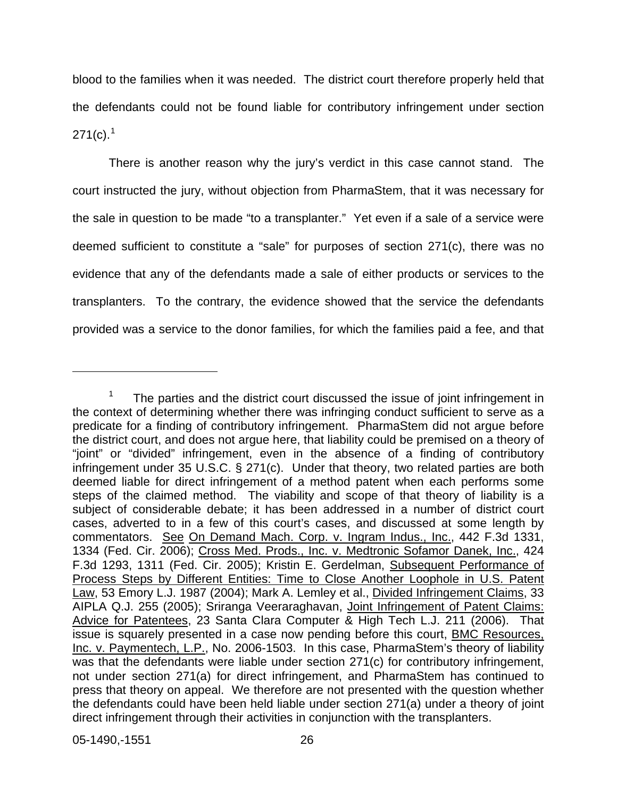blood to the families when it was needed. The district court therefore properly held that the defendants could not be found liable for contributory infringement under section  $271(c).<sup>1</sup>$  $271(c).<sup>1</sup>$  $271(c).<sup>1</sup>$ 

There is another reason why the jury's verdict in this case cannot stand. The court instructed the jury, without objection from PharmaStem, that it was necessary for the sale in question to be made "to a transplanter." Yet even if a sale of a service were deemed sufficient to constitute a "sale" for purposes of section 271(c), there was no evidence that any of the defendants made a sale of either products or services to the transplanters. To the contrary, the evidence showed that the service the defendants provided was a service to the donor families, for which the families paid a fee, and that

 $\overline{a}$ 

<span id="page-27-0"></span><sup>1</sup> The parties and the district court discussed the issue of joint infringement in the context of determining whether there was infringing conduct sufficient to serve as a predicate for a finding of contributory infringement. PharmaStem did not argue before the district court, and does not argue here, that liability could be premised on a theory of "joint" or "divided" infringement, even in the absence of a finding of contributory infringement under 35 U.S.C. § 271(c). Under that theory, two related parties are both deemed liable for direct infringement of a method patent when each performs some steps of the claimed method. The viability and scope of that theory of liability is a subject of considerable debate; it has been addressed in a number of district court cases, adverted to in a few of this court's cases, and discussed at some length by commentators. See On Demand Mach. Corp. v. Ingram Indus., Inc., 442 F.3d 1331, 1334 (Fed. Cir. 2006); Cross Med. Prods., Inc. v. Medtronic Sofamor Danek, Inc., 424 F.3d 1293, 1311 (Fed. Cir. 2005); Kristin E. Gerdelman, Subsequent Performance of Process Steps by Different Entities: Time to Close Another Loophole in U.S. Patent Law, 53 Emory L.J. 1987 (2004); Mark A. Lemley et al., Divided Infringement Claims, 33 AIPLA Q.J. 255 (2005); Sriranga Veeraraghavan, Joint Infringement of Patent Claims: Advice for Patentees, 23 Santa Clara Computer & High Tech L.J. 211 (2006). That issue is squarely presented in a case now pending before this court, BMC Resources, Inc. v. Paymentech, L.P., No. 2006-1503. In this case, PharmaStem's theory of liability was that the defendants were liable under section 271(c) for contributory infringement, not under section 271(a) for direct infringement, and PharmaStem has continued to press that theory on appeal. We therefore are not presented with the question whether the defendants could have been held liable under section 271(a) under a theory of joint direct infringement through their activities in conjunction with the transplanters.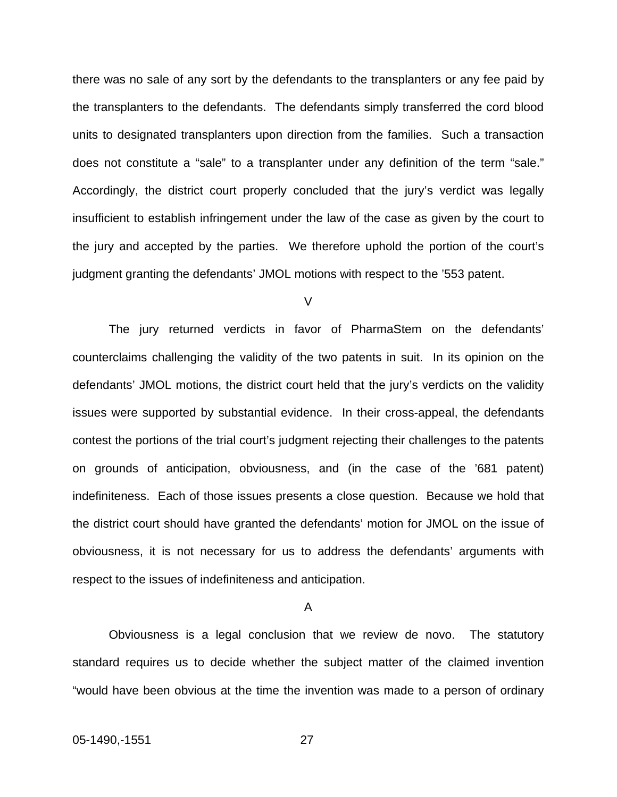there was no sale of any sort by the defendants to the transplanters or any fee paid by the transplanters to the defendants. The defendants simply transferred the cord blood units to designated transplanters upon direction from the families. Such a transaction does not constitute a "sale" to a transplanter under any definition of the term "sale." Accordingly, the district court properly concluded that the jury's verdict was legally insufficient to establish infringement under the law of the case as given by the court to the jury and accepted by the parties. We therefore uphold the portion of the court's judgment granting the defendants' JMOL motions with respect to the '553 patent.

 $\vee$ 

 The jury returned verdicts in favor of PharmaStem on the defendants' counterclaims challenging the validity of the two patents in suit. In its opinion on the defendants' JMOL motions, the district court held that the jury's verdicts on the validity issues were supported by substantial evidence. In their cross-appeal, the defendants contest the portions of the trial court's judgment rejecting their challenges to the patents on grounds of anticipation, obviousness, and (in the case of the '681 patent) indefiniteness. Each of those issues presents a close question. Because we hold that the district court should have granted the defendants' motion for JMOL on the issue of obviousness, it is not necessary for us to address the defendants' arguments with respect to the issues of indefiniteness and anticipation.

#### A

Obviousness is a legal conclusion that we review de novo. The statutory standard requires us to decide whether the subject matter of the claimed invention "would have been obvious at the time the invention was made to a person of ordinary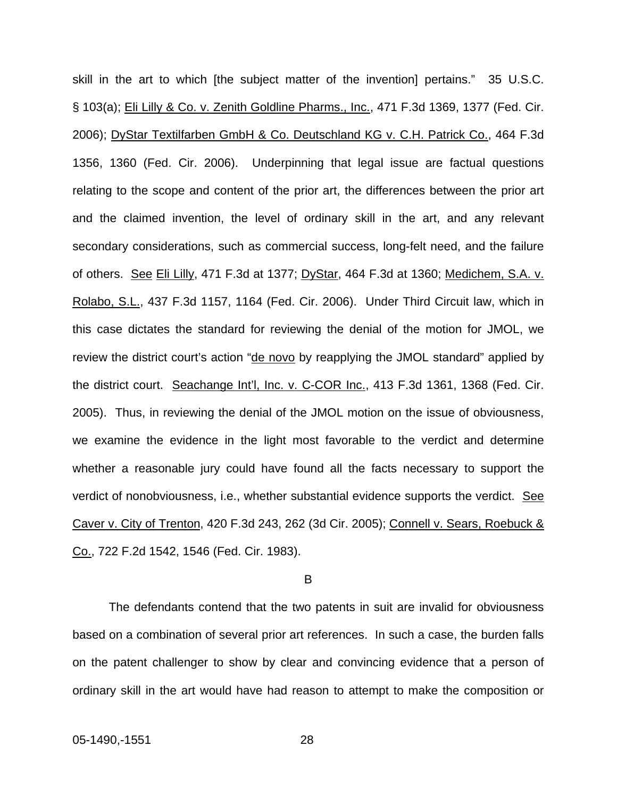skill in the art to which [the subject matter of the invention] pertains." 35 U.S.C. § 103(a); Eli Lilly & Co. v. Zenith Goldline Pharms., Inc., 471 F.3d 1369, 1377 (Fed. Cir. 2006); DyStar Textilfarben GmbH & Co. Deutschland KG v. C.H. Patrick Co., 464 F.3d 1356, 1360 (Fed. Cir. 2006). Underpinning that legal issue are factual questions relating to the scope and content of the prior art, the differences between the prior art and the claimed invention, the level of ordinary skill in the art, and any relevant secondary considerations, such as commercial success, long-felt need, and the failure of others. See Eli Lilly, 471 F.3d at 1377; DyStar, 464 F.3d at 1360; Medichem, S.A. v. Rolabo, S.L., 437 F.3d 1157, 1164 (Fed. Cir. 2006). Under Third Circuit law, which in this case dictates the standard for reviewing the denial of the motion for JMOL, we review the district court's action "de novo by reapplying the JMOL standard" applied by the district court. Seachange Int'l, Inc. v. C-COR Inc., 413 F.3d 1361, 1368 (Fed. Cir. 2005). Thus, in reviewing the denial of the JMOL motion on the issue of obviousness, we examine the evidence in the light most favorable to the verdict and determine whether a reasonable jury could have found all the facts necessary to support the verdict of nonobviousness, i.e., whether substantial evidence supports the verdict. See Caver v. City of Trenton, 420 F.3d 243, 262 (3d Cir. 2005); Connell v. Sears, Roebuck & Co., 722 F.2d 1542, 1546 (Fed. Cir. 1983).

## B

The defendants contend that the two patents in suit are invalid for obviousness based on a combination of several prior art references. In such a case, the burden falls on the patent challenger to show by clear and convincing evidence that a person of ordinary skill in the art would have had reason to attempt to make the composition or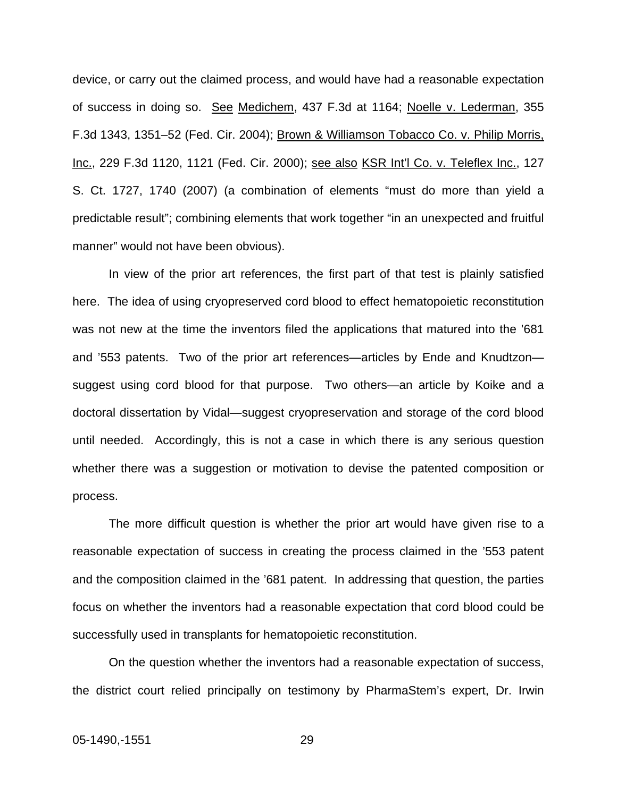device, or carry out the claimed process, and would have had a reasonable expectation of success in doing so. See Medichem, 437 F.3d at 1164; Noelle v. Lederman, 355 F.3d 1343, 1351–52 (Fed. Cir. 2004); Brown & Williamson Tobacco Co. v. Philip Morris, Inc., 229 F.3d 1120, 1121 (Fed. Cir. 2000); see also KSR Int'l Co. v. Teleflex Inc., 127 S. Ct. 1727, 1740 (2007) (a combination of elements "must do more than yield a predictable result"; combining elements that work together "in an unexpected and fruitful manner" would not have been obvious).

In view of the prior art references, the first part of that test is plainly satisfied here. The idea of using cryopreserved cord blood to effect hematopoietic reconstitution was not new at the time the inventors filed the applications that matured into the '681 and '553 patents. Two of the prior art references—articles by Ende and Knudtzon suggest using cord blood for that purpose. Two others—an article by Koike and a doctoral dissertation by Vidal—suggest cryopreservation and storage of the cord blood until needed. Accordingly, this is not a case in which there is any serious question whether there was a suggestion or motivation to devise the patented composition or process.

The more difficult question is whether the prior art would have given rise to a reasonable expectation of success in creating the process claimed in the '553 patent and the composition claimed in the '681 patent. In addressing that question, the parties focus on whether the inventors had a reasonable expectation that cord blood could be successfully used in transplants for hematopoietic reconstitution.

On the question whether the inventors had a reasonable expectation of success, the district court relied principally on testimony by PharmaStem's expert, Dr. Irwin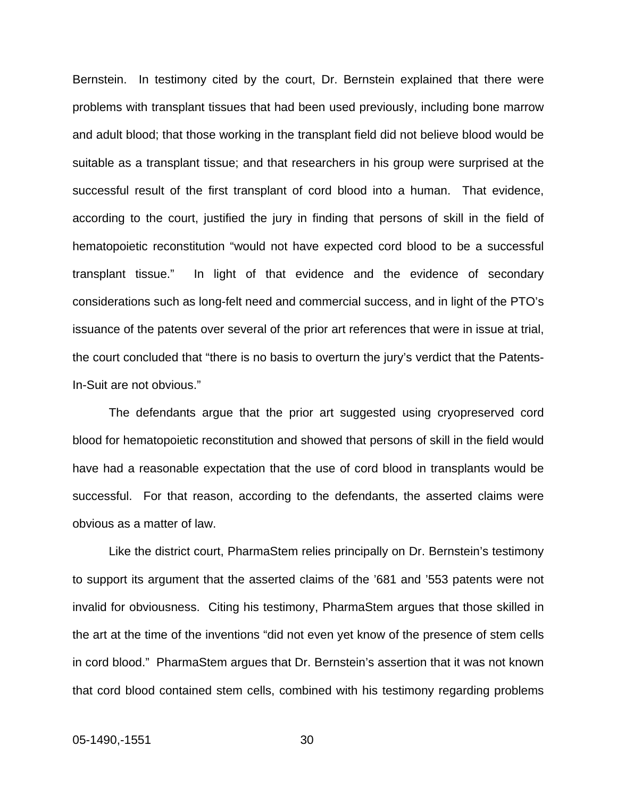Bernstein. In testimony cited by the court, Dr. Bernstein explained that there were problems with transplant tissues that had been used previously, including bone marrow and adult blood; that those working in the transplant field did not believe blood would be suitable as a transplant tissue; and that researchers in his group were surprised at the successful result of the first transplant of cord blood into a human. That evidence, according to the court, justified the jury in finding that persons of skill in the field of hematopoietic reconstitution "would not have expected cord blood to be a successful transplant tissue." In light of that evidence and the evidence of secondary considerations such as long-felt need and commercial success, and in light of the PTO's issuance of the patents over several of the prior art references that were in issue at trial, the court concluded that "there is no basis to overturn the jury's verdict that the Patents-In-Suit are not obvious."

The defendants argue that the prior art suggested using cryopreserved cord blood for hematopoietic reconstitution and showed that persons of skill in the field would have had a reasonable expectation that the use of cord blood in transplants would be successful. For that reason, according to the defendants, the asserted claims were obvious as a matter of law.

Like the district court, PharmaStem relies principally on Dr. Bernstein's testimony to support its argument that the asserted claims of the '681 and '553 patents were not invalid for obviousness. Citing his testimony, PharmaStem argues that those skilled in the art at the time of the inventions "did not even yet know of the presence of stem cells in cord blood." PharmaStem argues that Dr. Bernstein's assertion that it was not known that cord blood contained stem cells, combined with his testimony regarding problems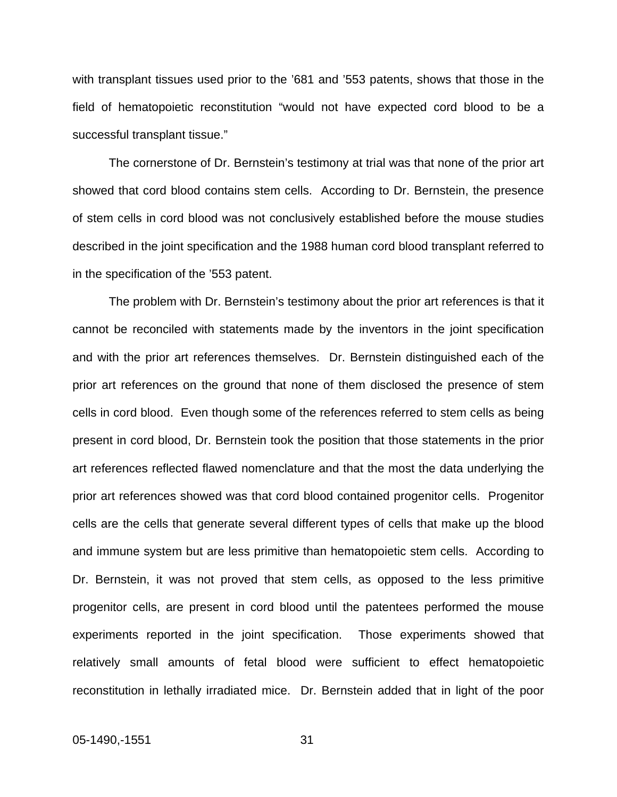with transplant tissues used prior to the '681 and '553 patents, shows that those in the field of hematopoietic reconstitution "would not have expected cord blood to be a successful transplant tissue."

The cornerstone of Dr. Bernstein's testimony at trial was that none of the prior art showed that cord blood contains stem cells. According to Dr. Bernstein, the presence of stem cells in cord blood was not conclusively established before the mouse studies described in the joint specification and the 1988 human cord blood transplant referred to in the specification of the '553 patent.

The problem with Dr. Bernstein's testimony about the prior art references is that it cannot be reconciled with statements made by the inventors in the joint specification and with the prior art references themselves. Dr. Bernstein distinguished each of the prior art references on the ground that none of them disclosed the presence of stem cells in cord blood. Even though some of the references referred to stem cells as being present in cord blood, Dr. Bernstein took the position that those statements in the prior art references reflected flawed nomenclature and that the most the data underlying the prior art references showed was that cord blood contained progenitor cells. Progenitor cells are the cells that generate several different types of cells that make up the blood and immune system but are less primitive than hematopoietic stem cells. According to Dr. Bernstein, it was not proved that stem cells, as opposed to the less primitive progenitor cells, are present in cord blood until the patentees performed the mouse experiments reported in the joint specification. Those experiments showed that relatively small amounts of fetal blood were sufficient to effect hematopoietic reconstitution in lethally irradiated mice. Dr. Bernstein added that in light of the poor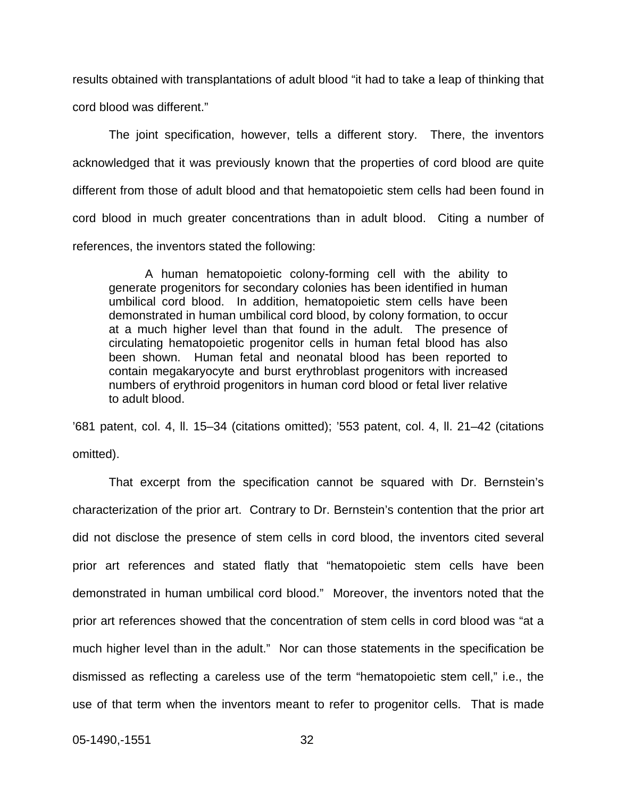results obtained with transplantations of adult blood "it had to take a leap of thinking that cord blood was different."

The joint specification, however, tells a different story. There, the inventors acknowledged that it was previously known that the properties of cord blood are quite different from those of adult blood and that hematopoietic stem cells had been found in cord blood in much greater concentrations than in adult blood. Citing a number of references, the inventors stated the following:

A human hematopoietic colony-forming cell with the ability to generate progenitors for secondary colonies has been identified in human umbilical cord blood. In addition, hematopoietic stem cells have been demonstrated in human umbilical cord blood, by colony formation, to occur at a much higher level than that found in the adult. The presence of circulating hematopoietic progenitor cells in human fetal blood has also been shown. Human fetal and neonatal blood has been reported to contain megakaryocyte and burst erythroblast progenitors with increased numbers of erythroid progenitors in human cord blood or fetal liver relative to adult blood.

'681 patent, col. 4, ll. 15–34 (citations omitted); '553 patent, col. 4, ll. 21–42 (citations omitted).

That excerpt from the specification cannot be squared with Dr. Bernstein's characterization of the prior art. Contrary to Dr. Bernstein's contention that the prior art did not disclose the presence of stem cells in cord blood, the inventors cited several prior art references and stated flatly that "hematopoietic stem cells have been demonstrated in human umbilical cord blood." Moreover, the inventors noted that the prior art references showed that the concentration of stem cells in cord blood was "at a much higher level than in the adult." Nor can those statements in the specification be dismissed as reflecting a careless use of the term "hematopoietic stem cell," i.e., the use of that term when the inventors meant to refer to progenitor cells. That is made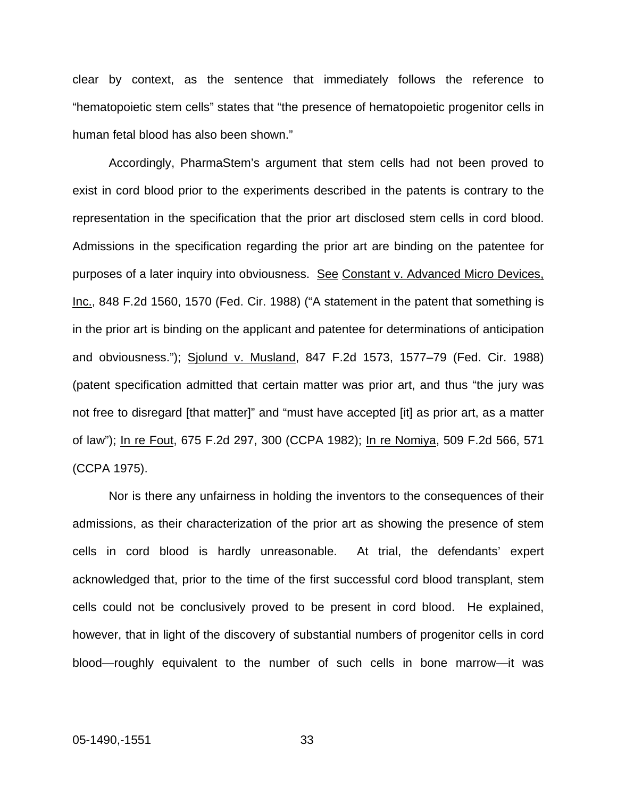clear by context, as the sentence that immediately follows the reference to "hematopoietic stem cells" states that "the presence of hematopoietic progenitor cells in human fetal blood has also been shown."

Accordingly, PharmaStem's argument that stem cells had not been proved to exist in cord blood prior to the experiments described in the patents is contrary to the representation in the specification that the prior art disclosed stem cells in cord blood. Admissions in the specification regarding the prior art are binding on the patentee for purposes of a later inquiry into obviousness. See Constant v. Advanced Micro Devices, Inc., 848 F.2d 1560, 1570 (Fed. Cir. 1988) ("A statement in the patent that something is in the prior art is binding on the applicant and patentee for determinations of anticipation and obviousness."); Sjolund v. Musland, 847 F.2d 1573, 1577–79 (Fed. Cir. 1988) (patent specification admitted that certain matter was prior art, and thus "the jury was not free to disregard [that matter]" and "must have accepted [it] as prior art, as a matter of law"); In re Fout, 675 F.2d 297, 300 (CCPA 1982); In re Nomiya, 509 F.2d 566, 571 (CCPA 1975).

Nor is there any unfairness in holding the inventors to the consequences of their admissions, as their characterization of the prior art as showing the presence of stem cells in cord blood is hardly unreasonable. At trial, the defendants' expert acknowledged that, prior to the time of the first successful cord blood transplant, stem cells could not be conclusively proved to be present in cord blood. He explained, however, that in light of the discovery of substantial numbers of progenitor cells in cord blood—roughly equivalent to the number of such cells in bone marrow—it was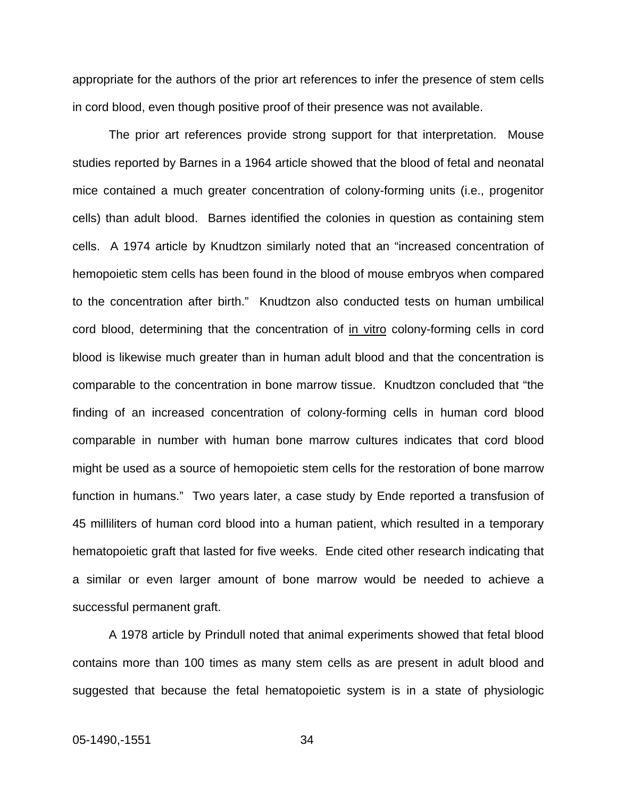appropriate for the authors of the prior art references to infer the presence of stem cells in cord blood, even though positive proof of their presence was not available.

The prior art references provide strong support for that interpretation. Mouse studies reported by Barnes in a 1964 article showed that the blood of fetal and neonatal mice contained a much greater concentration of colony-forming units (i.e., progenitor cells) than adult blood. Barnes identified the colonies in question as containing stem cells. A 1974 article by Knudtzon similarly noted that an "increased concentration of hemopoietic stem cells has been found in the blood of mouse embryos when compared to the concentration after birth." Knudtzon also conducted tests on human umbilical cord blood, determining that the concentration of in vitro colony-forming cells in cord blood is likewise much greater than in human adult blood and that the concentration is comparable to the concentration in bone marrow tissue. Knudtzon concluded that "the finding of an increased concentration of colony-forming cells in human cord blood comparable in number with human bone marrow cultures indicates that cord blood might be used as a source of hemopoietic stem cells for the restoration of bone marrow function in humans." Two years later, a case study by Ende reported a transfusion of 45 milliliters of human cord blood into a human patient, which resulted in a temporary hematopoietic graft that lasted for five weeks. Ende cited other research indicating that a similar or even larger amount of bone marrow would be needed to achieve a successful permanent graft.

A 1978 article by Prindull noted that animal experiments showed that fetal blood contains more than 100 times as many stem cells as are present in adult blood and suggested that because the fetal hematopoietic system is in a state of physiologic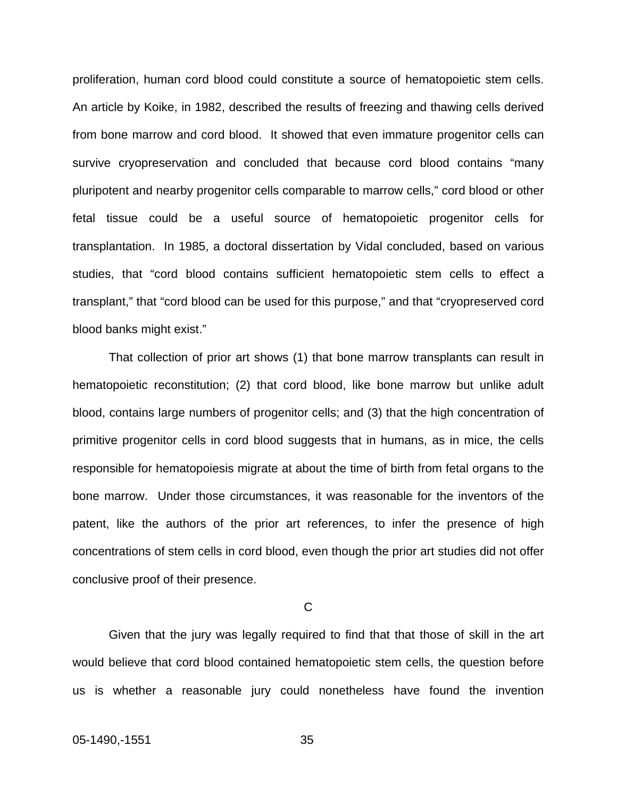proliferation, human cord blood could constitute a source of hematopoietic stem cells. An article by Koike, in 1982, described the results of freezing and thawing cells derived from bone marrow and cord blood. It showed that even immature progenitor cells can survive cryopreservation and concluded that because cord blood contains "many pluripotent and nearby progenitor cells comparable to marrow cells," cord blood or other fetal tissue could be a useful source of hematopoietic progenitor cells for transplantation. In 1985, a doctoral dissertation by Vidal concluded, based on various studies, that "cord blood contains sufficient hematopoietic stem cells to effect a transplant," that "cord blood can be used for this purpose," and that "cryopreserved cord blood banks might exist."

That collection of prior art shows (1) that bone marrow transplants can result in hematopoietic reconstitution; (2) that cord blood, like bone marrow but unlike adult blood, contains large numbers of progenitor cells; and (3) that the high concentration of primitive progenitor cells in cord blood suggests that in humans, as in mice, the cells responsible for hematopoiesis migrate at about the time of birth from fetal organs to the bone marrow. Under those circumstances, it was reasonable for the inventors of the patent, like the authors of the prior art references, to infer the presence of high concentrations of stem cells in cord blood, even though the prior art studies did not offer conclusive proof of their presence.

 $\mathcal{C}$ 

Given that the jury was legally required to find that that those of skill in the art would believe that cord blood contained hematopoietic stem cells, the question before us is whether a reasonable jury could nonetheless have found the invention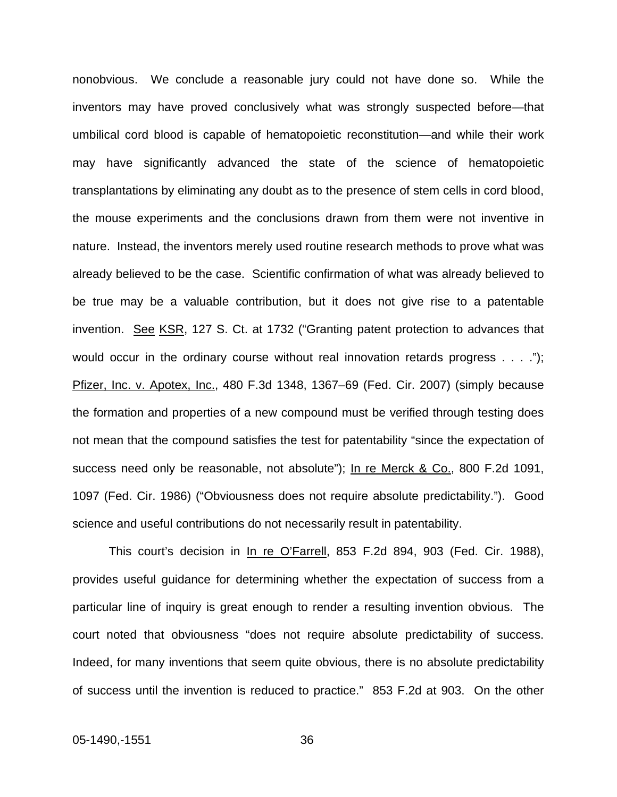nonobvious. We conclude a reasonable jury could not have done so. While the inventors may have proved conclusively what was strongly suspected before—that umbilical cord blood is capable of hematopoietic reconstitution—and while their work may have significantly advanced the state of the science of hematopoietic transplantations by eliminating any doubt as to the presence of stem cells in cord blood, the mouse experiments and the conclusions drawn from them were not inventive in nature. Instead, the inventors merely used routine research methods to prove what was already believed to be the case. Scientific confirmation of what was already believed to be true may be a valuable contribution, but it does not give rise to a patentable invention. See KSR, 127 S. Ct. at 1732 ("Granting patent protection to advances that would occur in the ordinary course without real innovation retards progress . . . ."); Pfizer, Inc. v. Apotex, Inc., 480 F.3d 1348, 1367–69 (Fed. Cir. 2007) (simply because the formation and properties of a new compound must be verified through testing does not mean that the compound satisfies the test for patentability "since the expectation of success need only be reasonable, not absolute"); In re Merck & Co., 800 F.2d 1091, 1097 (Fed. Cir. 1986) ("Obviousness does not require absolute predictability."). Good science and useful contributions do not necessarily result in patentability.

This court's decision in In re O'Farrell, 853 F.2d 894, 903 (Fed. Cir. 1988), provides useful guidance for determining whether the expectation of success from a particular line of inquiry is great enough to render a resulting invention obvious. The court noted that obviousness "does not require absolute predictability of success. Indeed, for many inventions that seem quite obvious, there is no absolute predictability of success until the invention is reduced to practice." 853 F.2d at 903. On the other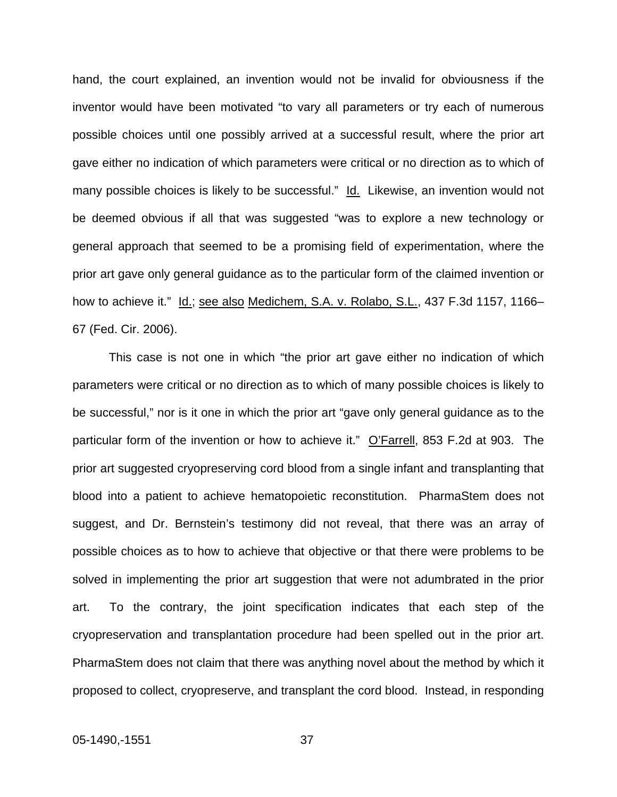hand, the court explained, an invention would not be invalid for obviousness if the inventor would have been motivated "to vary all parameters or try each of numerous possible choices until one possibly arrived at a successful result, where the prior art gave either no indication of which parameters were critical or no direction as to which of many possible choices is likely to be successful." Id. Likewise, an invention would not be deemed obvious if all that was suggested "was to explore a new technology or general approach that seemed to be a promising field of experimentation, where the prior art gave only general guidance as to the particular form of the claimed invention or how to achieve it." Id.; see also Medichem, S.A. v. Rolabo, S.L., 437 F.3d 1157, 1166-67 (Fed. Cir. 2006).

This case is not one in which "the prior art gave either no indication of which parameters were critical or no direction as to which of many possible choices is likely to be successful," nor is it one in which the prior art "gave only general guidance as to the particular form of the invention or how to achieve it." O'Farrell, 853 F.2d at 903. The prior art suggested cryopreserving cord blood from a single infant and transplanting that blood into a patient to achieve hematopoietic reconstitution. PharmaStem does not suggest, and Dr. Bernstein's testimony did not reveal, that there was an array of possible choices as to how to achieve that objective or that there were problems to be solved in implementing the prior art suggestion that were not adumbrated in the prior art. To the contrary, the joint specification indicates that each step of the cryopreservation and transplantation procedure had been spelled out in the prior art. PharmaStem does not claim that there was anything novel about the method by which it proposed to collect, cryopreserve, and transplant the cord blood. Instead, in responding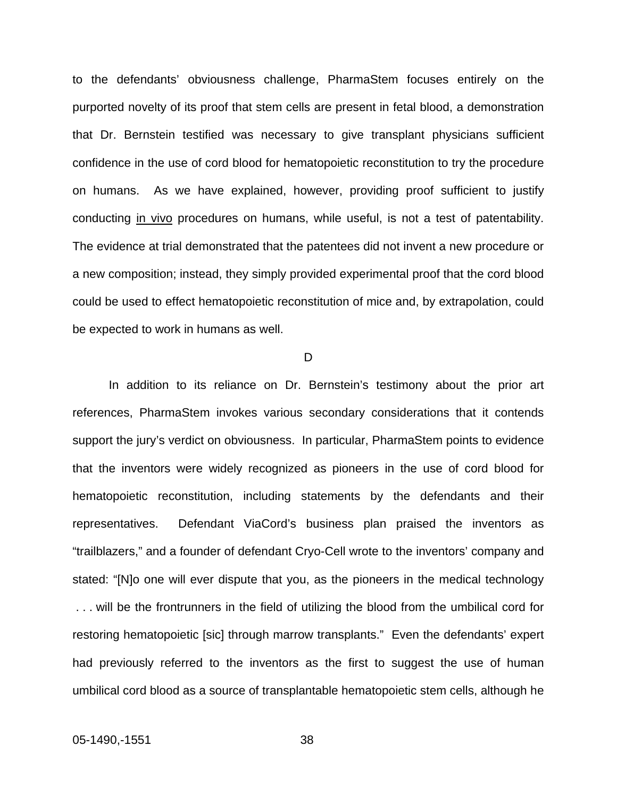to the defendants' obviousness challenge, PharmaStem focuses entirely on the purported novelty of its proof that stem cells are present in fetal blood, a demonstration that Dr. Bernstein testified was necessary to give transplant physicians sufficient confidence in the use of cord blood for hematopoietic reconstitution to try the procedure on humans. As we have explained, however, providing proof sufficient to justify conducting in vivo procedures on humans, while useful, is not a test of patentability. The evidence at trial demonstrated that the patentees did not invent a new procedure or a new composition; instead, they simply provided experimental proof that the cord blood could be used to effect hematopoietic reconstitution of mice and, by extrapolation, could be expected to work in humans as well.

D

In addition to its reliance on Dr. Bernstein's testimony about the prior art references, PharmaStem invokes various secondary considerations that it contends support the jury's verdict on obviousness. In particular, PharmaStem points to evidence that the inventors were widely recognized as pioneers in the use of cord blood for hematopoietic reconstitution, including statements by the defendants and their representatives. Defendant ViaCord's business plan praised the inventors as "trailblazers," and a founder of defendant Cryo-Cell wrote to the inventors' company and stated: "[N]o one will ever dispute that you, as the pioneers in the medical technology . . . will be the frontrunners in the field of utilizing the blood from the umbilical cord for restoring hematopoietic [sic] through marrow transplants." Even the defendants' expert had previously referred to the inventors as the first to suggest the use of human umbilical cord blood as a source of transplantable hematopoietic stem cells, although he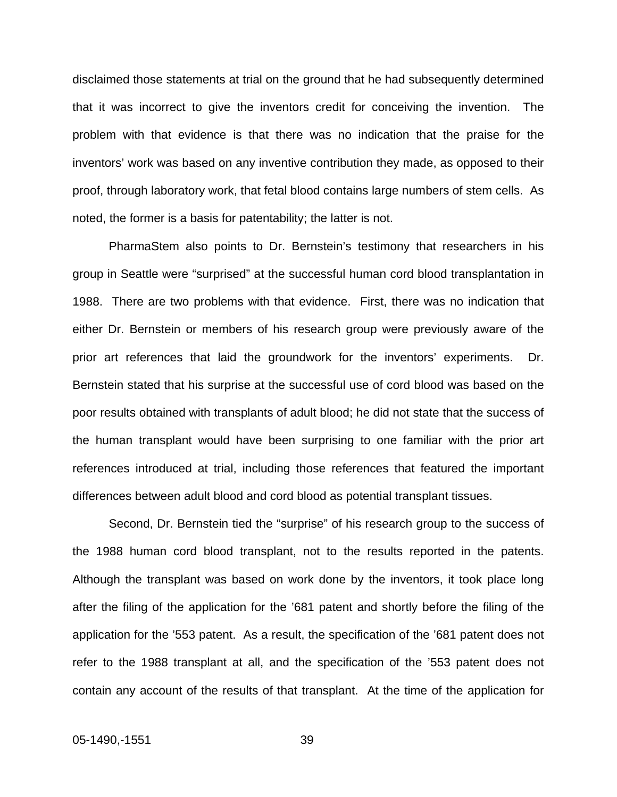disclaimed those statements at trial on the ground that he had subsequently determined that it was incorrect to give the inventors credit for conceiving the invention. The problem with that evidence is that there was no indication that the praise for the inventors' work was based on any inventive contribution they made, as opposed to their proof, through laboratory work, that fetal blood contains large numbers of stem cells. As noted, the former is a basis for patentability; the latter is not.

PharmaStem also points to Dr. Bernstein's testimony that researchers in his group in Seattle were "surprised" at the successful human cord blood transplantation in 1988. There are two problems with that evidence. First, there was no indication that either Dr. Bernstein or members of his research group were previously aware of the prior art references that laid the groundwork for the inventors' experiments. Dr. Bernstein stated that his surprise at the successful use of cord blood was based on the poor results obtained with transplants of adult blood; he did not state that the success of the human transplant would have been surprising to one familiar with the prior art references introduced at trial, including those references that featured the important differences between adult blood and cord blood as potential transplant tissues.

Second, Dr. Bernstein tied the "surprise" of his research group to the success of the 1988 human cord blood transplant, not to the results reported in the patents. Although the transplant was based on work done by the inventors, it took place long after the filing of the application for the '681 patent and shortly before the filing of the application for the '553 patent. As a result, the specification of the '681 patent does not refer to the 1988 transplant at all, and the specification of the '553 patent does not contain any account of the results of that transplant. At the time of the application for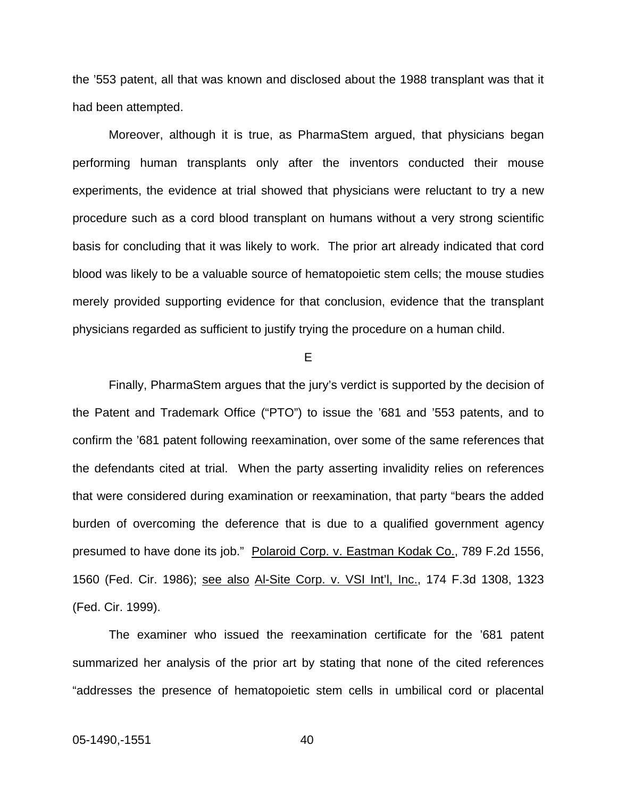the '553 patent, all that was known and disclosed about the 1988 transplant was that it had been attempted.

Moreover, although it is true, as PharmaStem argued, that physicians began performing human transplants only after the inventors conducted their mouse experiments, the evidence at trial showed that physicians were reluctant to try a new procedure such as a cord blood transplant on humans without a very strong scientific basis for concluding that it was likely to work. The prior art already indicated that cord blood was likely to be a valuable source of hematopoietic stem cells; the mouse studies merely provided supporting evidence for that conclusion, evidence that the transplant physicians regarded as sufficient to justify trying the procedure on a human child.

E

Finally, PharmaStem argues that the jury's verdict is supported by the decision of the Patent and Trademark Office ("PTO") to issue the '681 and '553 patents, and to confirm the '681 patent following reexamination, over some of the same references that the defendants cited at trial. When the party asserting invalidity relies on references that were considered during examination or reexamination, that party "bears the added burden of overcoming the deference that is due to a qualified government agency presumed to have done its job." Polaroid Corp. v. Eastman Kodak Co., 789 F.2d 1556, 1560 (Fed. Cir. 1986); see also Al-Site Corp. v. VSI Int'l, Inc., 174 F.3d 1308, 1323 (Fed. Cir. 1999).

The examiner who issued the reexamination certificate for the '681 patent summarized her analysis of the prior art by stating that none of the cited references "addresses the presence of hematopoietic stem cells in umbilical cord or placental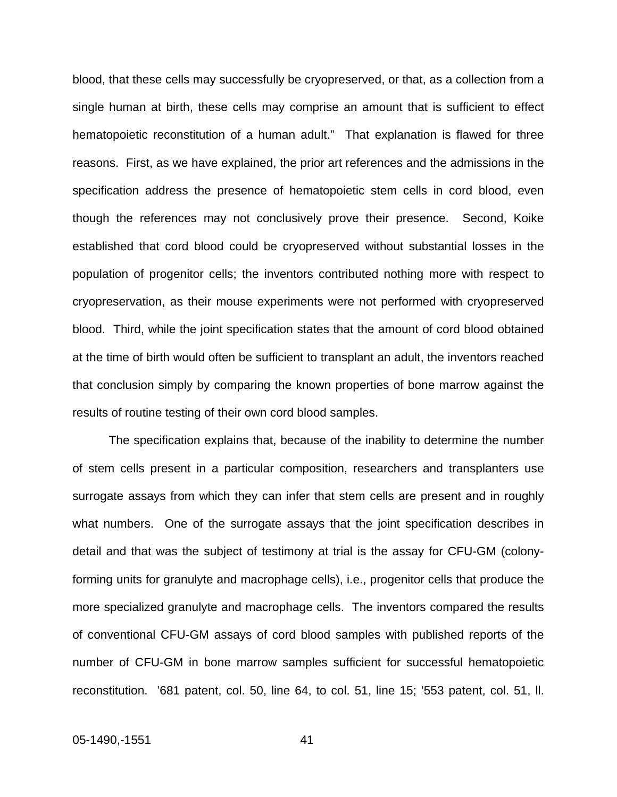blood, that these cells may successfully be cryopreserved, or that, as a collection from a single human at birth, these cells may comprise an amount that is sufficient to effect hematopoietic reconstitution of a human adult." That explanation is flawed for three reasons. First, as we have explained, the prior art references and the admissions in the specification address the presence of hematopoietic stem cells in cord blood, even though the references may not conclusively prove their presence. Second, Koike established that cord blood could be cryopreserved without substantial losses in the population of progenitor cells; the inventors contributed nothing more with respect to cryopreservation, as their mouse experiments were not performed with cryopreserved blood. Third, while the joint specification states that the amount of cord blood obtained at the time of birth would often be sufficient to transplant an adult, the inventors reached that conclusion simply by comparing the known properties of bone marrow against the results of routine testing of their own cord blood samples.

The specification explains that, because of the inability to determine the number of stem cells present in a particular composition, researchers and transplanters use surrogate assays from which they can infer that stem cells are present and in roughly what numbers. One of the surrogate assays that the joint specification describes in detail and that was the subject of testimony at trial is the assay for CFU-GM (colonyforming units for granulyte and macrophage cells), i.e., progenitor cells that produce the more specialized granulyte and macrophage cells. The inventors compared the results of conventional CFU-GM assays of cord blood samples with published reports of the number of CFU-GM in bone marrow samples sufficient for successful hematopoietic reconstitution. '681 patent, col. 50, line 64, to col. 51, line 15; '553 patent, col. 51, ll.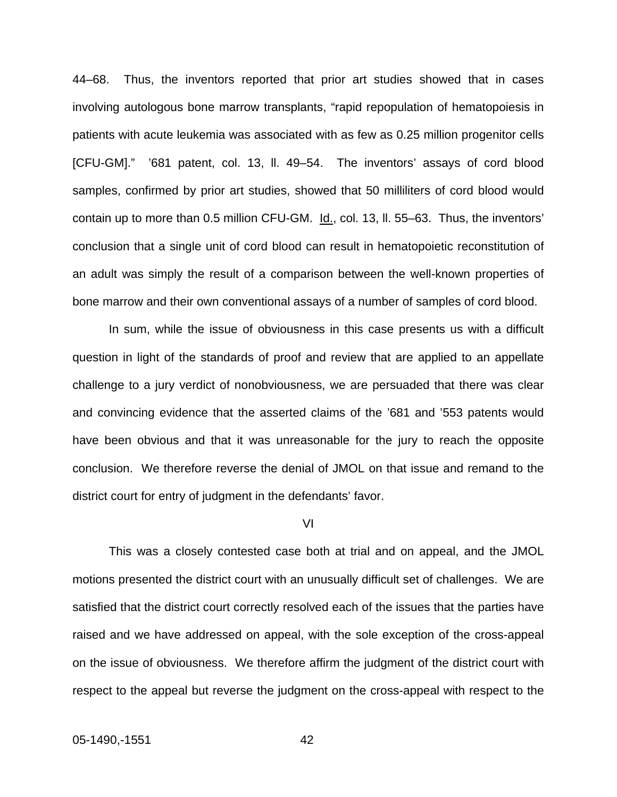44–68. Thus, the inventors reported that prior art studies showed that in cases involving autologous bone marrow transplants, "rapid repopulation of hematopoiesis in patients with acute leukemia was associated with as few as 0.25 million progenitor cells [CFU-GM]." '681 patent, col. 13, ll. 49–54. The inventors' assays of cord blood samples, confirmed by prior art studies, showed that 50 milliliters of cord blood would contain up to more than 0.5 million CFU-GM. Id., col. 13, ll. 55–63. Thus, the inventors' conclusion that a single unit of cord blood can result in hematopoietic reconstitution of an adult was simply the result of a comparison between the well-known properties of bone marrow and their own conventional assays of a number of samples of cord blood.

In sum, while the issue of obviousness in this case presents us with a difficult question in light of the standards of proof and review that are applied to an appellate challenge to a jury verdict of nonobviousness, we are persuaded that there was clear and convincing evidence that the asserted claims of the '681 and '553 patents would have been obvious and that it was unreasonable for the jury to reach the opposite conclusion. We therefore reverse the denial of JMOL on that issue and remand to the district court for entry of judgment in the defendants' favor.

#### VI

 This was a closely contested case both at trial and on appeal, and the JMOL motions presented the district court with an unusually difficult set of challenges. We are satisfied that the district court correctly resolved each of the issues that the parties have raised and we have addressed on appeal, with the sole exception of the cross-appeal on the issue of obviousness. We therefore affirm the judgment of the district court with respect to the appeal but reverse the judgment on the cross-appeal with respect to the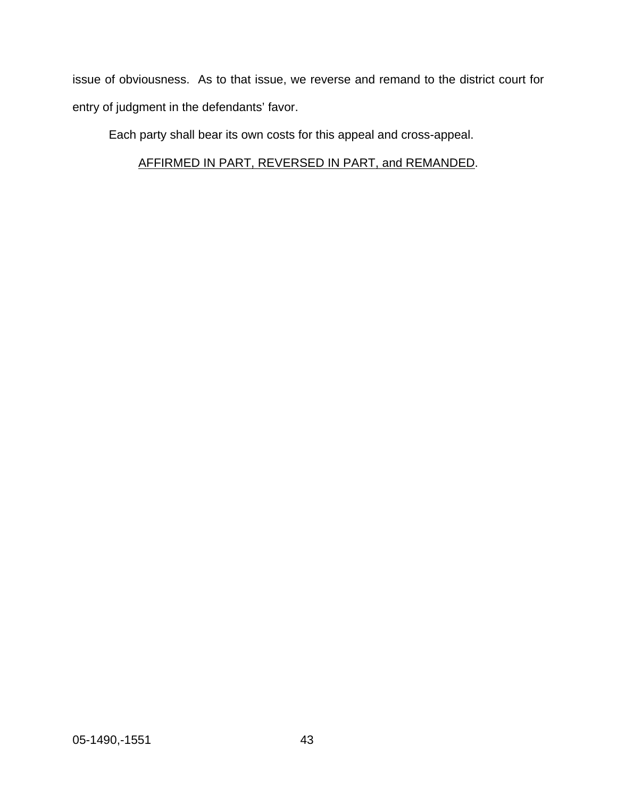issue of obviousness. As to that issue, we reverse and remand to the district court for entry of judgment in the defendants' favor.

Each party shall bear its own costs for this appeal and cross-appeal.

# AFFIRMED IN PART, REVERSED IN PART, and REMANDED.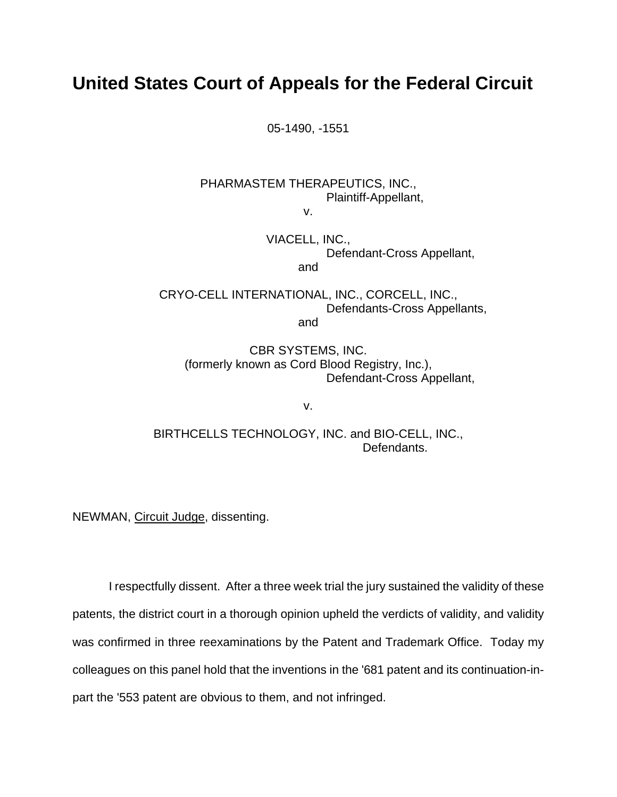# **United States Court of Appeals for the Federal Circuit**

05-1490, -1551

## PHARMASTEM THERAPEUTICS, INC., Plaintiff-Appellant,

v.

 VIACELL, INC., Defendant-Cross Appellant, and the contract of the contract of the contract of the contract of the contract of the contract of the contract of the contract of the contract of the contract of the contract of the contract of the contract of the contra

CRYO-CELL INTERNATIONAL, INC., CORCELL, INC., Defendants-Cross Appellants, and the contract of the contract of the contract of the contract of the contract of the contract of the contract of the contract of the contract of the contract of the contract of the contract of the contract of the contra

> CBR SYSTEMS, INC. (formerly known as Cord Blood Registry, Inc.), Defendant-Cross Appellant,

v.

BIRTHCELLS TECHNOLOGY, INC. and BIO-CELL, INC., Defendants.

NEWMAN, Circuit Judge, dissenting.

I respectfully dissent. After a three week trial the jury sustained the validity of these patents, the district court in a thorough opinion upheld the verdicts of validity, and validity was confirmed in three reexaminations by the Patent and Trademark Office. Today my colleagues on this panel hold that the inventions in the '681 patent and its continuation-inpart the '553 patent are obvious to them, and not infringed.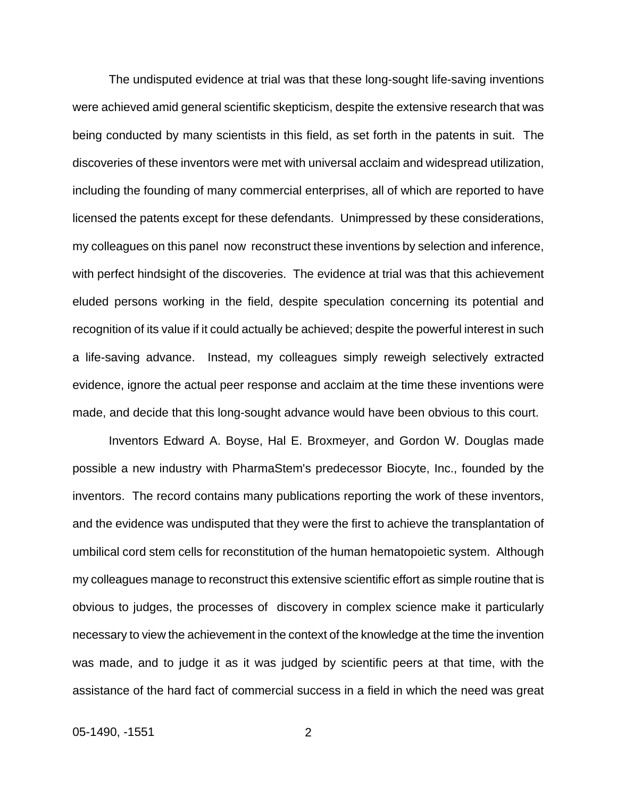The undisputed evidence at trial was that these long-sought life-saving inventions were achieved amid general scientific skepticism, despite the extensive research that was being conducted by many scientists in this field, as set forth in the patents in suit. The discoveries of these inventors were met with universal acclaim and widespread utilization, including the founding of many commercial enterprises, all of which are reported to have licensed the patents except for these defendants. Unimpressed by these considerations, my colleagues on this panel now reconstruct these inventions by selection and inference, with perfect hindsight of the discoveries. The evidence at trial was that this achievement eluded persons working in the field, despite speculation concerning its potential and recognition of its value if it could actually be achieved; despite the powerful interest in such a life-saving advance. Instead, my colleagues simply reweigh selectively extracted evidence, ignore the actual peer response and acclaim at the time these inventions were made, and decide that this long-sought advance would have been obvious to this court.

Inventors Edward A. Boyse, Hal E. Broxmeyer, and Gordon W. Douglas made possible a new industry with PharmaStem's predecessor Biocyte, Inc., founded by the inventors. The record contains many publications reporting the work of these inventors, and the evidence was undisputed that they were the first to achieve the transplantation of umbilical cord stem cells for reconstitution of the human hematopoietic system. Although my colleagues manage to reconstruct this extensive scientific effort as simple routine that is obvious to judges, the processes of discovery in complex science make it particularly necessary to view the achievement in the context of the knowledge at the time the invention was made, and to judge it as it was judged by scientific peers at that time, with the assistance of the hard fact of commercial success in a field in which the need was great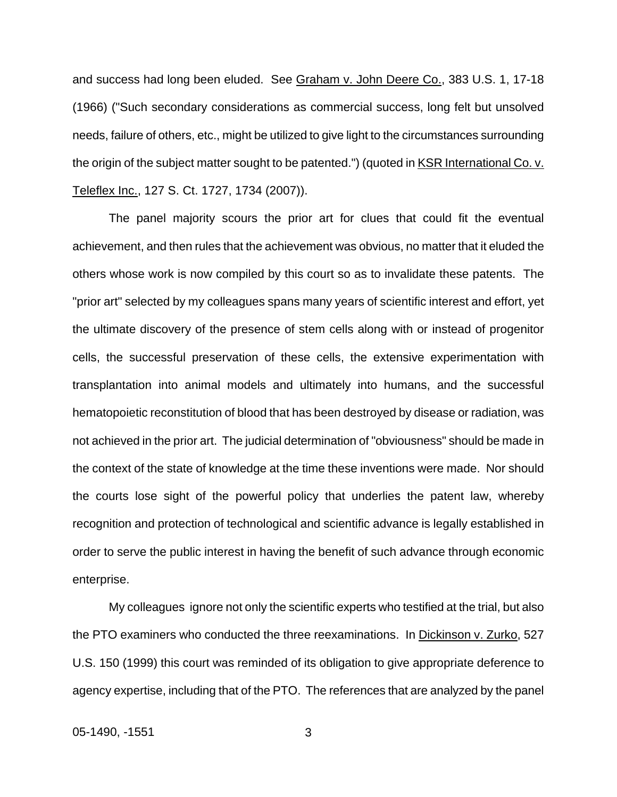and success had long been eluded. See Graham v. John Deere Co., 383 U.S. 1, 17-18 (1966) ("Such secondary considerations as commercial success, long felt but unsolved needs, failure of others, etc., might be utilized to give light to the circumstances surrounding the origin of the subject matter sought to be patented.") (quoted in KSR International Co. v. Teleflex Inc., 127 S. Ct. 1727, 1734 (2007)).

The panel majority scours the prior art for clues that could fit the eventual achievement, and then rules that the achievement was obvious, no matter that it eluded the others whose work is now compiled by this court so as to invalidate these patents. The "prior art" selected by my colleagues spans many years of scientific interest and effort, yet the ultimate discovery of the presence of stem cells along with or instead of progenitor cells, the successful preservation of these cells, the extensive experimentation with transplantation into animal models and ultimately into humans, and the successful hematopoietic reconstitution of blood that has been destroyed by disease or radiation, was not achieved in the prior art. The judicial determination of "obviousness" should be made in the context of the state of knowledge at the time these inventions were made. Nor should the courts lose sight of the powerful policy that underlies the patent law, whereby recognition and protection of technological and scientific advance is legally established in order to serve the public interest in having the benefit of such advance through economic enterprise.

My colleagues ignore not only the scientific experts who testified at the trial, but also the PTO examiners who conducted the three reexaminations. In Dickinson v. Zurko, 527 U.S. 150 (1999) this court was reminded of its obligation to give appropriate deference to agency expertise, including that of the PTO. The references that are analyzed by the panel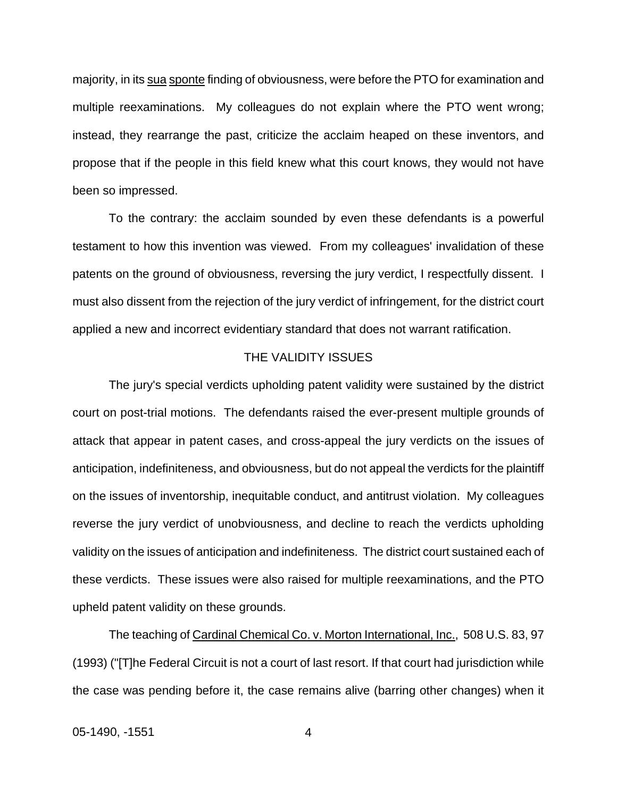majority, in its sua sponte finding of obviousness, were before the PTO for examination and multiple reexaminations. My colleagues do not explain where the PTO went wrong; instead, they rearrange the past, criticize the acclaim heaped on these inventors, and propose that if the people in this field knew what this court knows, they would not have been so impressed.

To the contrary: the acclaim sounded by even these defendants is a powerful testament to how this invention was viewed. From my colleagues' invalidation of these patents on the ground of obviousness, reversing the jury verdict, I respectfully dissent. I must also dissent from the rejection of the jury verdict of infringement, for the district court applied a new and incorrect evidentiary standard that does not warrant ratification.

### THE VALIDITY ISSUES

The jury's special verdicts upholding patent validity were sustained by the district court on post-trial motions. The defendants raised the ever-present multiple grounds of attack that appear in patent cases, and cross-appeal the jury verdicts on the issues of anticipation, indefiniteness, and obviousness, but do not appeal the verdicts for the plaintiff on the issues of inventorship, inequitable conduct, and antitrust violation. My colleagues reverse the jury verdict of unobviousness, and decline to reach the verdicts upholding validity on the issues of anticipation and indefiniteness. The district court sustained each of these verdicts. These issues were also raised for multiple reexaminations, and the PTO upheld patent validity on these grounds.

The teaching of Cardinal Chemical Co. v. Morton International, Inc., 508 U.S. 83, 97 (1993) ("[T]he Federal Circuit is not a court of last resort. If that court had jurisdiction while the case was pending before it, the case remains alive (barring other changes) when it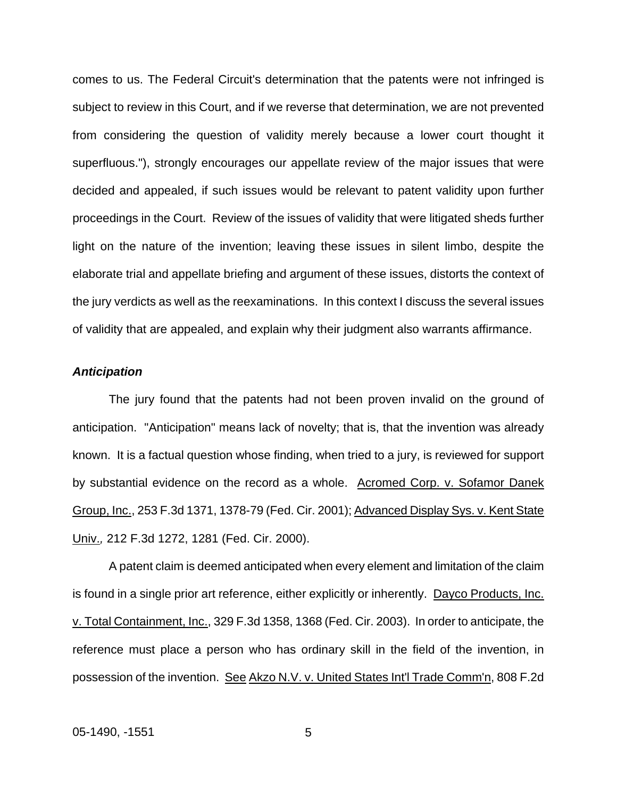comes to us. The Federal Circuit's determination that the patents were not infringed is subject to review in this Court, and if we reverse that determination, we are not prevented from considering the question of validity merely because a lower court thought it superfluous."), strongly encourages our appellate review of the major issues that were decided and appealed, if such issues would be relevant to patent validity upon further proceedings in the Court. Review of the issues of validity that were litigated sheds further light on the nature of the invention; leaving these issues in silent limbo, despite the elaborate trial and appellate briefing and argument of these issues, distorts the context of the jury verdicts as well as the reexaminations. In this context I discuss the several issues of validity that are appealed, and explain why their judgment also warrants affirmance.

#### *Anticipation*

The jury found that the patents had not been proven invalid on the ground of anticipation. "Anticipation" means lack of novelty; that is, that the invention was already known. It is a factual question whose finding, when tried to a jury, is reviewed for support by substantial evidence on the record as a whole. Acromed Corp. v. Sofamor Danek Group, Inc., 253 F.3d 1371, 1378-79 (Fed. Cir. 2001); Advanced Display Sys. v. Kent State Univ.*,* 212 F.3d 1272, 1281 (Fed. Cir. 2000).

A patent claim is deemed anticipated when every element and limitation of the claim is found in a single prior art reference, either explicitly or inherently. Dayco Products, Inc. v. Total Containment, Inc., 329 F.3d 1358, 1368 (Fed. Cir. 2003). In order to anticipate, the reference must place a person who has ordinary skill in the field of the invention, in possession of the invention. See Akzo N.V. v. United States Int'l Trade Comm'n, 808 F.2d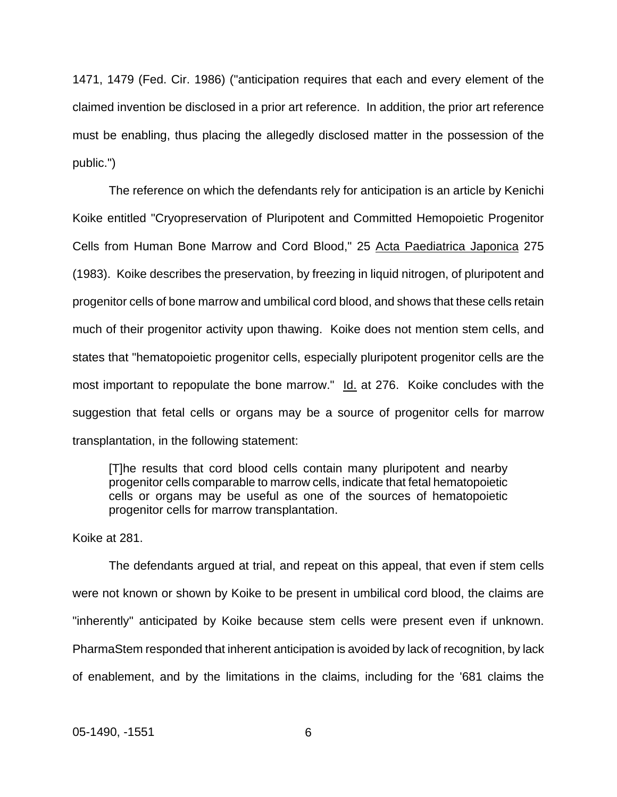1471, 1479 (Fed. Cir. 1986) ("anticipation requires that each and every element of the claimed invention be disclosed in a prior art reference. In addition, the prior art reference must be enabling, thus placing the allegedly disclosed matter in the possession of the public.")

The reference on which the defendants rely for anticipation is an article by Kenichi Koike entitled "Cryopreservation of Pluripotent and Committed Hemopoietic Progenitor Cells from Human Bone Marrow and Cord Blood," 25 Acta Paediatrica Japonica 275 (1983). Koike describes the preservation, by freezing in liquid nitrogen, of pluripotent and progenitor cells of bone marrow and umbilical cord blood, and shows that these cells retain much of their progenitor activity upon thawing. Koike does not mention stem cells, and states that "hematopoietic progenitor cells, especially pluripotent progenitor cells are the most important to repopulate the bone marrow." Id. at 276. Koike concludes with the suggestion that fetal cells or organs may be a source of progenitor cells for marrow transplantation, in the following statement:

[T]he results that cord blood cells contain many pluripotent and nearby progenitor cells comparable to marrow cells, indicate that fetal hematopoietic cells or organs may be useful as one of the sources of hematopoietic progenitor cells for marrow transplantation.

Koike at 281.

The defendants argued at trial, and repeat on this appeal, that even if stem cells were not known or shown by Koike to be present in umbilical cord blood, the claims are "inherently" anticipated by Koike because stem cells were present even if unknown. PharmaStem responded that inherent anticipation is avoided by lack of recognition, by lack of enablement, and by the limitations in the claims, including for the '681 claims the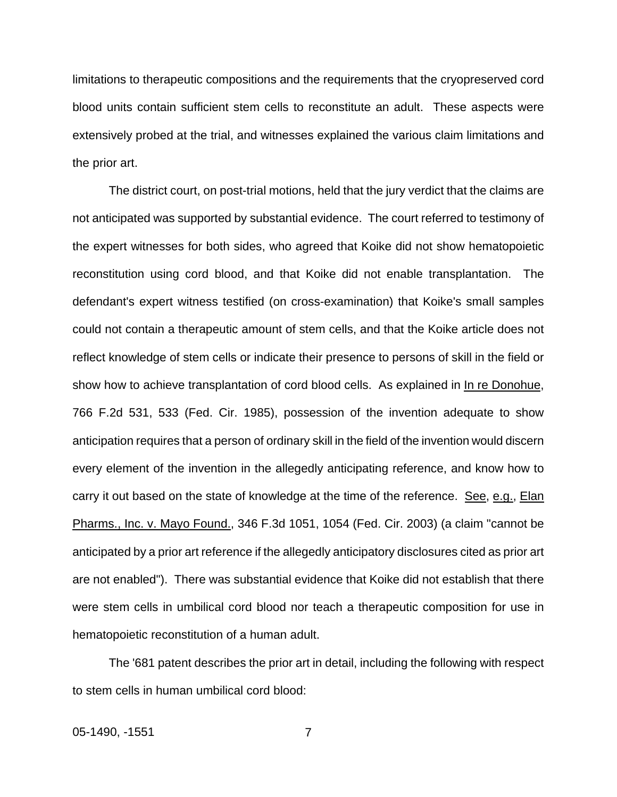limitations to therapeutic compositions and the requirements that the cryopreserved cord blood units contain sufficient stem cells to reconstitute an adult. These aspects were extensively probed at the trial, and witnesses explained the various claim limitations and the prior art.

The district court, on post-trial motions, held that the jury verdict that the claims are not anticipated was supported by substantial evidence. The court referred to testimony of the expert witnesses for both sides, who agreed that Koike did not show hematopoietic reconstitution using cord blood, and that Koike did not enable transplantation. The defendant's expert witness testified (on cross-examination) that Koike's small samples could not contain a therapeutic amount of stem cells, and that the Koike article does not reflect knowledge of stem cells or indicate their presence to persons of skill in the field or show how to achieve transplantation of cord blood cells. As explained in In re Donohue, 766 F.2d 531, 533 (Fed. Cir. 1985), possession of the invention adequate to show anticipation requires that a person of ordinary skill in the field of the invention would discern every element of the invention in the allegedly anticipating reference, and know how to carry it out based on the state of knowledge at the time of the reference. See, e.g., Elan Pharms., Inc. v. Mayo Found., 346 F.3d 1051, 1054 (Fed. Cir. 2003) (a claim "cannot be anticipated by a prior art reference if the allegedly anticipatory disclosures cited as prior art are not enabled"). There was substantial evidence that Koike did not establish that there were stem cells in umbilical cord blood nor teach a therapeutic composition for use in hematopoietic reconstitution of a human adult.

The '681 patent describes the prior art in detail, including the following with respect to stem cells in human umbilical cord blood: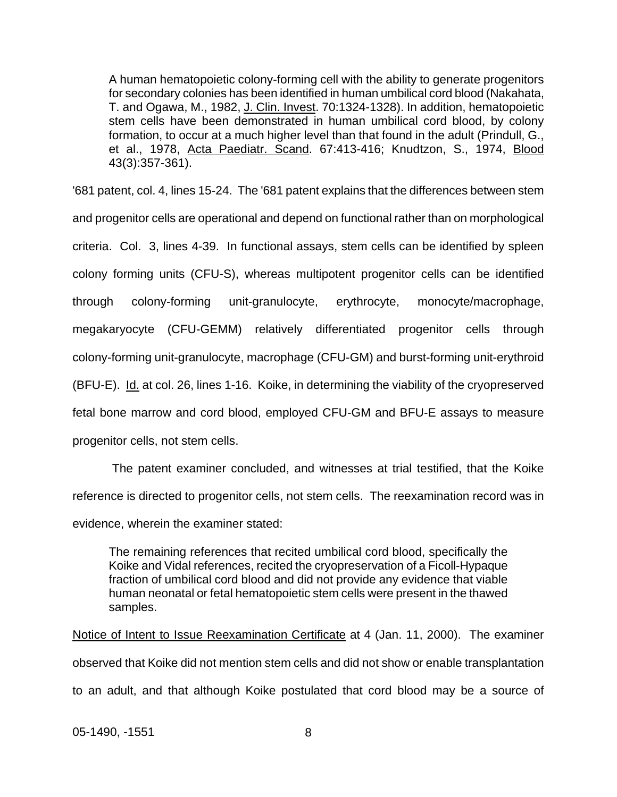A human hematopoietic colony-forming cell with the ability to generate progenitors for secondary colonies has been identified in human umbilical cord blood (Nakahata, T. and Ogawa, M., 1982, J. Clin. Invest. 70:1324-1328). In addition, hematopoietic stem cells have been demonstrated in human umbilical cord blood, by colony formation, to occur at a much higher level than that found in the adult (Prindull, G., et al., 1978, Acta Paediatr. Scand. 67:413-416; Knudtzon, S., 1974, Blood 43(3):357-361).

'681 patent, col. 4, lines 15-24. The '681 patent explains that the differences between stem and progenitor cells are operational and depend on functional rather than on morphological criteria. Col. 3, lines 4-39. In functional assays, stem cells can be identified by spleen colony forming units (CFU-S), whereas multipotent progenitor cells can be identified through colony-forming unit-granulocyte, erythrocyte, monocyte/macrophage, megakaryocyte (CFU-GEMM) relatively differentiated progenitor cells through colony-forming unit-granulocyte, macrophage (CFU-GM) and burst-forming unit-erythroid (BFU-E). Id. at col. 26, lines 1-16. Koike, in determining the viability of the cryopreserved fetal bone marrow and cord blood, employed CFU-GM and BFU-E assays to measure progenitor cells, not stem cells.

 The patent examiner concluded, and witnesses at trial testified, that the Koike reference is directed to progenitor cells, not stem cells. The reexamination record was in evidence, wherein the examiner stated:

The remaining references that recited umbilical cord blood, specifically the Koike and Vidal references, recited the cryopreservation of a Ficoll-Hypaque fraction of umbilical cord blood and did not provide any evidence that viable human neonatal or fetal hematopoietic stem cells were present in the thawed samples.

Notice of Intent to Issue Reexamination Certificate at 4 (Jan. 11, 2000). The examiner observed that Koike did not mention stem cells and did not show or enable transplantation to an adult, and that although Koike postulated that cord blood may be a source of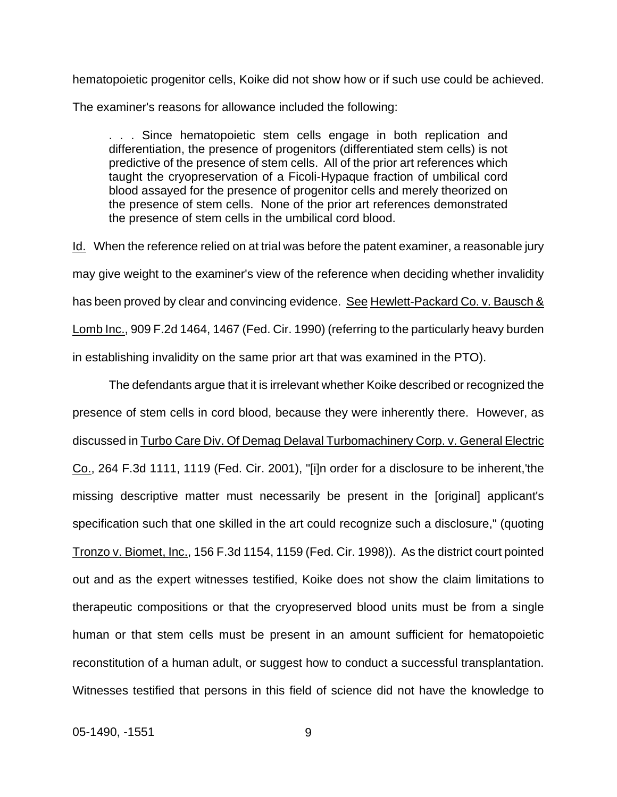hematopoietic progenitor cells, Koike did not show how or if such use could be achieved.

The examiner's reasons for allowance included the following:

. . . Since hematopoietic stem cells engage in both replication and differentiation, the presence of progenitors (differentiated stem cells) is not predictive of the presence of stem cells. All of the prior art references which taught the cryopreservation of a Ficoli-Hypaque fraction of umbilical cord blood assayed for the presence of progenitor cells and merely theorized on the presence of stem cells. None of the prior art references demonstrated the presence of stem cells in the umbilical cord blood.

Id. When the reference relied on at trial was before the patent examiner, a reasonable jury may give weight to the examiner's view of the reference when deciding whether invalidity has been proved by clear and convincing evidence. See Hewlett-Packard Co. v. Bausch & Lomb Inc., 909 F.2d 1464, 1467 (Fed. Cir. 1990) (referring to the particularly heavy burden in establishing invalidity on the same prior art that was examined in the PTO).

The defendants argue that it is irrelevant whether Koike described or recognized the presence of stem cells in cord blood, because they were inherently there. However, as discussed in Turbo Care Div. Of Demag Delaval Turbomachinery Corp. v. General Electric Co., 264 F.3d 1111, 1119 (Fed. Cir. 2001), "[i]n order for a disclosure to be inherent,'the missing descriptive matter must necessarily be present in the [original] applicant's specification such that one skilled in the art could recognize such a disclosure," (quoting Tronzo v. Biomet, Inc., 156 F.3d 1154, 1159 (Fed. Cir. 1998)). As the district court pointed out and as the expert witnesses testified, Koike does not show the claim limitations to therapeutic compositions or that the cryopreserved blood units must be from a single human or that stem cells must be present in an amount sufficient for hematopoietic reconstitution of a human adult, or suggest how to conduct a successful transplantation. Witnesses testified that persons in this field of science did not have the knowledge to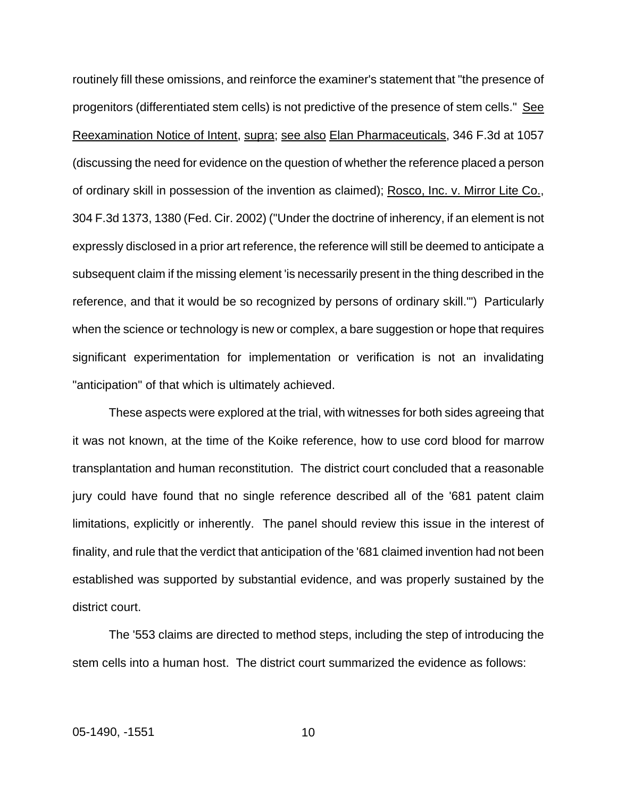routinely fill these omissions, and reinforce the examiner's statement that "the presence of progenitors (differentiated stem cells) is not predictive of the presence of stem cells." See Reexamination Notice of Intent, supra; see also Elan Pharmaceuticals, 346 F.3d at 1057 (discussing the need for evidence on the question of whether the reference placed a person of ordinary skill in possession of the invention as claimed); Rosco, Inc. v. Mirror Lite Co., 304 F.3d 1373, 1380 (Fed. Cir. 2002) ("Under the doctrine of inherency, if an element is not expressly disclosed in a prior art reference, the reference will still be deemed to anticipate a subsequent claim if the missing element 'is necessarily present in the thing described in the reference, and that it would be so recognized by persons of ordinary skill.'") Particularly when the science or technology is new or complex, a bare suggestion or hope that requires significant experimentation for implementation or verification is not an invalidating "anticipation" of that which is ultimately achieved.

 These aspects were explored at the trial, with witnesses for both sides agreeing that it was not known, at the time of the Koike reference, how to use cord blood for marrow transplantation and human reconstitution. The district court concluded that a reasonable jury could have found that no single reference described all of the '681 patent claim limitations, explicitly or inherently. The panel should review this issue in the interest of finality, and rule that the verdict that anticipation of the '681 claimed invention had not been established was supported by substantial evidence, and was properly sustained by the district court.

The '553 claims are directed to method steps, including the step of introducing the stem cells into a human host. The district court summarized the evidence as follows: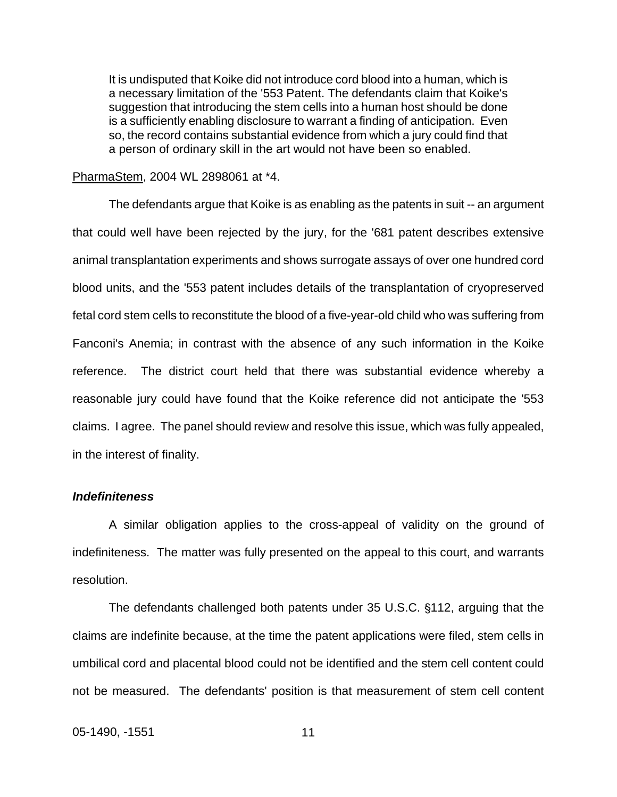It is undisputed that Koike did not introduce cord blood into a human, which is a necessary limitation of the '553 Patent. The defendants claim that Koike's suggestion that introducing the stem cells into a human host should be done is a sufficiently enabling disclosure to warrant a finding of anticipation. Even so, the record contains substantial evidence from which a jury could find that a person of ordinary skill in the art would not have been so enabled.

### PharmaStem, 2004 WL 2898061 at \*4.

The defendants argue that Koike is as enabling as the patents in suit -- an argument that could well have been rejected by the jury, for the '681 patent describes extensive animal transplantation experiments and shows surrogate assays of over one hundred cord blood units, and the '553 patent includes details of the transplantation of cryopreserved fetal cord stem cells to reconstitute the blood of a five-year-old child who was suffering from Fanconi's Anemia; in contrast with the absence of any such information in the Koike reference. The district court held that there was substantial evidence whereby a reasonable jury could have found that the Koike reference did not anticipate the '553 claims. I agree. The panel should review and resolve this issue, which was fully appealed, in the interest of finality.

## *Indefiniteness*

A similar obligation applies to the cross-appeal of validity on the ground of indefiniteness. The matter was fully presented on the appeal to this court, and warrants resolution.

The defendants challenged both patents under 35 U.S.C. §112, arguing that the claims are indefinite because, at the time the patent applications were filed, stem cells in umbilical cord and placental blood could not be identified and the stem cell content could not be measured. The defendants' position is that measurement of stem cell content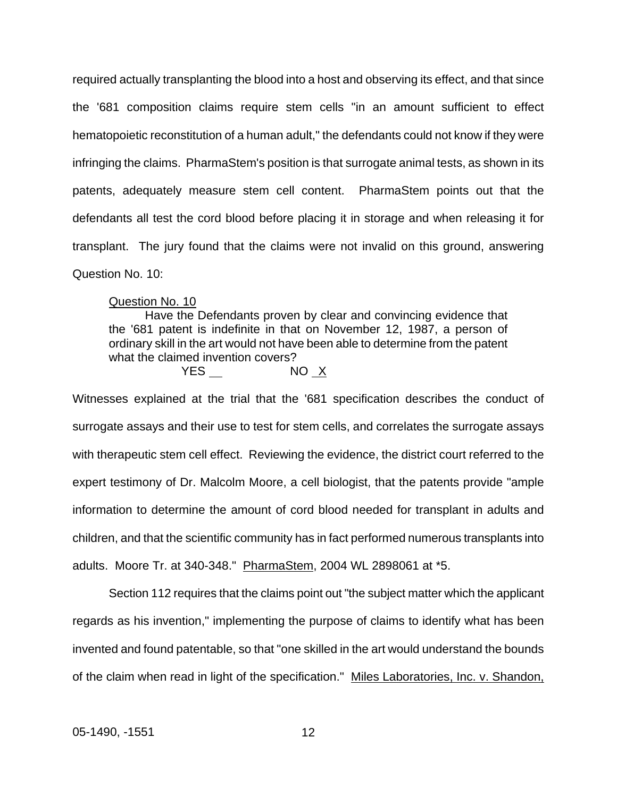required actually transplanting the blood into a host and observing its effect, and that since the '681 composition claims require stem cells "in an amount sufficient to effect hematopoietic reconstitution of a human adult," the defendants could not know if they were infringing the claims. PharmaStem's position is that surrogate animal tests, as shown in its patents, adequately measure stem cell content. PharmaStem points out that the defendants all test the cord blood before placing it in storage and when releasing it for transplant. The jury found that the claims were not invalid on this ground, answering Question No. 10:

#### Question No. 10

Have the Defendants proven by clear and convincing evidence that the '681 patent is indefinite in that on November 12, 1987, a person of ordinary skill in the art would not have been able to determine from the patent what the claimed invention covers?  $YES$  NO  $X$ 

Witnesses explained at the trial that the '681 specification describes the conduct of surrogate assays and their use to test for stem cells, and correlates the surrogate assays with therapeutic stem cell effect. Reviewing the evidence, the district court referred to the expert testimony of Dr. Malcolm Moore, a cell biologist, that the patents provide "ample information to determine the amount of cord blood needed for transplant in adults and children, and that the scientific community has in fact performed numerous transplants into adults. Moore Tr. at 340-348." PharmaStem, 2004 WL 2898061 at \*5.

Section 112 requires that the claims point out "the subject matter which the applicant regards as his invention," implementing the purpose of claims to identify what has been invented and found patentable, so that "one skilled in the art would understand the bounds of the claim when read in light of the specification." Miles Laboratories, Inc. v. Shandon,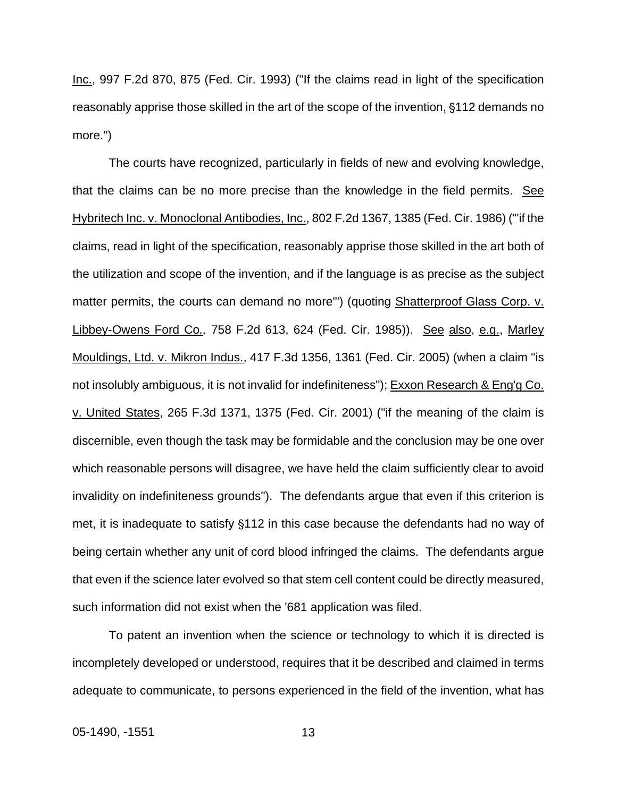Inc., 997 F.2d 870, 875 (Fed. Cir. 1993) ("If the claims read in light of the specification reasonably apprise those skilled in the art of the scope of the invention, §112 demands no more.")

The courts have recognized, particularly in fields of new and evolving knowledge, that the claims can be no more precise than the knowledge in the field permits. See Hybritech Inc. v. Monoclonal Antibodies, Inc., 802 F.2d 1367, 1385 (Fed. Cir. 1986) ("'if the claims, read in light of the specification, reasonably apprise those skilled in the art both of the utilization and scope of the invention, and if the language is as precise as the subject matter permits, the courts can demand no more'") (quoting Shatterproof Glass Corp. v. Libbey-Owens Ford Co*.,* 758 F.2d 613, 624 (Fed. Cir. 1985)). See also, e.g., Marley Mouldings, Ltd. v. Mikron Indus., 417 F.3d 1356, 1361 (Fed. Cir. 2005) (when a claim "is not insolubly ambiguous, it is not invalid for indefiniteness"); Exxon Research & Eng'g Co. v. United States, 265 F.3d 1371, 1375 (Fed. Cir. 2001) ("if the meaning of the claim is discernible, even though the task may be formidable and the conclusion may be one over which reasonable persons will disagree, we have held the claim sufficiently clear to avoid invalidity on indefiniteness grounds"). The defendants argue that even if this criterion is met, it is inadequate to satisfy \$112 in this case because the defendants had no way of being certain whether any unit of cord blood infringed the claims. The defendants argue that even if the science later evolved so that stem cell content could be directly measured, such information did not exist when the '681 application was filed.

To patent an invention when the science or technology to which it is directed is incompletely developed or understood, requires that it be described and claimed in terms adequate to communicate, to persons experienced in the field of the invention, what has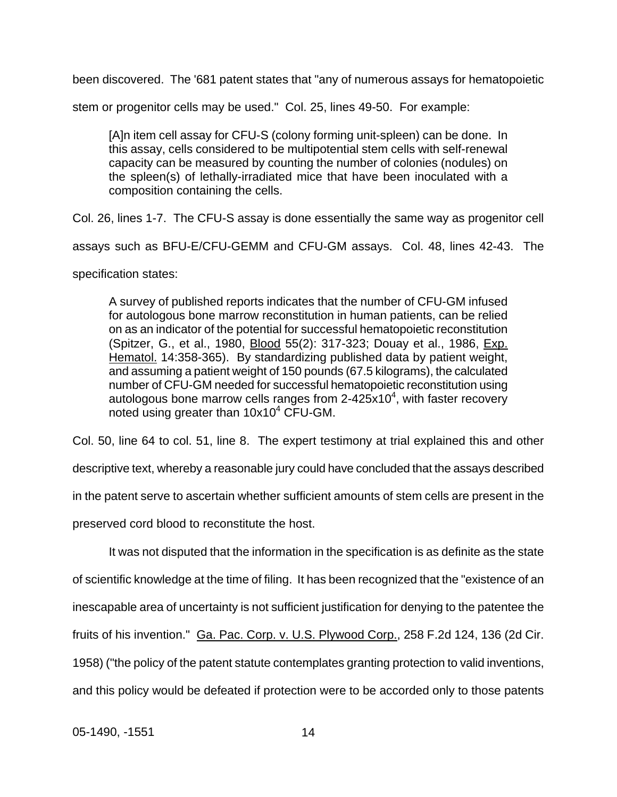been discovered. The '681 patent states that "any of numerous assays for hematopoietic

stem or progenitor cells may be used." Col. 25, lines 49-50. For example:

[A]n item cell assay for CFU-S (colony forming unit-spleen) can be done. In this assay, cells considered to be multipotential stem cells with self-renewal capacity can be measured by counting the number of colonies (nodules) on the spleen(s) of lethally-irradiated mice that have been inoculated with a composition containing the cells.

Col. 26, lines 1-7. The CFU-S assay is done essentially the same way as progenitor cell assays such as BFU-E/CFU-GEMM and CFU-GM assays. Col. 48, lines 42-43. The

specification states:

A survey of published reports indicates that the number of CFU-GM infused for autologous bone marrow reconstitution in human patients, can be relied on as an indicator of the potential for successful hematopoietic reconstitution (Spitzer, G., et al., 1980, Blood 55(2): 317-323; Douay et al., 1986, Exp. Hematol. 14:358-365). By standardizing published data by patient weight, and assuming a patient weight of 150 pounds (67.5 kilograms), the calculated number of CFU-GM needed for successful hematopoietic reconstitution using autologous bone marrow cells ranges from 2-425 $\times$ 10<sup>4</sup>, with faster recovery noted using greater than 10x10<sup>4</sup> CFU-GM.

Col. 50, line 64 to col. 51, line 8. The expert testimony at trial explained this and other

descriptive text, whereby a reasonable jury could have concluded that the assays described

in the patent serve to ascertain whether sufficient amounts of stem cells are present in the

preserved cord blood to reconstitute the host.

It was not disputed that the information in the specification is as definite as the state of scientific knowledge at the time of filing. It has been recognized that the "existence of an inescapable area of uncertainty is not sufficient justification for denying to the patentee the fruits of his invention." Ga. Pac. Corp. v. U.S. Plywood Corp., 258 F.2d 124, 136 (2d Cir. 1958) ("the policy of the patent statute contemplates granting protection to valid inventions, and this policy would be defeated if protection were to be accorded only to those patents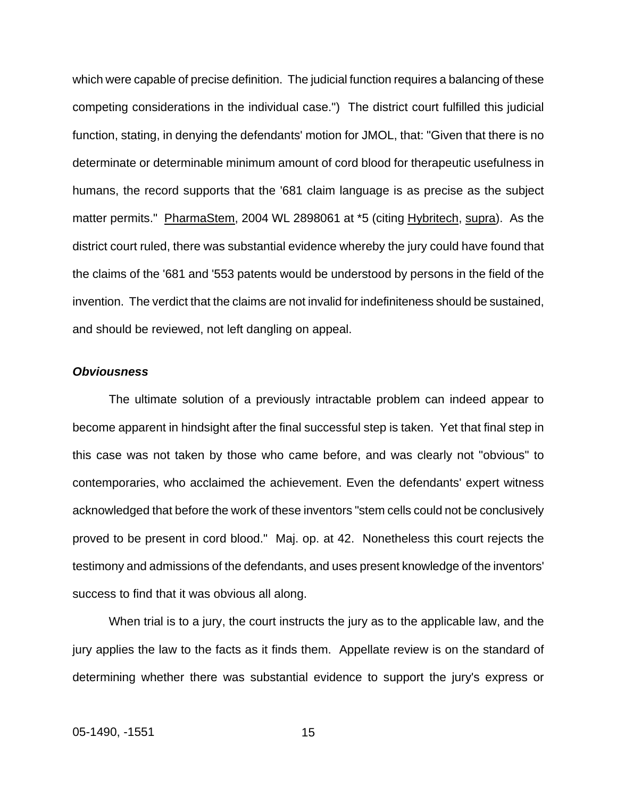which were capable of precise definition. The judicial function requires a balancing of these competing considerations in the individual case.") The district court fulfilled this judicial function, stating, in denying the defendants' motion for JMOL, that: "Given that there is no determinate or determinable minimum amount of cord blood for therapeutic usefulness in humans, the record supports that the '681 claim language is as precise as the subject matter permits." PharmaStem, 2004 WL 2898061 at \*5 (citing Hybritech, supra). As the district court ruled, there was substantial evidence whereby the jury could have found that the claims of the '681 and '553 patents would be understood by persons in the field of the invention. The verdict that the claims are not invalid for indefiniteness should be sustained, and should be reviewed, not left dangling on appeal.

### *Obviousness*

The ultimate solution of a previously intractable problem can indeed appear to become apparent in hindsight after the final successful step is taken. Yet that final step in this case was not taken by those who came before, and was clearly not "obvious" to contemporaries, who acclaimed the achievement. Even the defendants' expert witness acknowledged that before the work of these inventors "stem cells could not be conclusively proved to be present in cord blood." Maj. op. at 42. Nonetheless this court rejects the testimony and admissions of the defendants, and uses present knowledge of the inventors' success to find that it was obvious all along.

When trial is to a jury, the court instructs the jury as to the applicable law, and the jury applies the law to the facts as it finds them. Appellate review is on the standard of determining whether there was substantial evidence to support the jury's express or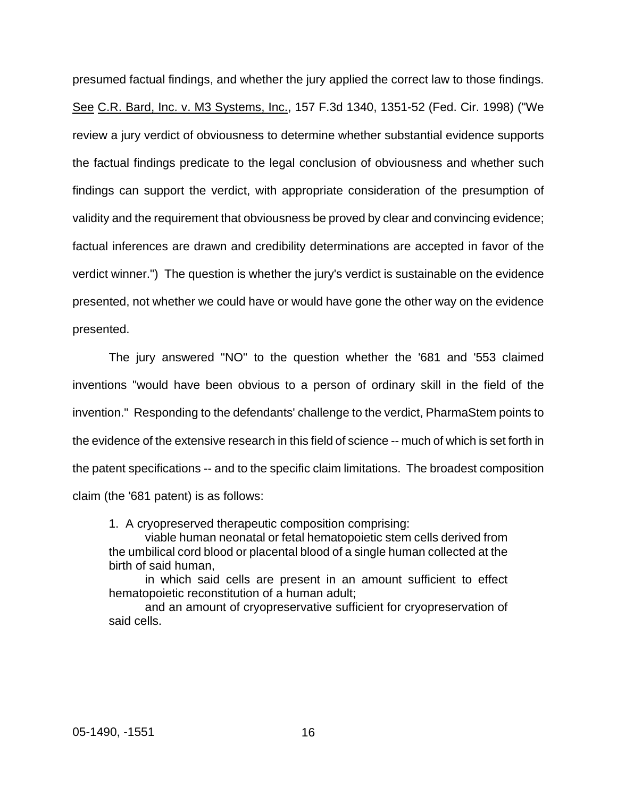presumed factual findings, and whether the jury applied the correct law to those findings. See C.R. Bard, Inc. v. M3 Systems, Inc., 157 F.3d 1340, 1351-52 (Fed. Cir. 1998) ("We review a jury verdict of obviousness to determine whether substantial evidence supports the factual findings predicate to the legal conclusion of obviousness and whether such findings can support the verdict, with appropriate consideration of the presumption of validity and the requirement that obviousness be proved by clear and convincing evidence; factual inferences are drawn and credibility determinations are accepted in favor of the verdict winner.") The question is whether the jury's verdict is sustainable on the evidence presented, not whether we could have or would have gone the other way on the evidence presented.

The jury answered "NO" to the question whether the '681 and '553 claimed inventions "would have been obvious to a person of ordinary skill in the field of the invention." Responding to the defendants' challenge to the verdict, PharmaStem points to the evidence of the extensive research in this field of science -- much of which is set forth in the patent specifications -- and to the specific claim limitations. The broadest composition claim (the '681 patent) is as follows:

1. A cryopreserved therapeutic composition comprising:

viable human neonatal or fetal hematopoietic stem cells derived from the umbilical cord blood or placental blood of a single human collected at the birth of said human,

in which said cells are present in an amount sufficient to effect hematopoietic reconstitution of a human adult;

and an amount of cryopreservative sufficient for cryopreservation of said cells.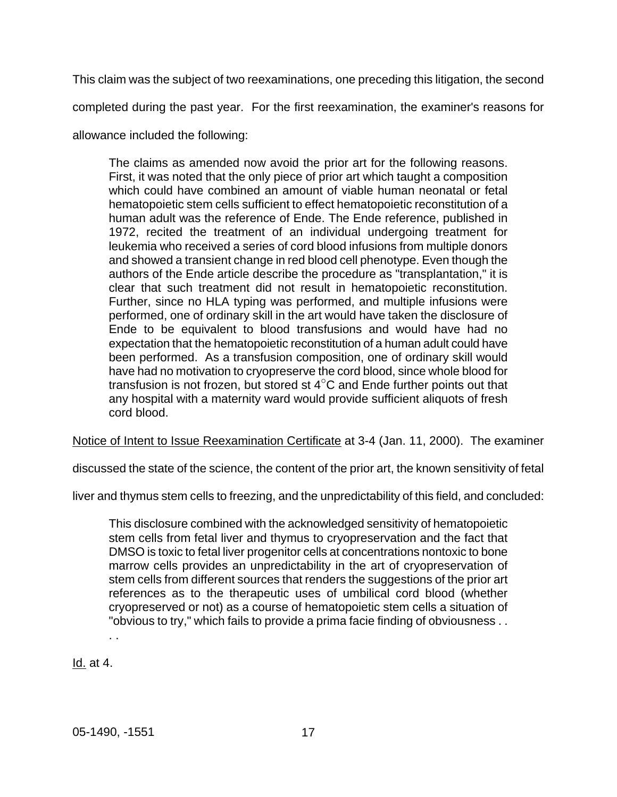This claim was the subject of two reexaminations, one preceding this litigation, the second

completed during the past year. For the first reexamination, the examiner's reasons for

allowance included the following:

The claims as amended now avoid the prior art for the following reasons. First, it was noted that the only piece of prior art which taught a composition which could have combined an amount of viable human neonatal or fetal hematopoietic stem cells sufficient to effect hematopoietic reconstitution of a human adult was the reference of Ende. The Ende reference, published in 1972, recited the treatment of an individual undergoing treatment for leukemia who received a series of cord blood infusions from multiple donors and showed a transient change in red blood cell phenotype. Even though the authors of the Ende article describe the procedure as "transplantation," it is clear that such treatment did not result in hematopoietic reconstitution. Further, since no HLA typing was performed, and multiple infusions were performed, one of ordinary skill in the art would have taken the disclosure of Ende to be equivalent to blood transfusions and would have had no expectation that the hematopoietic reconstitution of a human adult could have been performed. As a transfusion composition, one of ordinary skill would have had no motivation to cryopreserve the cord blood, since whole blood for transfusion is not frozen, but stored st 4" C and Ende further points out that any hospital with a maternity ward would provide sufficient aliquots of fresh cord blood.

Notice of Intent to Issue Reexamination Certificate at 3-4 (Jan. 11, 2000). The examiner

discussed the state of the science, the content of the prior art, the known sensitivity of fetal

liver and thymus stem cells to freezing, and the unpredictability of this field, and concluded:

This disclosure combined with the acknowledged sensitivity of hematopoietic stem cells from fetal liver and thymus to cryopreservation and the fact that DMSO is toxic to fetal liver progenitor cells at concentrations nontoxic to bone marrow cells provides an unpredictability in the art of cryopreservation of stem cells from different sources that renders the suggestions of the prior art references as to the therapeutic uses of umbilical cord blood (whether cryopreserved or not) as a course of hematopoietic stem cells a situation of "obvious to try," which fails to provide a prima facie finding of obviousness . .

. .

Id. at 4.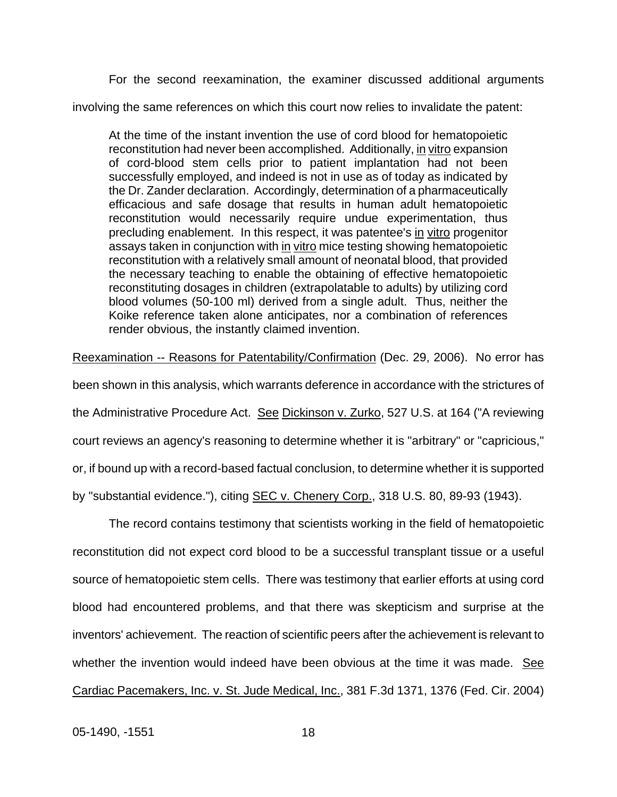For the second reexamination, the examiner discussed additional arguments

involving the same references on which this court now relies to invalidate the patent:

At the time of the instant invention the use of cord blood for hematopoietic reconstitution had never been accomplished. Additionally, in vitro expansion of cord-blood stem cells prior to patient implantation had not been successfully employed, and indeed is not in use as of today as indicated by the Dr. Zander declaration. Accordingly, determination of a pharmaceutically efficacious and safe dosage that results in human adult hematopoietic reconstitution would necessarily require undue experimentation, thus precluding enablement. In this respect, it was patentee's in vitro progenitor assays taken in conjunction with in vitro mice testing showing hematopoietic reconstitution with a relatively small amount of neonatal blood, that provided the necessary teaching to enable the obtaining of effective hematopoietic reconstituting dosages in children (extrapolatable to adults) by utilizing cord blood volumes (50-100 ml) derived from a single adult. Thus, neither the Koike reference taken alone anticipates, nor a combination of references render obvious, the instantly claimed invention.

Reexamination -- Reasons for Patentability/Confirmation (Dec. 29, 2006). No error has

been shown in this analysis, which warrants deference in accordance with the strictures of the Administrative Procedure Act. See Dickinson v. Zurko, 527 U.S. at 164 ("A reviewing court reviews an agency's reasoning to determine whether it is "arbitrary" or "capricious," or, if bound up with a record-based factual conclusion, to determine whether it is supported by "substantial evidence."), citing **SEC v. Chenery Corp.**, 318 U.S. 80, 89-93 (1943).

The record contains testimony that scientists working in the field of hematopoietic reconstitution did not expect cord blood to be a successful transplant tissue or a useful source of hematopoietic stem cells. There was testimony that earlier efforts at using cord blood had encountered problems, and that there was skepticism and surprise at the inventors' achievement. The reaction of scientific peers after the achievement is relevant to whether the invention would indeed have been obvious at the time it was made. See Cardiac Pacemakers, Inc. v. St. Jude Medical, Inc., 381 F.3d 1371, 1376 (Fed. Cir. 2004)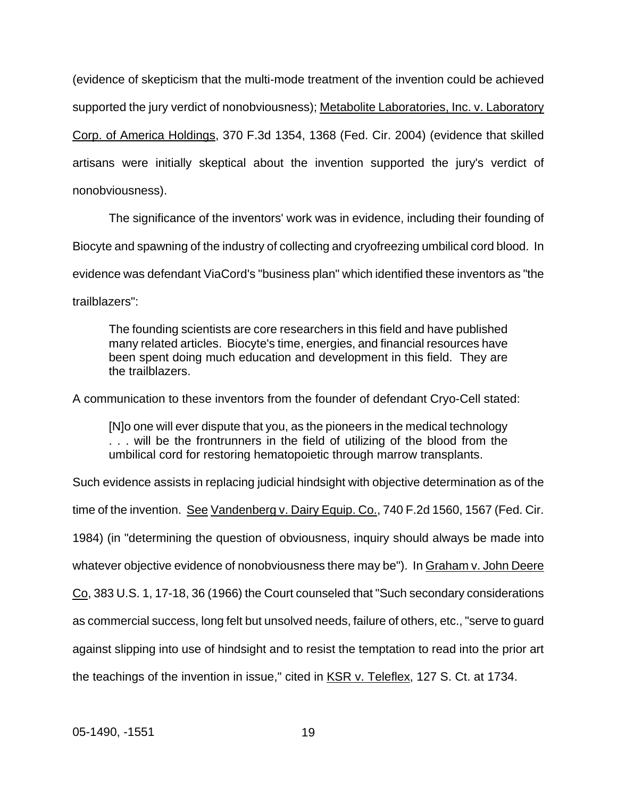(evidence of skepticism that the multi-mode treatment of the invention could be achieved supported the jury verdict of nonobviousness); Metabolite Laboratories, Inc. v. Laboratory Corp. of America Holdings, 370 F.3d 1354, 1368 (Fed. Cir. 2004) (evidence that skilled artisans were initially skeptical about the invention supported the jury's verdict of nonobviousness).

The significance of the inventors' work was in evidence, including their founding of Biocyte and spawning of the industry of collecting and cryofreezing umbilical cord blood. In evidence was defendant ViaCord's "business plan" which identified these inventors as "the trailblazers":

The founding scientists are core researchers in this field and have published many related articles. Biocyte's time, energies, and financial resources have been spent doing much education and development in this field. They are the trailblazers.

A communication to these inventors from the founder of defendant Cryo-Cell stated:

[N]o one will ever dispute that you, as the pioneers in the medical technology . . . will be the frontrunners in the field of utilizing of the blood from the umbilical cord for restoring hematopoietic through marrow transplants.

Such evidence assists in replacing judicial hindsight with objective determination as of the time of the invention. See Vandenberg v. Dairy Equip. Co., 740 F.2d 1560, 1567 (Fed. Cir. 1984) (in "determining the question of obviousness, inquiry should always be made into whatever objective evidence of nonobviousness there may be"). In Graham v. John Deere Co, 383 U.S. 1, 17-18, 36 (1966) the Court counseled that "Such secondary considerations as commercial success, long felt but unsolved needs, failure of others, etc., "serve to guard against slipping into use of hindsight and to resist the temptation to read into the prior art the teachings of the invention in issue," cited in KSR v. Teleflex, 127 S. Ct. at 1734.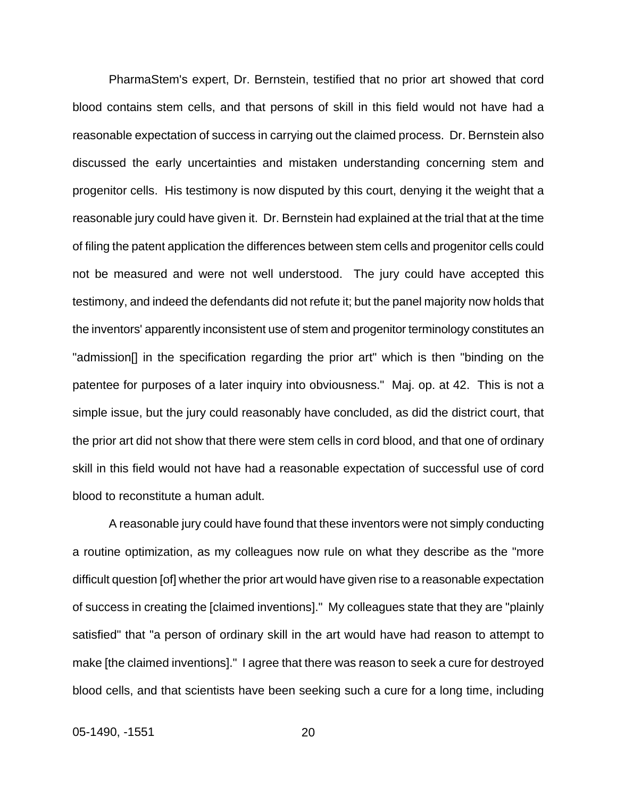PharmaStem's expert, Dr. Bernstein, testified that no prior art showed that cord blood contains stem cells, and that persons of skill in this field would not have had a reasonable expectation of success in carrying out the claimed process. Dr. Bernstein also discussed the early uncertainties and mistaken understanding concerning stem and progenitor cells. His testimony is now disputed by this court, denying it the weight that a reasonable jury could have given it. Dr. Bernstein had explained at the trial that at the time of filing the patent application the differences between stem cells and progenitor cells could not be measured and were not well understood. The jury could have accepted this testimony, and indeed the defendants did not refute it; but the panel majority now holds that the inventors' apparently inconsistent use of stem and progenitor terminology constitutes an "admission[] in the specification regarding the prior art" which is then "binding on the patentee for purposes of a later inquiry into obviousness." Maj. op. at 42. This is not a simple issue, but the jury could reasonably have concluded, as did the district court, that the prior art did not show that there were stem cells in cord blood, and that one of ordinary skill in this field would not have had a reasonable expectation of successful use of cord blood to reconstitute a human adult.

A reasonable jury could have found that these inventors were not simply conducting a routine optimization, as my colleagues now rule on what they describe as the "more difficult question [of] whether the prior art would have given rise to a reasonable expectation of success in creating the [claimed inventions]." My colleagues state that they are "plainly satisfied" that "a person of ordinary skill in the art would have had reason to attempt to make [the claimed inventions]." I agree that there was reason to seek a cure for destroyed blood cells, and that scientists have been seeking such a cure for a long time, including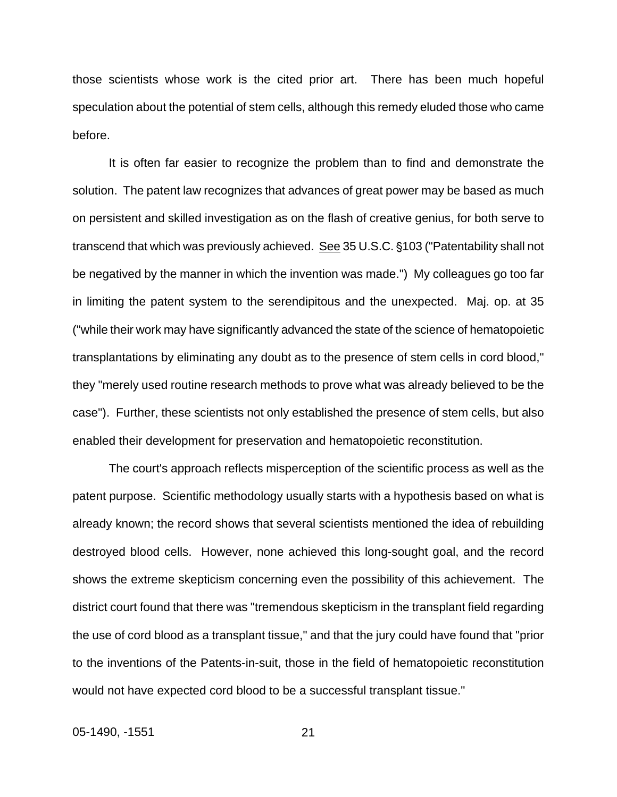those scientists whose work is the cited prior art. There has been much hopeful speculation about the potential of stem cells, although this remedy eluded those who came before.

It is often far easier to recognize the problem than to find and demonstrate the solution. The patent law recognizes that advances of great power may be based as much on persistent and skilled investigation as on the flash of creative genius, for both serve to transcend that which was previously achieved. See 35 U.S.C. §103 ("Patentability shall not be negatived by the manner in which the invention was made.") My colleagues go too far in limiting the patent system to the serendipitous and the unexpected. Maj. op. at 35 ("while their work may have significantly advanced the state of the science of hematopoietic transplantations by eliminating any doubt as to the presence of stem cells in cord blood," they "merely used routine research methods to prove what was already believed to be the case"). Further, these scientists not only established the presence of stem cells, but also enabled their development for preservation and hematopoietic reconstitution.

The court's approach reflects misperception of the scientific process as well as the patent purpose. Scientific methodology usually starts with a hypothesis based on what is already known; the record shows that several scientists mentioned the idea of rebuilding destroyed blood cells. However, none achieved this long-sought goal, and the record shows the extreme skepticism concerning even the possibility of this achievement. The district court found that there was "tremendous skepticism in the transplant field regarding the use of cord blood as a transplant tissue," and that the jury could have found that "prior to the inventions of the Patents-in-suit, those in the field of hematopoietic reconstitution would not have expected cord blood to be a successful transplant tissue."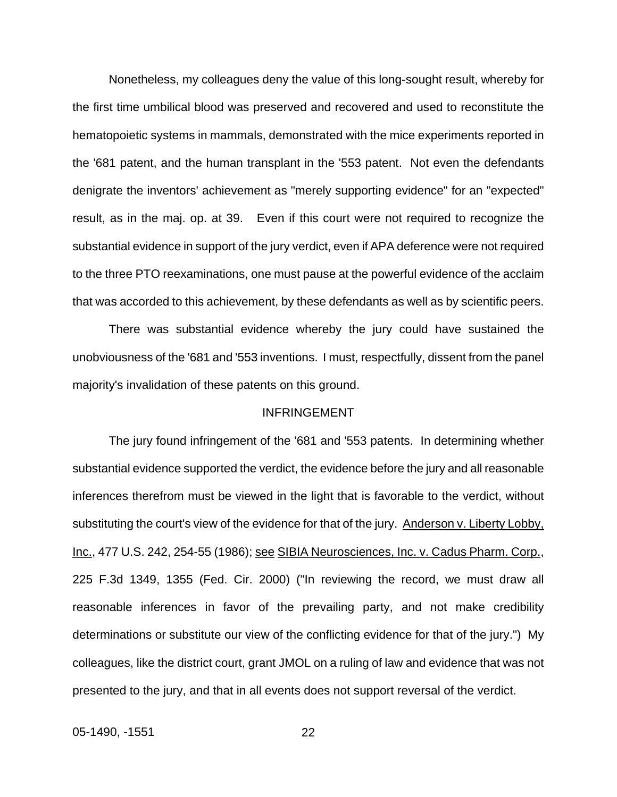Nonetheless, my colleagues deny the value of this long-sought result, whereby for the first time umbilical blood was preserved and recovered and used to reconstitute the hematopoietic systems in mammals, demonstrated with the mice experiments reported in the '681 patent, and the human transplant in the '553 patent. Not even the defendants denigrate the inventors' achievement as "merely supporting evidence" for an "expected" result, as in the maj. op. at 39. Even if this court were not required to recognize the substantial evidence in support of the jury verdict, even if APA deference were not required to the three PTO reexaminations, one must pause at the powerful evidence of the acclaim that was accorded to this achievement, by these defendants as well as by scientific peers.

There was substantial evidence whereby the jury could have sustained the unobviousness of the '681 and '553 inventions. I must, respectfully, dissent from the panel majority's invalidation of these patents on this ground.

#### INFRINGEMENT

The jury found infringement of the '681 and '553 patents. In determining whether substantial evidence supported the verdict, the evidence before the jury and all reasonable inferences therefrom must be viewed in the light that is favorable to the verdict, without substituting the court's view of the evidence for that of the jury. Anderson v. Liberty Lobby, Inc., 477 U.S. 242, 254-55 (1986); see SIBIA Neurosciences, Inc. v. Cadus Pharm. Corp., 225 F.3d 1349, 1355 (Fed. Cir. 2000) ("In reviewing the record, we must draw all reasonable inferences in favor of the prevailing party, and not make credibility determinations or substitute our view of the conflicting evidence for that of the jury.") My colleagues, like the district court, grant JMOL on a ruling of law and evidence that was not presented to the jury, and that in all events does not support reversal of the verdict.

05-1490, -1551 22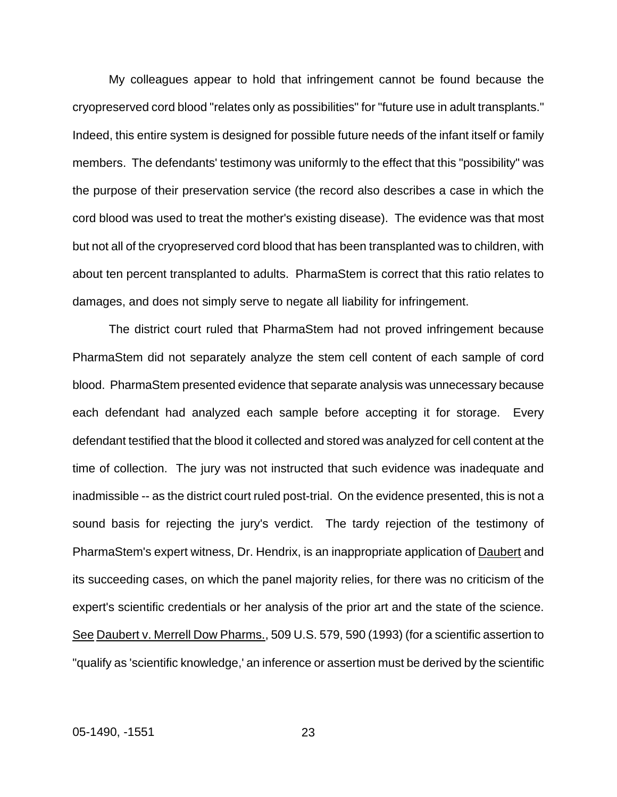My colleagues appear to hold that infringement cannot be found because the cryopreserved cord blood "relates only as possibilities" for "future use in adult transplants." Indeed, this entire system is designed for possible future needs of the infant itself or family members. The defendants' testimony was uniformly to the effect that this "possibility" was the purpose of their preservation service (the record also describes a case in which the cord blood was used to treat the mother's existing disease). The evidence was that most but not all of the cryopreserved cord blood that has been transplanted was to children, with about ten percent transplanted to adults. PharmaStem is correct that this ratio relates to damages, and does not simply serve to negate all liability for infringement.

The district court ruled that PharmaStem had not proved infringement because PharmaStem did not separately analyze the stem cell content of each sample of cord blood. PharmaStem presented evidence that separate analysis was unnecessary because each defendant had analyzed each sample before accepting it for storage. Every defendant testified that the blood it collected and stored was analyzed for cell content at the time of collection. The jury was not instructed that such evidence was inadequate and inadmissible -- as the district court ruled post-trial. On the evidence presented, this is not a sound basis for rejecting the jury's verdict. The tardy rejection of the testimony of PharmaStem's expert witness, Dr. Hendrix, is an inappropriate application of Daubert and its succeeding cases, on which the panel majority relies, for there was no criticism of the expert's scientific credentials or her analysis of the prior art and the state of the science. See Daubert v. Merrell Dow Pharms., 509 U.S. 579, 590 (1993) (for a scientific assertion to "qualify as 'scientific knowledge,' an inference or assertion must be derived by the scientific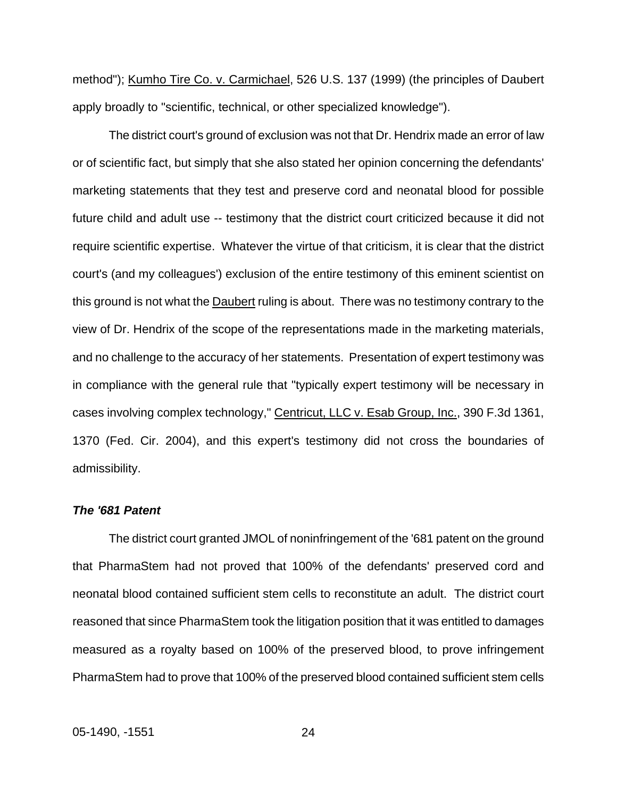method"); Kumho Tire Co. v. Carmichael, 526 U.S. 137 (1999) (the principles of Daubert apply broadly to "scientific, technical, or other specialized knowledge").

The district court's ground of exclusion was not that Dr. Hendrix made an error of law or of scientific fact, but simply that she also stated her opinion concerning the defendants' marketing statements that they test and preserve cord and neonatal blood for possible future child and adult use -- testimony that the district court criticized because it did not require scientific expertise. Whatever the virtue of that criticism, it is clear that the district court's (and my colleagues') exclusion of the entire testimony of this eminent scientist on this ground is not what the Daubert ruling is about. There was no testimony contrary to the view of Dr. Hendrix of the scope of the representations made in the marketing materials, and no challenge to the accuracy of her statements. Presentation of expert testimony was in compliance with the general rule that "typically expert testimony will be necessary in cases involving complex technology," Centricut, LLC v. Esab Group, Inc., 390 F.3d 1361, 1370 (Fed. Cir. 2004), and this expert's testimony did not cross the boundaries of admissibility.

#### *The '681 Patent*

The district court granted JMOL of noninfringement of the '681 patent on the ground that PharmaStem had not proved that 100% of the defendants' preserved cord and neonatal blood contained sufficient stem cells to reconstitute an adult. The district court reasoned that since PharmaStem took the litigation position that it was entitled to damages measured as a royalty based on 100% of the preserved blood, to prove infringement PharmaStem had to prove that 100% of the preserved blood contained sufficient stem cells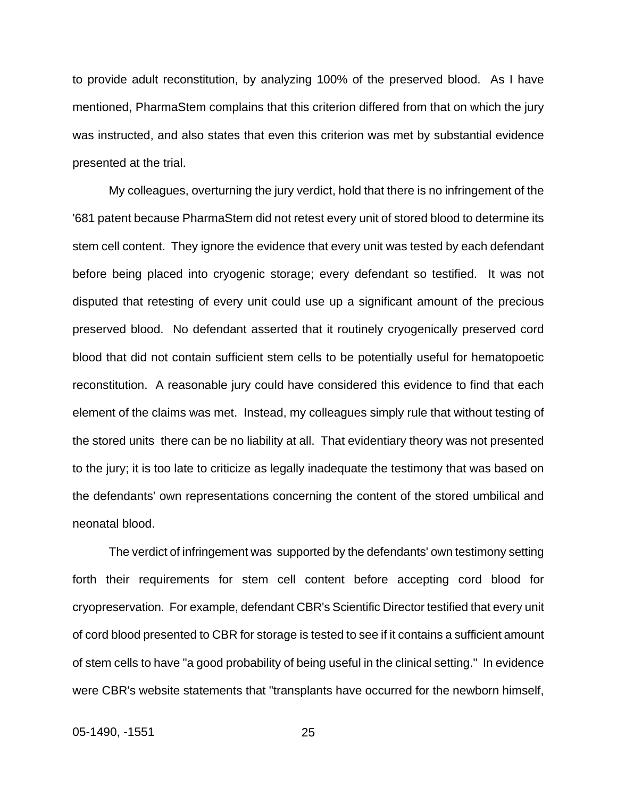to provide adult reconstitution, by analyzing 100% of the preserved blood. As I have mentioned, PharmaStem complains that this criterion differed from that on which the jury was instructed, and also states that even this criterion was met by substantial evidence presented at the trial.

My colleagues, overturning the jury verdict, hold that there is no infringement of the '681 patent because PharmaStem did not retest every unit of stored blood to determine its stem cell content. They ignore the evidence that every unit was tested by each defendant before being placed into cryogenic storage; every defendant so testified. It was not disputed that retesting of every unit could use up a significant amount of the precious preserved blood. No defendant asserted that it routinely cryogenically preserved cord blood that did not contain sufficient stem cells to be potentially useful for hematopoetic reconstitution. A reasonable jury could have considered this evidence to find that each element of the claims was met. Instead, my colleagues simply rule that without testing of the stored units there can be no liability at all. That evidentiary theory was not presented to the jury; it is too late to criticize as legally inadequate the testimony that was based on the defendants' own representations concerning the content of the stored umbilical and neonatal blood.

The verdict of infringement was supported by the defendants' own testimony setting forth their requirements for stem cell content before accepting cord blood for cryopreservation. For example, defendant CBR's Scientific Director testified that every unit of cord blood presented to CBR for storage is tested to see if it contains a sufficient amount of stem cells to have "a good probability of being useful in the clinical setting." In evidence were CBR's website statements that "transplants have occurred for the newborn himself,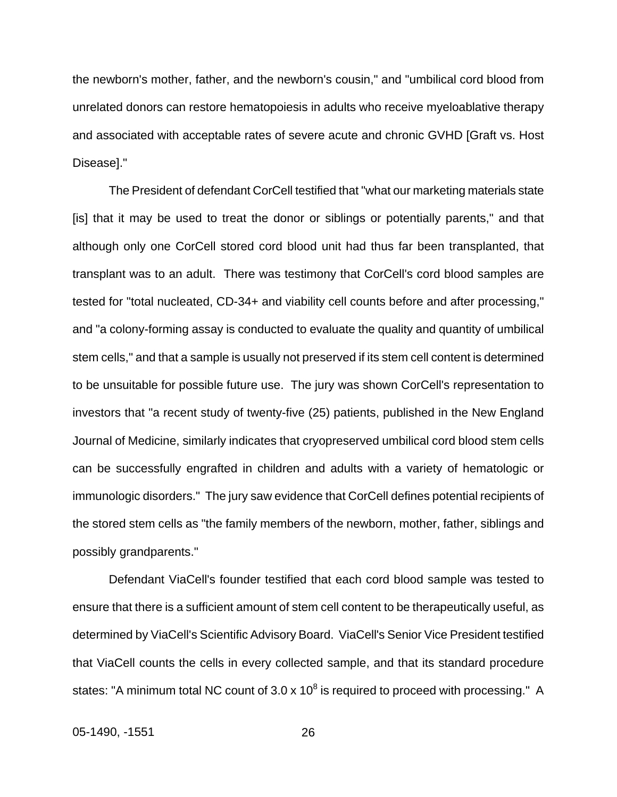the newborn's mother, father, and the newborn's cousin," and "umbilical cord blood from unrelated donors can restore hematopoiesis in adults who receive myeloablative therapy and associated with acceptable rates of severe acute and chronic GVHD [Graft vs. Host Disease]."

The President of defendant CorCell testified that "what our marketing materials state [is] that it may be used to treat the donor or siblings or potentially parents," and that although only one CorCell stored cord blood unit had thus far been transplanted, that transplant was to an adult. There was testimony that CorCell's cord blood samples are tested for "total nucleated, CD-34+ and viability cell counts before and after processing," and "a colony-forming assay is conducted to evaluate the quality and quantity of umbilical stem cells," and that a sample is usually not preserved if its stem cell content is determined to be unsuitable for possible future use. The jury was shown CorCell's representation to investors that "a recent study of twenty-five (25) patients, published in the New England Journal of Medicine, similarly indicates that cryopreserved umbilical cord blood stem cells can be successfully engrafted in children and adults with a variety of hematologic or immunologic disorders." The jury saw evidence that CorCell defines potential recipients of the stored stem cells as "the family members of the newborn, mother, father, siblings and possibly grandparents."

Defendant ViaCell's founder testified that each cord blood sample was tested to ensure that there is a sufficient amount of stem cell content to be therapeutically useful, as determined by ViaCell's Scientific Advisory Board. ViaCell's Senior Vice President testified that ViaCell counts the cells in every collected sample, and that its standard procedure states: "A minimum total NC count of 3.0 x 10 $^{8}$  is required to proceed with processing." A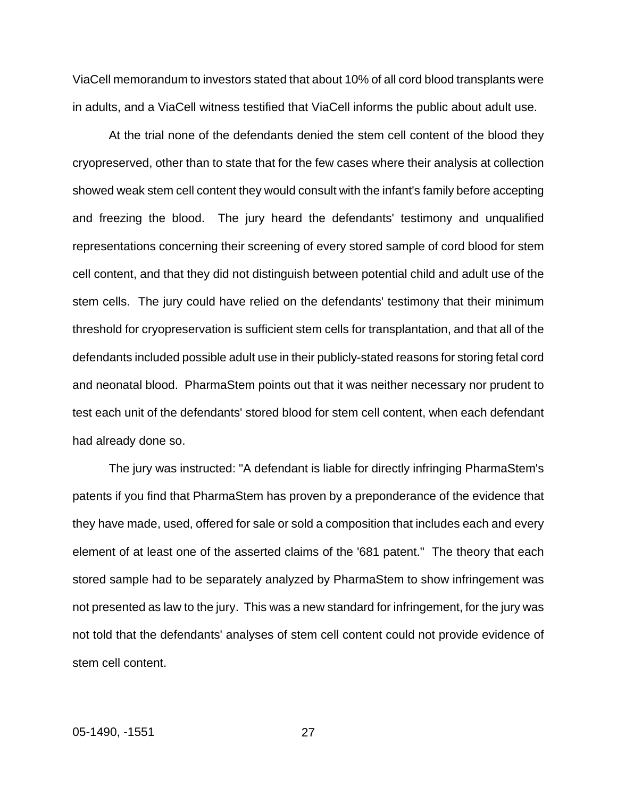ViaCell memorandum to investors stated that about 10% of all cord blood transplants were in adults, and a ViaCell witness testified that ViaCell informs the public about adult use.

At the trial none of the defendants denied the stem cell content of the blood they cryopreserved, other than to state that for the few cases where their analysis at collection showed weak stem cell content they would consult with the infant's family before accepting and freezing the blood. The jury heard the defendants' testimony and unqualified representations concerning their screening of every stored sample of cord blood for stem cell content, and that they did not distinguish between potential child and adult use of the stem cells. The jury could have relied on the defendants' testimony that their minimum threshold for cryopreservation is sufficient stem cells for transplantation, and that all of the defendants included possible adult use in their publicly-stated reasons for storing fetal cord and neonatal blood. PharmaStem points out that it was neither necessary nor prudent to test each unit of the defendants' stored blood for stem cell content, when each defendant had already done so.

The jury was instructed: "A defendant is liable for directly infringing PharmaStem's patents if you find that PharmaStem has proven by a preponderance of the evidence that they have made, used, offered for sale or sold a composition that includes each and every element of at least one of the asserted claims of the '681 patent." The theory that each stored sample had to be separately analyzed by PharmaStem to show infringement was not presented as law to the jury. This was a new standard for infringement, for the jury was not told that the defendants' analyses of stem cell content could not provide evidence of stem cell content.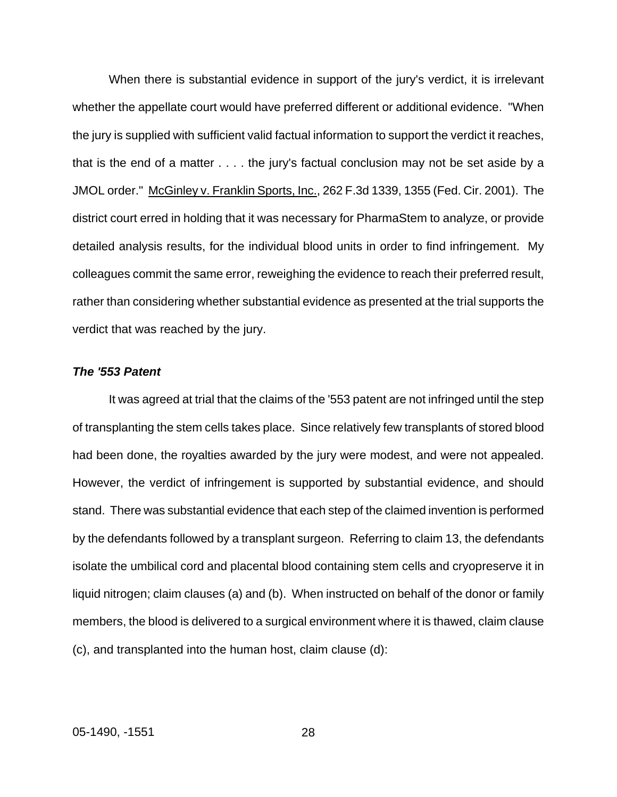When there is substantial evidence in support of the jury's verdict, it is irrelevant whether the appellate court would have preferred different or additional evidence. "When the jury is supplied with sufficient valid factual information to support the verdict it reaches, that is the end of a matter . . . . the jury's factual conclusion may not be set aside by a JMOL order." McGinley v. Franklin Sports, Inc., 262 F.3d 1339, 1355 (Fed. Cir. 2001). The district court erred in holding that it was necessary for PharmaStem to analyze, or provide detailed analysis results, for the individual blood units in order to find infringement. My colleagues commit the same error, reweighing the evidence to reach their preferred result, rather than considering whether substantial evidence as presented at the trial supports the verdict that was reached by the jury.

## *The '553 Patent*

It was agreed at trial that the claims of the '553 patent are not infringed until the step of transplanting the stem cells takes place. Since relatively few transplants of stored blood had been done, the royalties awarded by the jury were modest, and were not appealed. However, the verdict of infringement is supported by substantial evidence, and should stand. There was substantial evidence that each step of the claimed invention is performed by the defendants followed by a transplant surgeon. Referring to claim 13, the defendants isolate the umbilical cord and placental blood containing stem cells and cryopreserve it in liquid nitrogen; claim clauses (a) and (b). When instructed on behalf of the donor or family members, the blood is delivered to a surgical environment where it is thawed, claim clause (c), and transplanted into the human host, claim clause (d):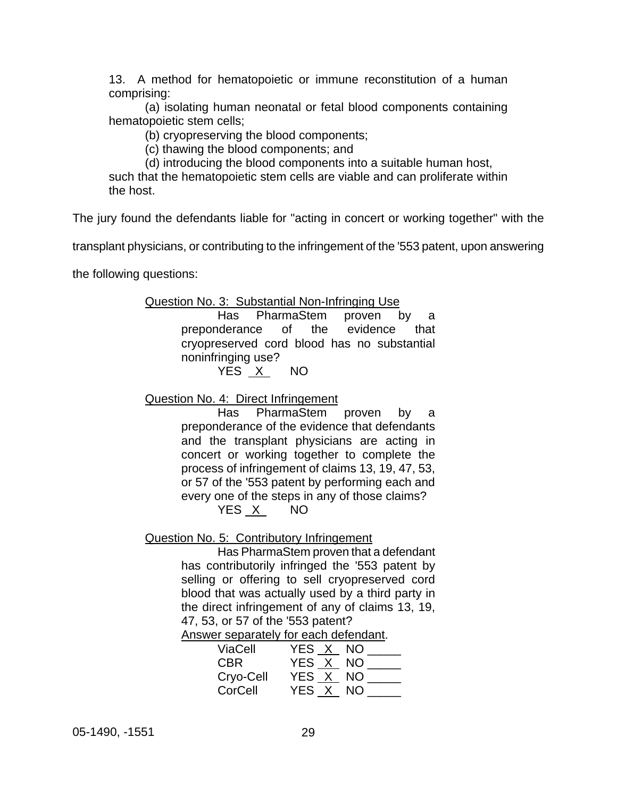13. A method for hematopoietic or immune reconstitution of a human comprising:

(a) isolating human neonatal or fetal blood components containing hematopoietic stem cells;

(b) cryopreserving the blood components;

(c) thawing the blood components; and

(d) introducing the blood components into a suitable human host,

such that the hematopoietic stem cells are viable and can proliferate within the host.

The jury found the defendants liable for "acting in concert or working together" with the

transplant physicians, or contributing to the infringement of the '553 patent, upon answering

the following questions:

## Question No. 3: Substantial Non-Infringing Use

Has PharmaStem proven by a preponderance of the evidence that cryopreserved cord blood has no substantial noninfringing use?

# YES X NO

Question No. 4: Direct Infringement

Has PharmaStem proven by a preponderance of the evidence that defendants and the transplant physicians are acting in concert or working together to complete the process of infringement of claims 13, 19, 47, 53, or 57 of the '553 patent by performing each and every one of the steps in any of those claims? YES X NO

## Question No. 5: Contributory Infringement

Has PharmaStem proven that a defendant has contributorily infringed the '553 patent by selling or offering to sell cryopreserved cord blood that was actually used by a third party in the direct infringement of any of claims 13, 19, 47, 53, or 57 of the '553 patent?

Answer separately for each defendant.

| <b>ViaCell</b> | YES X NO |  |
|----------------|----------|--|
| <b>CBR</b>     | YES X NO |  |
| Cryo-Cell      | YES X NO |  |
| CorCell        | YES X NO |  |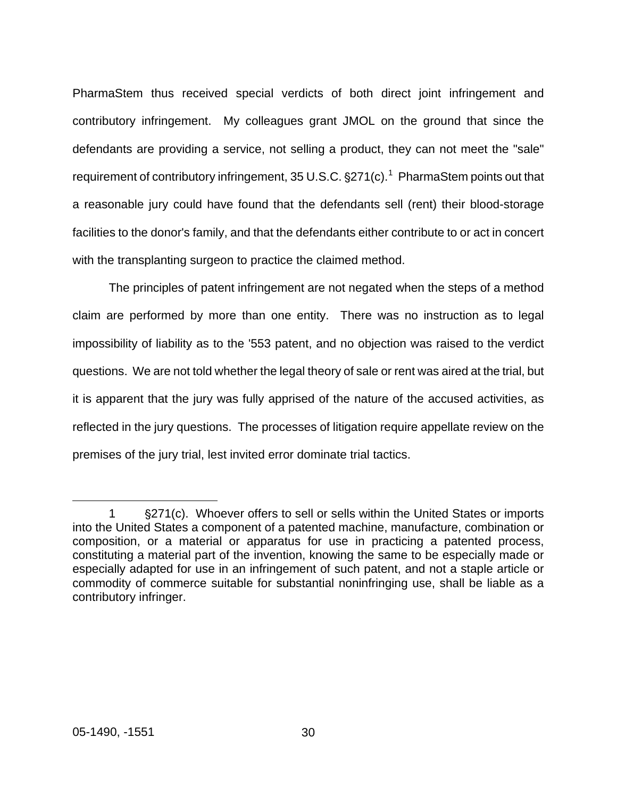PharmaStem thus received special verdicts of both direct joint infringement and contributory infringement. My colleagues grant JMOL on the ground that since the defendants are providing a service, not selling a product, they can not meet the "sale" requirement of contributory infringement, 35 U.S.C.  $\S$ 27[1](#page-74-0)(c).<sup>1</sup> PharmaStem points out that a reasonable jury could have found that the defendants sell (rent) their blood-storage facilities to the donor's family, and that the defendants either contribute to or act in concert with the transplanting surgeon to practice the claimed method.

The principles of patent infringement are not negated when the steps of a method claim are performed by more than one entity. There was no instruction as to legal impossibility of liability as to the '553 patent, and no objection was raised to the verdict questions. We are not told whether the legal theory of sale or rent was aired at the trial, but it is apparent that the jury was fully apprised of the nature of the accused activities, as reflected in the jury questions. The processes of litigation require appellate review on the premises of the jury trial, lest invited error dominate trial tactics.

 $\overline{a}$ 

<span id="page-74-0"></span><sup>1</sup> '271(c). Whoever offers to sell or sells within the United States or imports into the United States a component of a patented machine, manufacture, combination or composition, or a material or apparatus for use in practicing a patented process, constituting a material part of the invention, knowing the same to be especially made or especially adapted for use in an infringement of such patent, and not a staple article or commodity of commerce suitable for substantial noninfringing use, shall be liable as a contributory infringer.